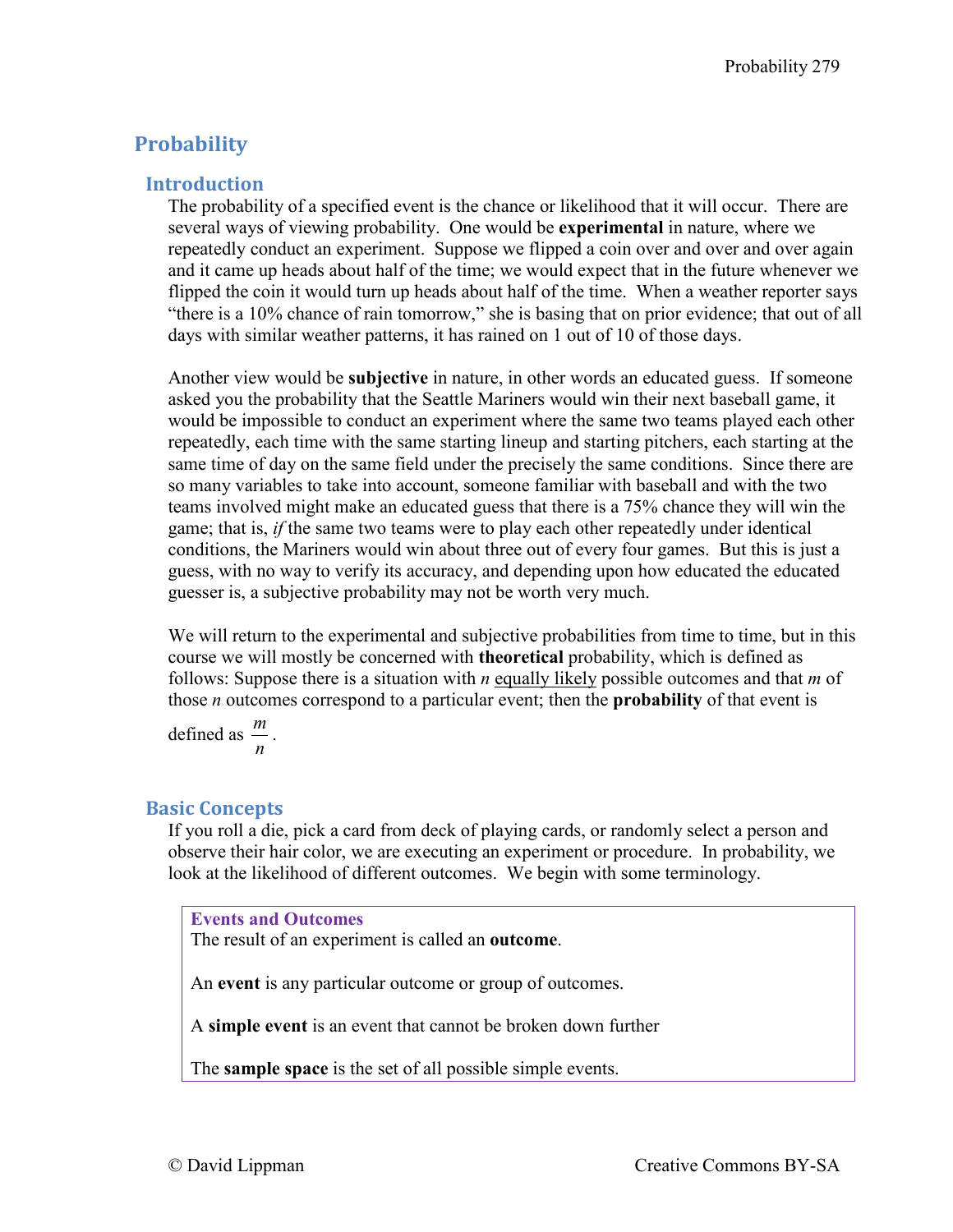# **Probability**

## **Introduction**

The probability of a specified event is the chance or likelihood that it will occur. There are several ways of viewing probability. One would be **experimental** in nature, where we repeatedly conduct an experiment. Suppose we flipped a coin over and over and over again and it came up heads about half of the time; we would expect that in the future whenever we flipped the coin it would turn up heads about half of the time. When a weather reporter says "there is a 10% chance of rain tomorrow," she is basing that on prior evidence; that out of all days with similar weather patterns, it has rained on 1 out of 10 of those days.

Another view would be **subjective** in nature, in other words an educated guess. If someone asked you the probability that the Seattle Mariners would win their next baseball game, it would be impossible to conduct an experiment where the same two teams played each other repeatedly, each time with the same starting lineup and starting pitchers, each starting at the same time of day on the same field under the precisely the same conditions. Since there are so many variables to take into account, someone familiar with baseball and with the two teams involved might make an educated guess that there is a 75% chance they will win the game; that is, *if* the same two teams were to play each other repeatedly under identical conditions, the Mariners would win about three out of every four games. But this is just a guess, with no way to verify its accuracy, and depending upon how educated the educated guesser is, a subjective probability may not be worth very much.

We will return to the experimental and subjective probabilities from time to time, but in this course we will mostly be concerned with **theoretical** probability, which is defined as follows: Suppose there is a situation with *n* equally likely possible outcomes and that *m* of those *n* outcomes correspond to a particular event; then the **probability** of that event is

defined as *n m* .

### **Basic Concepts**

If you roll a die, pick a card from deck of playing cards, or randomly select a person and observe their hair color, we are executing an experiment or procedure. In probability, we look at the likelihood of different outcomes. We begin with some terminology.

**Events and Outcomes**

The result of an experiment is called an **outcome**.

An **event** is any particular outcome or group of outcomes.

A **simple event** is an event that cannot be broken down further

The **sample space** is the set of all possible simple events.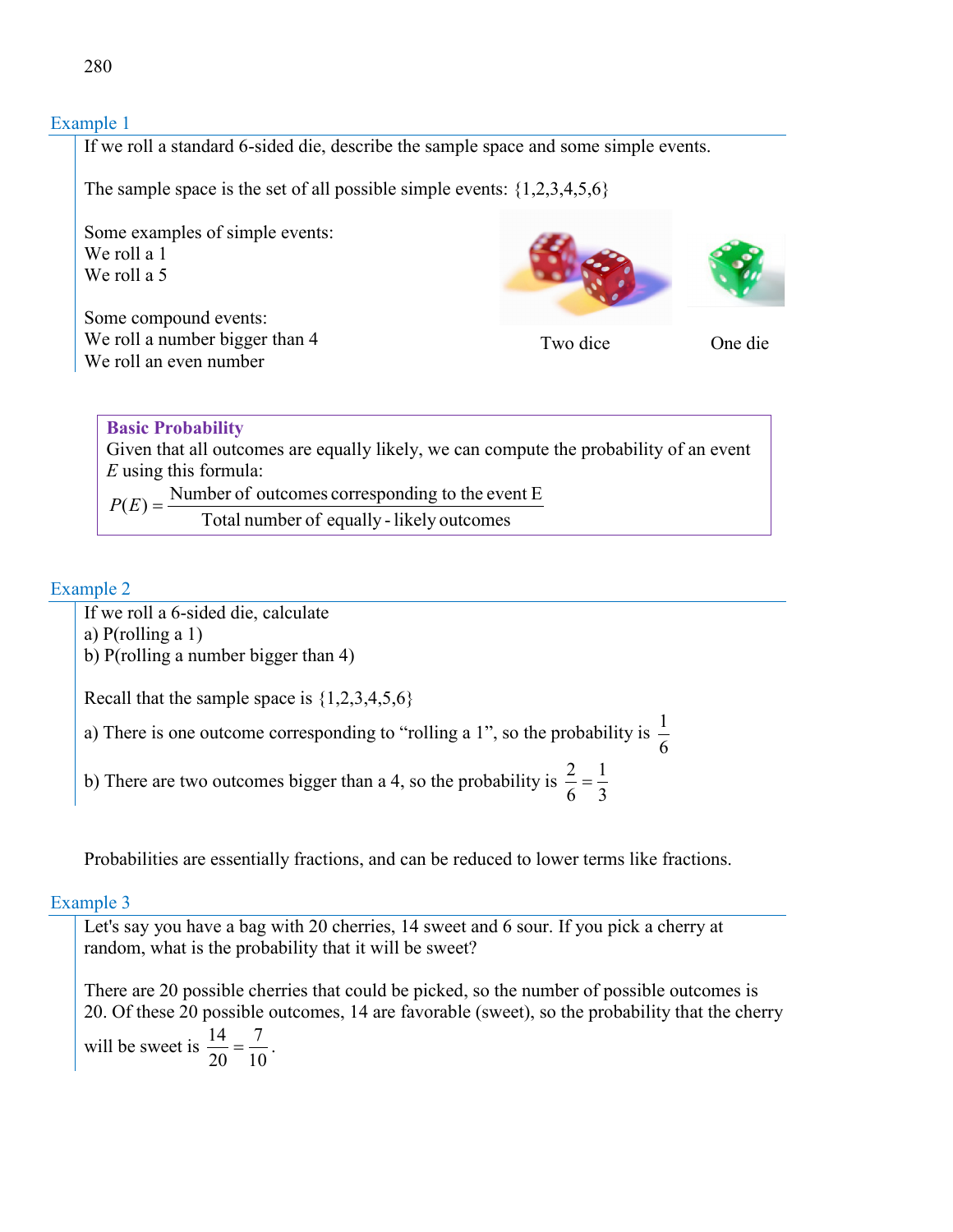#### Example 1

If we roll a standard 6-sided die, describe the sample space and some simple events.

The sample space is the set of all possible simple events: {1,2,3,4,5,6}

Some examples of simple events: We roll a 1 We roll a 5

Some compound events: We roll a number bigger than 4 We roll an even number



Two dice One die

### **Basic Probability**

Given that all outcomes are equally likely, we can compute the probability of an event *E* using this formula:

 $P(E) =$  Number of outcomes corresponding to the event E

Total number of equally - likely outcomes

#### Example 2

If we roll a 6-sided die, calculate a) P(rolling a 1) b) P(rolling a number bigger than 4) Recall that the sample space is {1,2,3,4,5,6} a) There is one outcome corresponding to "rolling a 1", so the probability is  $\frac{1}{6}$ b) There are two outcomes bigger than a 4, so the probability is  $\frac{2}{6} = \frac{1}{3}$ 6  $\frac{2}{5}$  =

Probabilities are essentially fractions, and can be reduced to lower terms like fractions.

### Example 3

Let's say you have a bag with 20 cherries, 14 sweet and 6 sour. If you pick a cherry at random, what is the probability that it will be sweet?

There are 20 possible cherries that could be picked, so the number of possible outcomes is 20. Of these 20 possible outcomes, 14 are favorable (sweet), so the probability that the cherry will be sweet is 10 7 20  $\frac{14}{20} = \frac{7}{10}$ .

280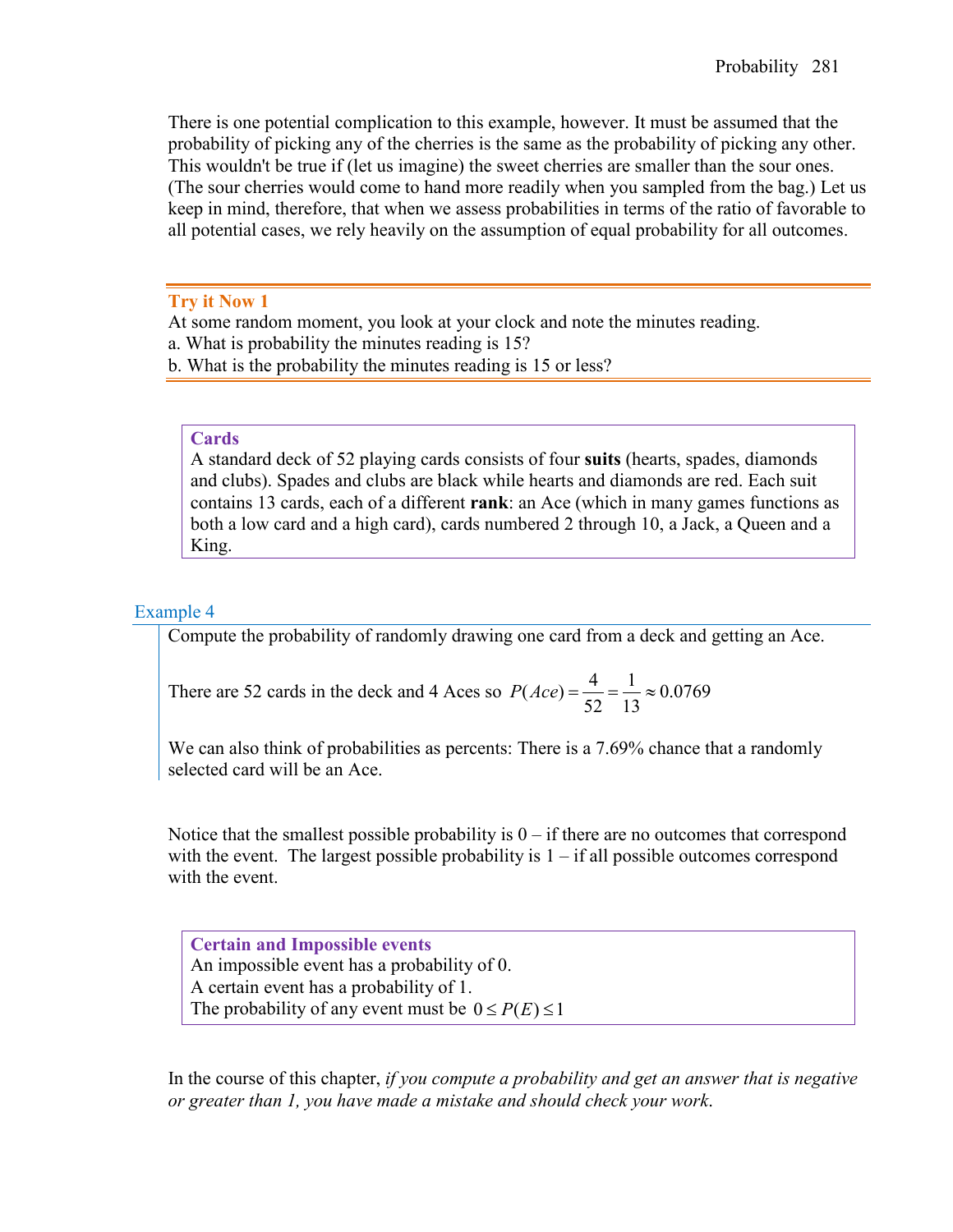There is one potential complication to this example, however. It must be assumed that the probability of picking any of the cherries is the same as the probability of picking any other. This wouldn't be true if (let us imagine) the sweet cherries are smaller than the sour ones. (The sour cherries would come to hand more readily when you sampled from the bag.) Let us keep in mind, therefore, that when we assess probabilities in terms of the ratio of favorable to all potential cases, we rely heavily on the assumption of equal probability for all outcomes.

#### **Try it Now 1**

At some random moment, you look at your clock and note the minutes reading.

a. What is probability the minutes reading is 15?

b. What is the probability the minutes reading is 15 or less?

#### **Cards**

A standard deck of 52 playing cards consists of four **suits** (hearts, spades, diamonds and clubs). Spades and clubs are black while hearts and diamonds are red. Each suit contains 13 cards, each of a different **rank**: an Ace (which in many games functions as both a low card and a high card), cards numbered 2 through 10, a Jack, a Queen and a King.

#### Example 4

Compute the probability of randomly drawing one card from a deck and getting an Ace.

There are 52 cards in the deck and 4 Aces so 
$$
P(Ace) = \frac{4}{52} = \frac{1}{13} \approx 0.0769
$$

We can also think of probabilities as percents: There is a 7.69% chance that a randomly selected card will be an Ace.

Notice that the smallest possible probability is  $0 -$  if there are no outcomes that correspond with the event. The largest possible probability is  $1 - if$  all possible outcomes correspond with the event.

**Certain and Impossible events** An impossible event has a probability of 0. A certain event has a probability of 1. The probability of any event must be  $0 \le P(E) \le 1$ 

In the course of this chapter, *if you compute a probability and get an answer that is negative or greater than 1, you have made a mistake and should check your work*.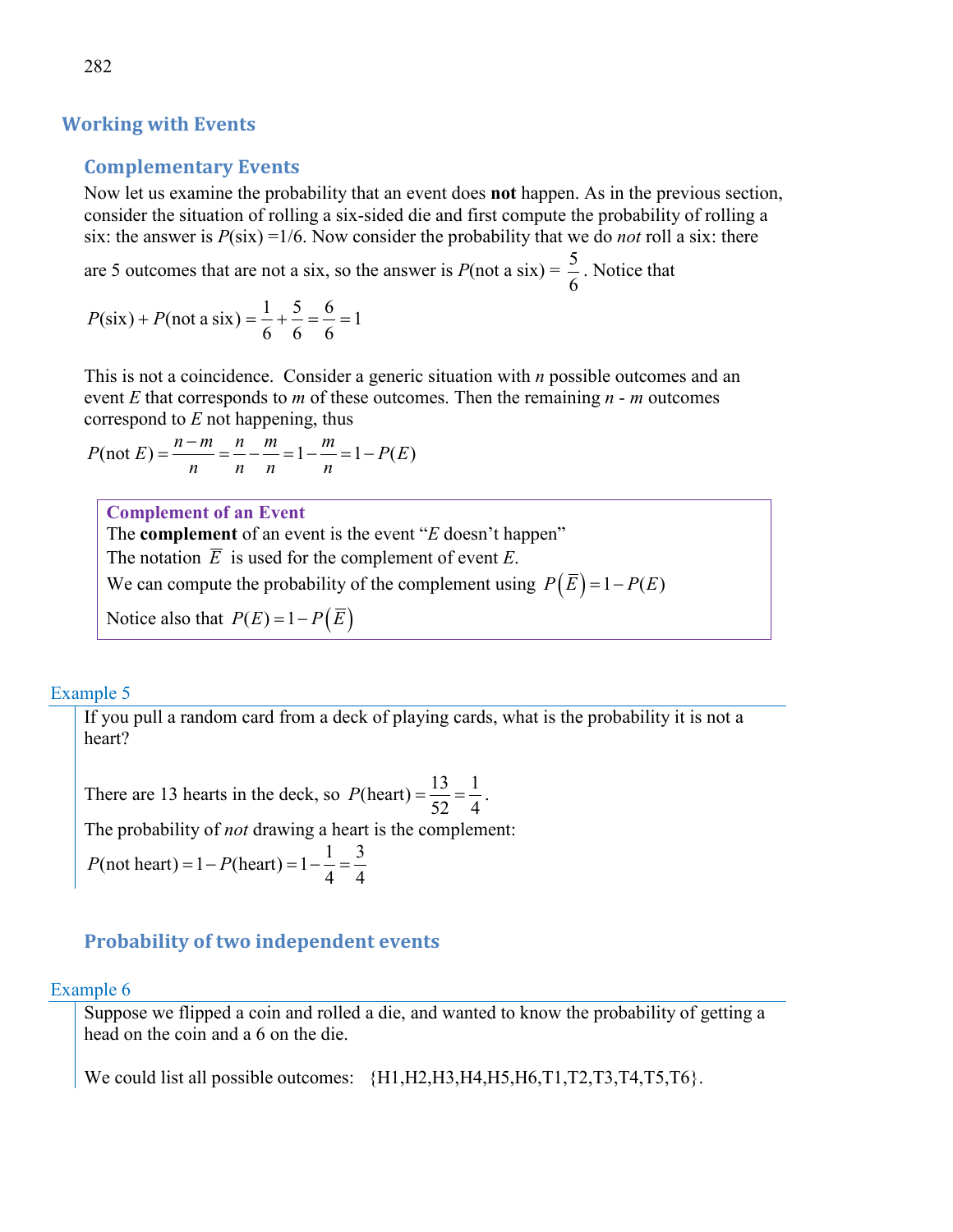#### **Working with Events**

#### **Complementary Events**

Now let us examine the probability that an event does **not** happen. As in the previous section, consider the situation of rolling a six-sided die and first compute the probability of rolling a six: the answer is  $P(six) = 1/6$ . Now consider the probability that we do *not* roll a six: there

are 5 outcomes that are not a six, so the answer is  $P(\text{not a six}) = \frac{5}{6}$ . Notice that

$$
P(\text{six}) + P(\text{not a six}) = \frac{1}{6} + \frac{5}{6} = \frac{6}{6} = 1
$$

This is not a coincidence. Consider a generic situation with *n* possible outcomes and an event *E* that corresponds to *m* of these outcomes. Then the remaining *n* - *m* outcomes correspond to *E* not happening, thus

$$
P(\text{not } E) = \frac{n-m}{n} = \frac{n}{n} - \frac{m}{n} = 1 - \frac{m}{n} = 1 - P(E)
$$

**Complement of an Event** The **complement** of an event is the event "*E* doesn't happen" The notation  $\overline{E}$  is used for the complement of event *E*. We can compute the probability of the complement using  $P(\overline{E}) = 1 - P(E)$ Notice also that  $P(E) = 1 - P(\overline{E})$ 

#### Example 5

If you pull a random card from a deck of playing cards, what is the probability it is not a heart?

There are 13 hearts in the deck, so  $P(\text{heart}) = \frac{13}{52} = \frac{1}{4}$ 52  $P(\text{heart}) = \frac{13}{52} = \frac{1}{4}$ . The probability of *not* drawing a heart is the complement: 4 3 4 *P*(not heart) = 1 – *P*(heart) = 1 –  $\frac{1}{4}$  =

### **Probability of two independent events**

#### Example 6

Suppose we flipped a coin and rolled a die, and wanted to know the probability of getting a head on the coin and a 6 on the die.

We could list all possible outcomes: {H1,H2,H3,H4,H5,H6,T1,T2,T3,T4,T5,T6}.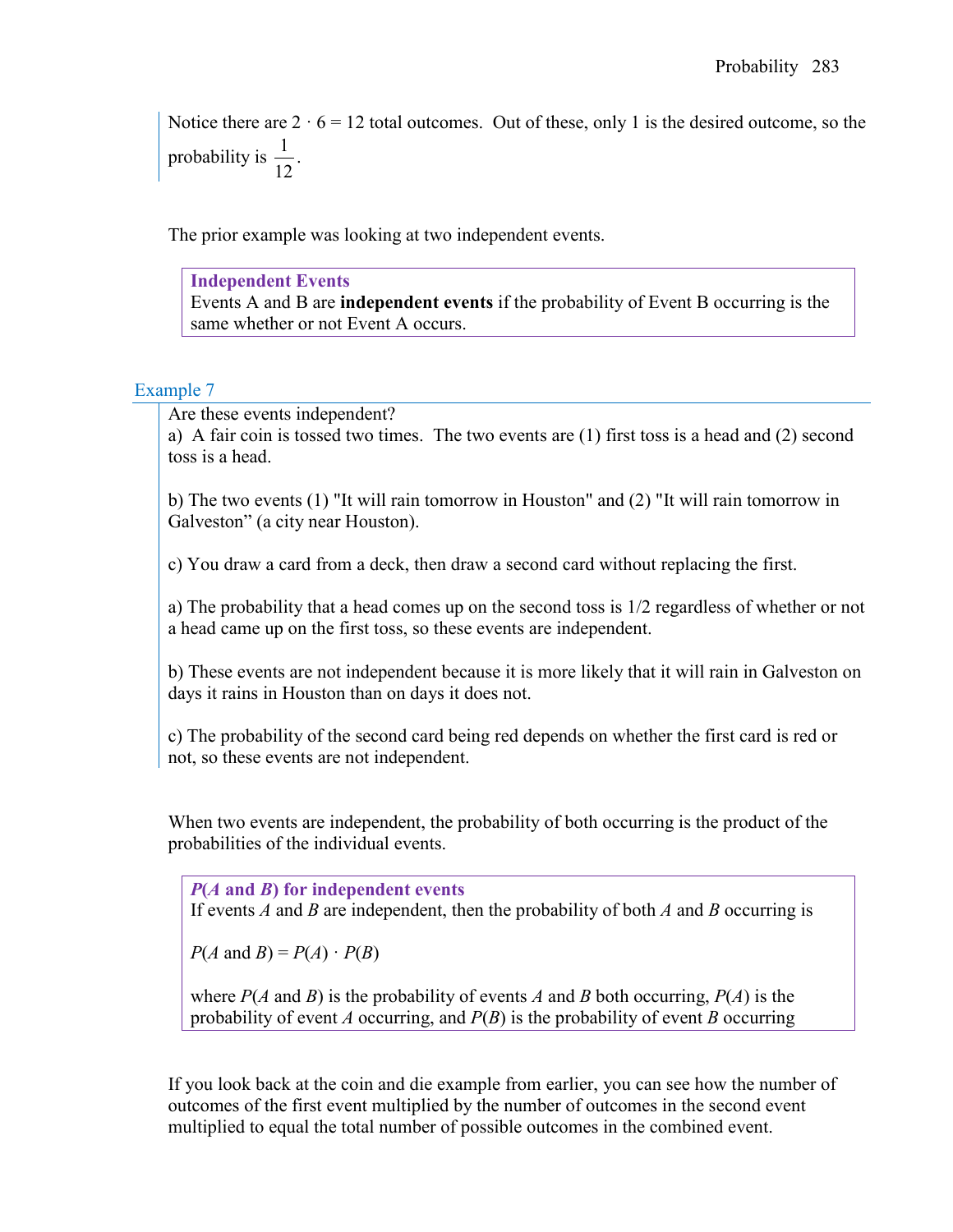Notice there are  $2 \cdot 6 = 12$  total outcomes. Out of these, only 1 is the desired outcome, so the probability is  $\frac{1}{12}$ .

The prior example was looking at two independent events.

#### **Independent Events**

Events A and B are **independent events** if the probability of Event B occurring is the same whether or not Event A occurs.

#### Example 7

Are these events independent?

a) A fair coin is tossed two times. The two events are (1) first toss is a head and (2) second toss is a head.

b) The two events (1) "It will rain tomorrow in Houston" and (2) "It will rain tomorrow in Galveston" (a city near Houston).

c) You draw a card from a deck, then draw a second card without replacing the first.

a) The probability that a head comes up on the second toss is 1/2 regardless of whether or not a head came up on the first toss, so these events are independent.

b) These events are not independent because it is more likely that it will rain in Galveston on days it rains in Houston than on days it does not.

c) The probability of the second card being red depends on whether the first card is red or not, so these events are not independent.

When two events are independent, the probability of both occurring is the product of the probabilities of the individual events.

*P***(***A* **and** *B***) for independent events** If events *A* and *B* are independent, then the probability of both *A* and *B* occurring is

 $P(A \text{ and } B) = P(A) \cdot P(B)$ 

where  $P(A \text{ and } B)$  is the probability of events *A* and *B* both occurring,  $P(A)$  is the probability of event *A* occurring, and *P*(*B*) is the probability of event *B* occurring

If you look back at the coin and die example from earlier, you can see how the number of outcomes of the first event multiplied by the number of outcomes in the second event multiplied to equal the total number of possible outcomes in the combined event.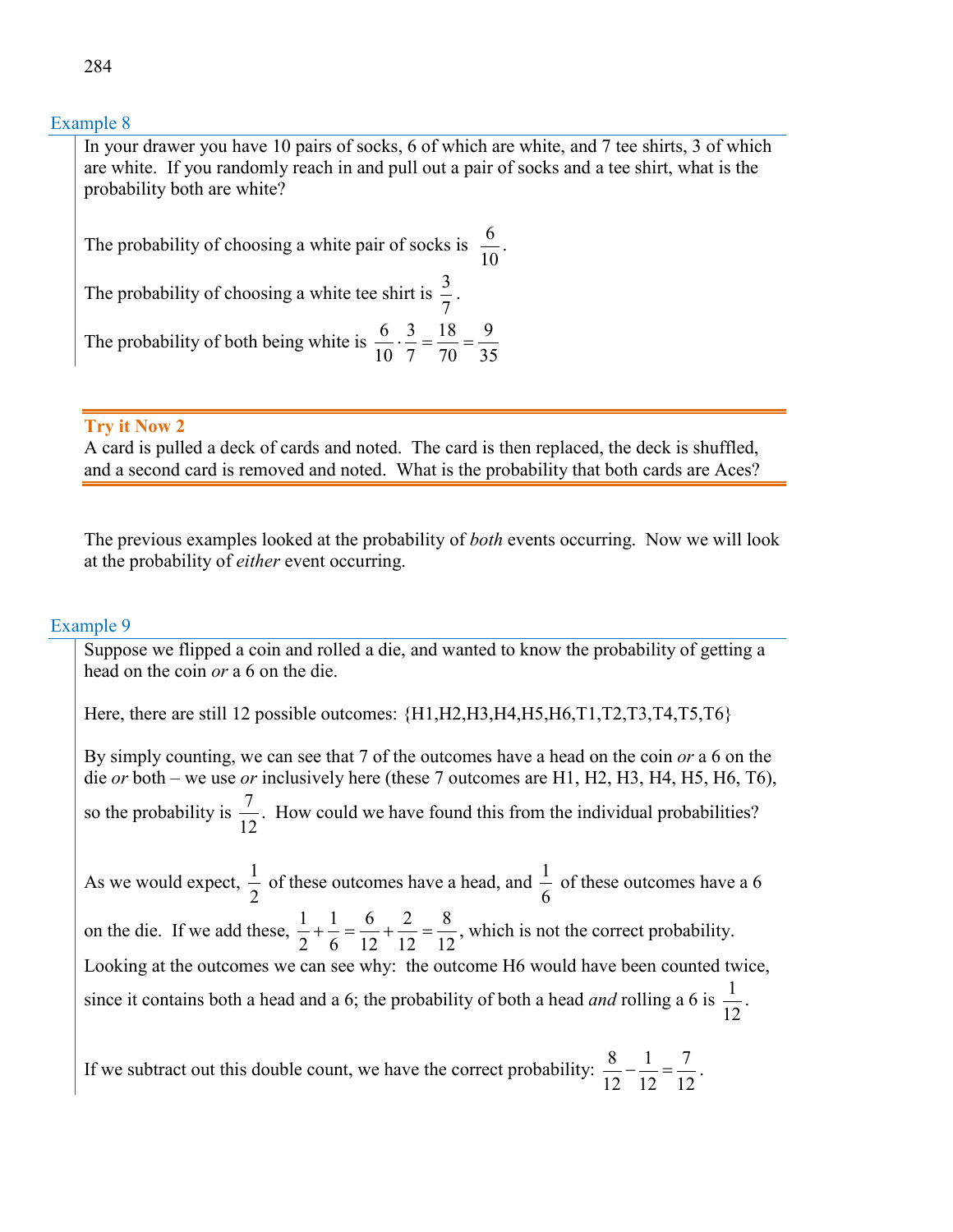#### Example 8

In your drawer you have 10 pairs of socks, 6 of which are white, and 7 tee shirts, 3 of which are white. If you randomly reach in and pull out a pair of socks and a tee shirt, what is the probability both are white?

The probability of choosing a white pair of socks is  $\frac{6}{10}$ . The probability of choosing a white tee shirt is 7  $\frac{3}{7}$ . The probability of both being white is  $\frac{6}{10} \cdot \frac{3}{7} = \frac{18}{70} = \frac{9}{35}$ 70 18 7 3 10  $\frac{6}{10} \cdot \frac{3}{10} = \frac{18}{10} =$ 

#### **Try it Now 2**

A card is pulled a deck of cards and noted. The card is then replaced, the deck is shuffled, and a second card is removed and noted. What is the probability that both cards are Aces?

The previous examples looked at the probability of *both* events occurring. Now we will look at the probability of *either* event occurring.

#### Example 9

Suppose we flipped a coin and rolled a die, and wanted to know the probability of getting a head on the coin *or* a 6 on the die.

Here, there are still 12 possible outcomes:  $\{H1, H2, H3, H4, H5, H6, T1, T2, T3, T4, T5, T6\}$ 

By simply counting, we can see that 7 of the outcomes have a head on the coin *or* a 6 on the die *or* both – we use *or* inclusively here (these 7 outcomes are H1, H2, H3, H4, H5, H6, T6), so the probability is  $\frac{7}{12}$ . How could we have found this from the individual probabilities?

As we would expect,  $\frac{1}{2}$  of these outcomes have a head, and  $\frac{1}{6}$  of these outcomes have a 6 on the die. If we add these,  $\frac{1}{2} + \frac{1}{6} = \frac{6}{12} + \frac{2}{12} = \frac{8}{12}$ 12 2 12 6 6 1 2  $\frac{1}{2} + \frac{1}{6} = \frac{6}{12} + \frac{2}{12} = \frac{8}{12}$ , which is not the correct probability. Looking at the outcomes we can see why: the outcome H6 would have been counted twice, since it contains both a head and a 6; the probability of both a head *and* rolling a 6 is  $\frac{1}{12}$ .

If we subtract out this double count, we have the correct probability:  $\frac{8}{12} - \frac{1}{12} = \frac{7}{12}$ 12 1 12  $\frac{8}{2} - \frac{1}{12} = \frac{7}{12}$ .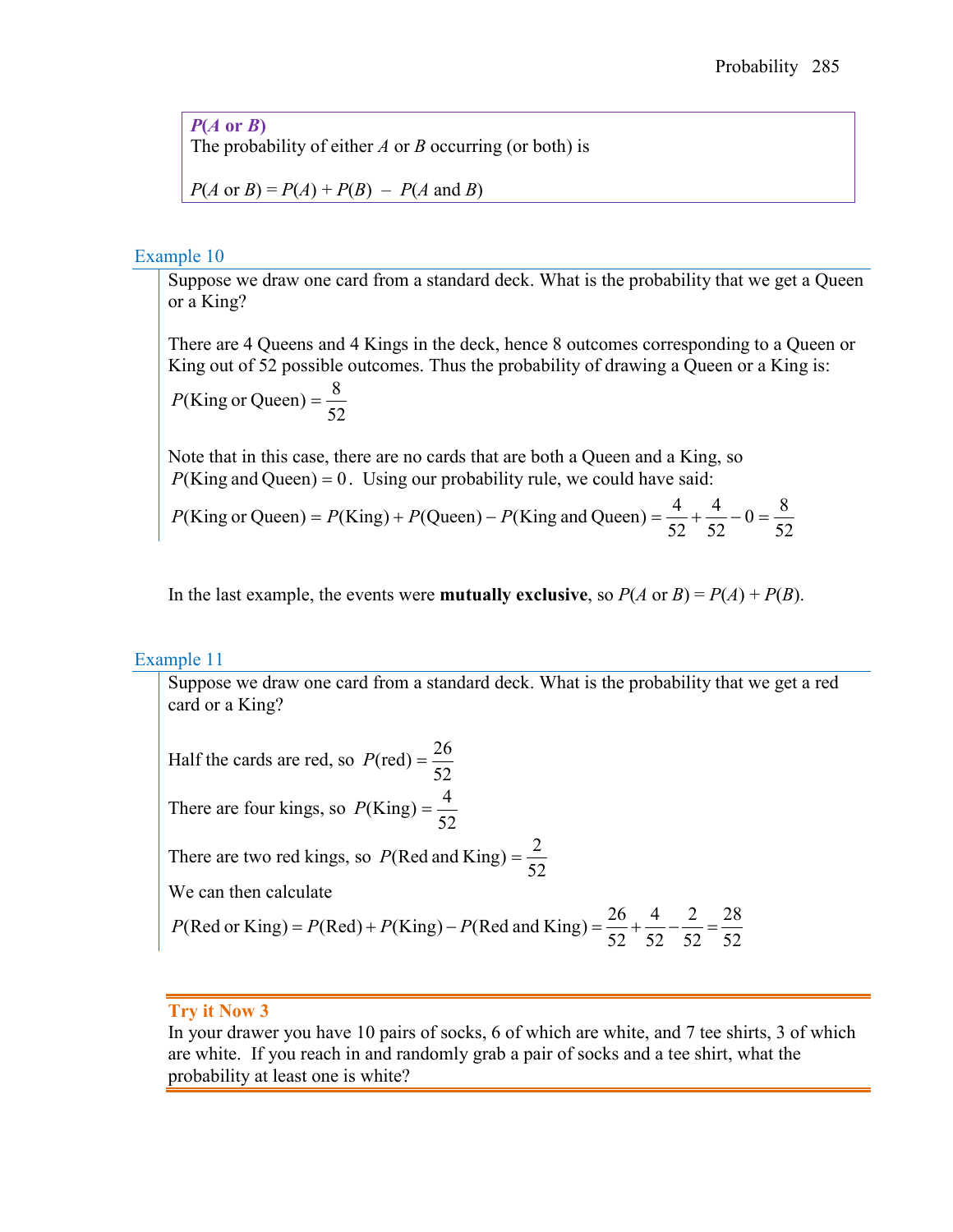*P***(***A* **or** *B***)** The probability of either *A* or *B* occurring (or both) is

*P*(*A* or *B*) = *P*(*A*) + *P*(*B*) – *P*(*A* and *B*)

#### Example 10

Suppose we draw one card from a standard deck. What is the probability that we get a Queen or a King?

There are 4 Queens and 4 Kings in the deck, hence 8 outcomes corresponding to a Queen or King out of 52 possible outcomes. Thus the probability of drawing a Queen or a King is:

$$
P(\text{King or Queen}) = \frac{8}{52}
$$

Note that in this case, there are no cards that are both a Queen and a King, so  $P(King and Queen) = 0$ . Using our probability rule, we could have said:

52  $0 = \frac{8}{75}$ 52 4 52  $P(King or Queen) = P(King) + P(Queen) - P(King and Queen) = \frac{4}{52} + \frac{4}{52} - 0 =$ 

In the last example, the events were **mutually exclusive**, so  $P(A \text{ or } B) = P(A) + P(B)$ .

### Example 11

Suppose we draw one card from a standard deck. What is the probability that we get a red card or a King?

Half the cards are red, so 
$$
P(\text{red}) = \frac{26}{52}
$$
  
\nThere are four kings, so  $P(\text{King}) = \frac{4}{52}$   
\nThere are two red kings, so  $P(\text{Red and King}) = \frac{2}{52}$   
\nWe can then calculate  
\n $P(\text{Red or King}) = P(\text{Red}) + P(\text{King}) - P(\text{Red and King}) = \frac{26}{52} + \frac{4}{52} - \frac{2}{52} = \frac{28}{52}$ 

### **Try it Now 3**

In your drawer you have 10 pairs of socks, 6 of which are white, and 7 tee shirts, 3 of which are white. If you reach in and randomly grab a pair of socks and a tee shirt, what the probability at least one is white?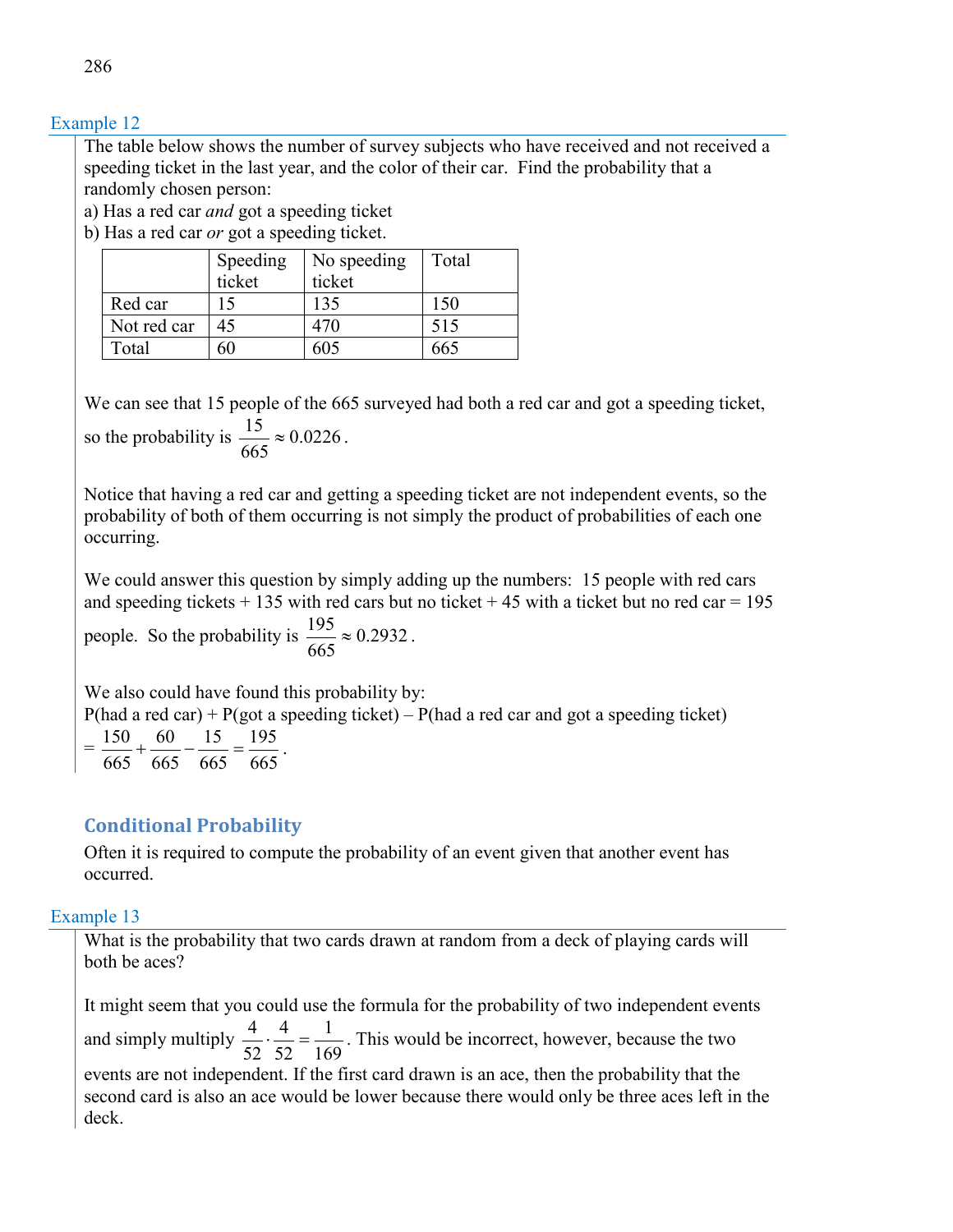## Example 12

The table below shows the number of survey subjects who have received and not received a speeding ticket in the last year, and the color of their car. Find the probability that a randomly chosen person:

a) Has a red car *and* got a speeding ticket

b) Has a red car *or* got a speeding ticket.

|             | Speeding<br>ticket | No speeding |     |
|-------------|--------------------|-------------|-----|
|             |                    | ticket      |     |
| Red car     |                    | 135         | 150 |
| Not red car | 45                 | 470         | 515 |
| Total       |                    | 605         | 665 |

We can see that 15 people of the 665 surveyed had both a red car and got a speeding ticket,  $\frac{15}{65} \approx 0.0226$ .

so the probability is  $\frac{15}{665} \approx 0.0226$ 665

Notice that having a red car and getting a speeding ticket are not independent events, so the probability of both of them occurring is not simply the product of probabilities of each one occurring.

We could answer this question by simply adding up the numbers: 15 people with red cars and speeding tickets  $+ 135$  with red cars but no ticket  $+ 45$  with a ticket but no red car = 195 people. So the probability is  $\frac{155}{665} \approx 0.2932$ 665  $\frac{195}{655} \approx 0.2932$ .

We also could have found this probability by: P(had a red car) + P(got a speeding ticket) – P(had a red car and got a speeding ticket) = 665 195 665 15 665 60 665  $\frac{150}{150} + \frac{60}{150} - \frac{15}{150} = \frac{195}{150}$ 

# **Conditional Probability**

Often it is required to compute the probability of an event given that another event has occurred.

### Example 13

What is the probability that two cards drawn at random from a deck of playing cards will both be aces?

It might seem that you could use the formula for the probability of two independent events and simply multiply  $\frac{4}{52} \cdot \frac{4}{52} = \frac{1}{169}$ 52 4 52  $\frac{4}{52} \cdot \frac{4}{52} = \frac{1}{168}$ . This would be incorrect, however, because the two events are not independent. If the first card drawn is an ace, then the probability that the second card is also an ace would be lower because there would only be three aces left in the deck.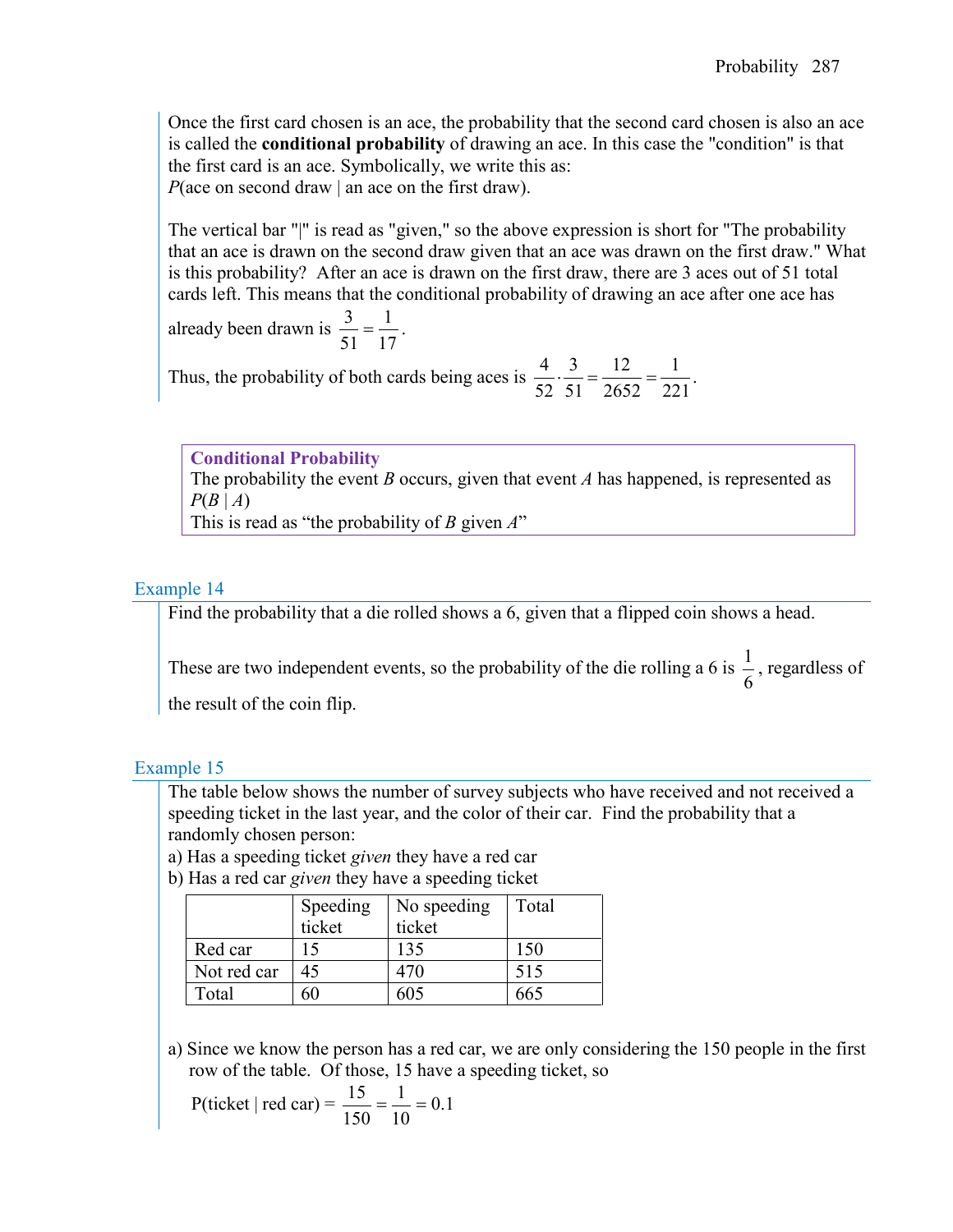Once the first card chosen is an ace, the probability that the second card chosen is also an ace is called the **conditional probability** of drawing an ace. In this case the "condition" is that the first card is an ace. Symbolically, we write this as: *P*(ace on second draw | an ace on the first draw).

The vertical bar "|" is read as "given," so the above expression is short for "The probability that an ace is drawn on the second draw given that an ace was drawn on the first draw." What is this probability? After an ace is drawn on the first draw, there are 3 aces out of 51 total cards left. This means that the conditional probability of drawing an ace after one ace has 1

already been drawn is 17 51  $\frac{3}{2} = \frac{1}{15}$ .

Thus, the probability of both cards being aces is  $\frac{4}{52} \cdot \frac{3}{51} = \frac{12}{2652} = \frac{1}{221}$ .

**Conditional Probability** The probability the event *B* occurs, given that event *A* has happened, is represented as  $P(B \mid A)$ This is read as "the probability of *B* given *A*"

### Example 14

Find the probability that a die rolled shows a  $6$ , given that a flipped coin shows a head.

These are two independent events, so the probability of the die rolling a 6 is  $\frac{1}{6}$ , regardless of

the result of the coin flip.

#### Example 15

The table below shows the number of survey subjects who have received and not received a speeding ticket in the last year, and the color of their car. Find the probability that a randomly chosen person:

a) Has a speeding ticket *given* they have a red car

b) Has a red car *given* they have a speeding ticket

|             | Speeding | No speeding | Total |
|-------------|----------|-------------|-------|
|             | ticket   | ticket      |       |
| Red car     |          | 135         | 150   |
| Not red car | 45       | 470         | 515   |
| Total       | 60       | 605         | 665   |

a) Since we know the person has a red car, we are only considering the 150 people in the first row of the table. Of those, 15 have a speeding ticket, so

P(ticket | red car) = 
$$
\frac{15}{150} = \frac{1}{10} = 0.1
$$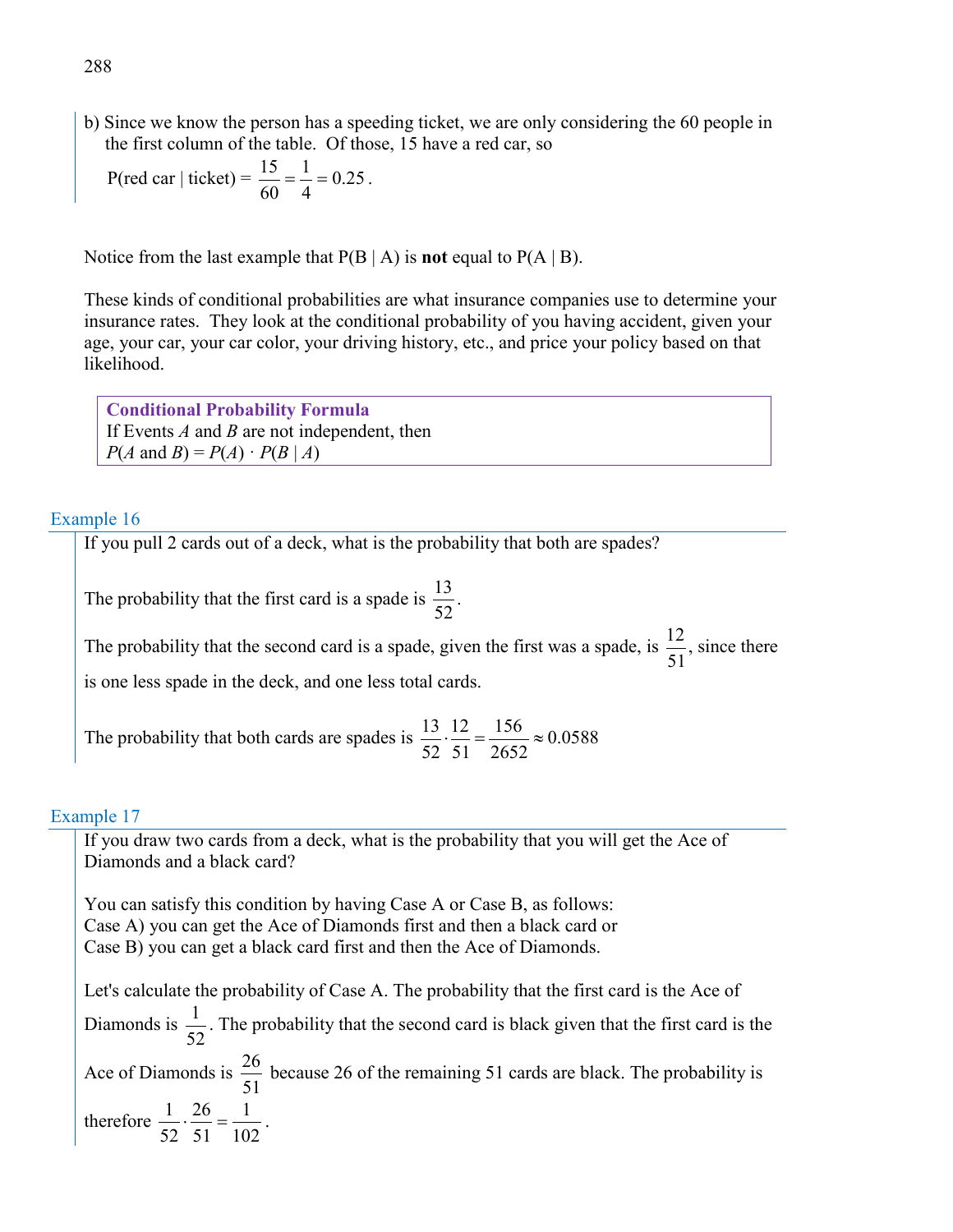b) Since we know the person has a speeding ticket, we are only considering the 60 people in the first column of the table. Of those, 15 have a red car, so

$$
P(\text{red car} \mid \text{ticket}) = \frac{15}{60} = \frac{1}{4} = 0.25 \, .
$$

Notice from the last example that P(B | A) is **not** equal to P(A | B).

These kinds of conditional probabilities are what insurance companies use to determine your insurance rates. They look at the conditional probability of you having accident, given your age, your car, your car color, your driving history, etc., and price your policy based on that likelihood.

**Conditional Probability Formula** If Events *A* and *B* are not independent, then  $P(A \text{ and } B) = P(A) \cdot P(B \mid A)$ 

## Example 16

If you pull 2 cards out of a deck, what is the probability that both are spades?

The probability that the first card is a spade is  $\frac{13}{52}$ .

The probability that the second card is a spade, given the first was a spade, is  $\frac{12}{51}$ , since there is one less spade in the deck, and one less total cards.

The probability that both cards are spades is  $\frac{15}{52} \cdot \frac{12}{54} = \frac{150}{2552} \approx 0.0588$ 2652 156 51 12 52  $\frac{13}{22} \cdot \frac{12}{24} = \frac{156}{2652} \approx$ 

## Example 17

If you draw two cards from a deck, what is the probability that you will get the Ace of Diamonds and a black card?

You can satisfy this condition by having Case A or Case B, as follows: Case A) you can get the Ace of Diamonds first and then a black card or Case B) you can get a black card first and then the Ace of Diamonds.

Let's calculate the probability of Case A. The probability that the first card is the Ace of Diamonds is 52  $\frac{1}{2}$ . The probability that the second card is black given that the first card is the Ace of Diamonds is 51  $\frac{26}{51}$  because 26 of the remaining 51 cards are black. The probability is therefore 102 1 51 26 52  $\frac{1}{22} \cdot \frac{26}{51} = \frac{1}{102}$ .

288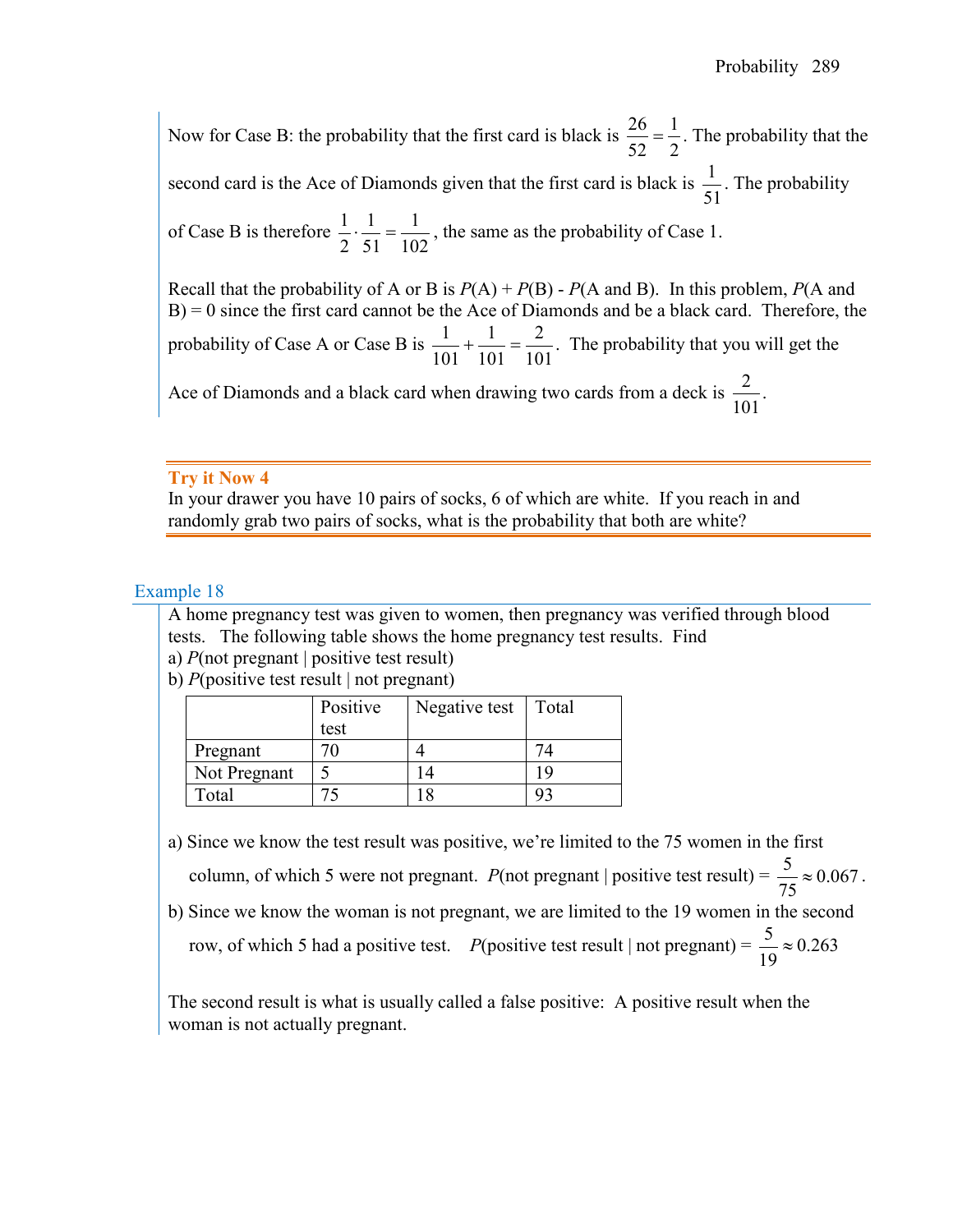Now for Case B: the probability that the first card is black is  $\frac{26}{52} = \frac{1}{2}$ 52  $\frac{26}{52} = \frac{1}{2}$ . The probability that the second card is the Ace of Diamonds given that the first card is black is  $\frac{1}{51}$ . The probability of Case B is therefore 102 1 51 1 2  $\frac{1}{2} \cdot \frac{1}{51} = \frac{1}{102}$ , the same as the probability of Case 1. Recall that the probability of A or B is  $P(A) + P(B) - P(A \text{ and } B)$ . In this problem,  $P(A \text{ and } B)$  $B$ ) = 0 since the first card cannot be the Ace of Diamonds and be a black card. Therefore, the probability of Case A or Case B is  $\frac{1}{101} + \frac{1}{101} = \frac{2}{101}$ 1  $\frac{1}{2} + \frac{1}{101} = \frac{2}{101}$ . The probability that you will get the

Ace of Diamonds and a black card when drawing two cards from a deck is 101  $\frac{2}{\sqrt{2}}$ .

101

101

#### **Try it Now 4**

In your drawer you have 10 pairs of socks, 6 of which are white. If you reach in and randomly grab two pairs of socks, what is the probability that both are white?

#### Example 18

A home pregnancy test was given to women, then pregnancy was verified through blood tests. The following table shows the home pregnancy test results. Find a) *P*(not pregnant | positive test result)

b) *P*(positive test result | not pregnant)

|              | Positive | Negative test | Total |
|--------------|----------|---------------|-------|
|              | test     |               |       |
| Pregnant     |          |               |       |
| Not Pregnant |          |               | ١q    |
| Total        |          |               |       |

a) Since we know the test result was positive, we're limited to the 75 women in the first column, of which 5 were not pregnant. *P*(not pregnant | positive test result) =  $\frac{v}{\sigma_0} \approx 0.067$ 75  $\frac{5}{25} \approx 0.067$ . b) Since we know the woman is not pregnant, we are limited to the 19 women in the second  $\frac{5}{2}$  ≈

row, of which 5 had a positive test. *P*(positive test result | not pregnant) =  $\frac{6}{10} \approx 0.263$ 19

The second result is what is usually called a false positive: A positive result when the woman is not actually pregnant.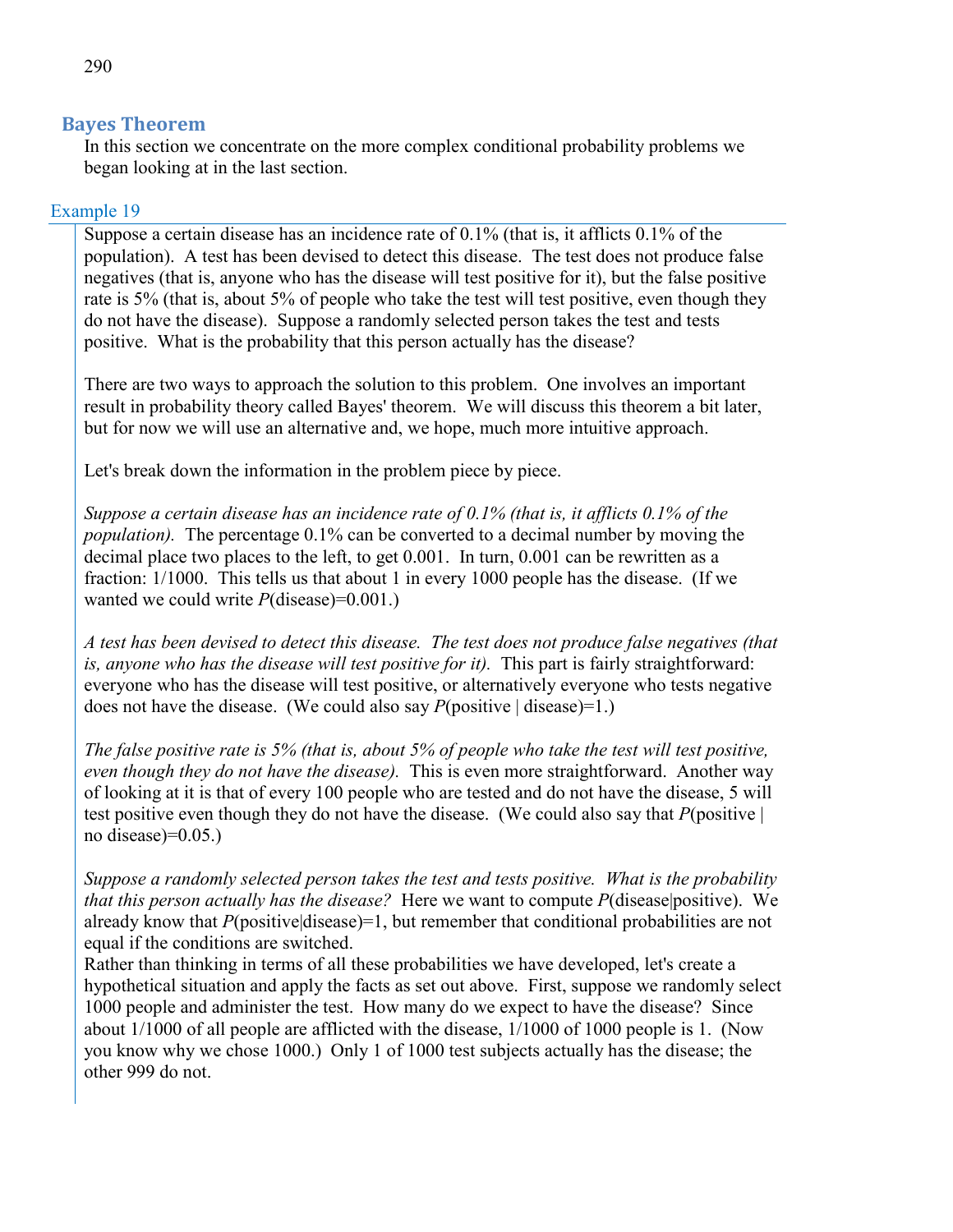#### **Bayes Theorem**

In this section we concentrate on the more complex conditional probability problems we began looking at in the last section.

#### Example 19

Suppose a certain disease has an incidence rate of 0.1% (that is, it afflicts 0.1% of the population). A test has been devised to detect this disease. The test does not produce false negatives (that is, anyone who has the disease will test positive for it), but the false positive rate is 5% (that is, about 5% of people who take the test will test positive, even though they do not have the disease). Suppose a randomly selected person takes the test and tests positive. What is the probability that this person actually has the disease?

There are two ways to approach the solution to this problem. One involves an important result in probability theory called Bayes' theorem. We will discuss this theorem a bit later, but for now we will use an alternative and, we hope, much more intuitive approach.

Let's break down the information in the problem piece by piece.

*Suppose a certain disease has an incidence rate of 0.1% (that is, it afflicts 0.1% of the population).* The percentage 0.1% can be converted to a decimal number by moving the decimal place two places to the left, to get 0.001. In turn, 0.001 can be rewritten as a fraction: 1/1000. This tells us that about 1 in every 1000 people has the disease. (If we wanted we could write *P*(disease)=0.001.)

*A test has been devised to detect this disease. The test does not produce false negatives (that is, anyone who has the disease will test positive for it).* This part is fairly straightforward: everyone who has the disease will test positive, or alternatively everyone who tests negative does not have the disease. (We could also say  $P(\text{positive} \mid \text{disease})=1.$ )

*The false positive rate is 5% (that is, about 5% of people who take the test will test positive, even though they do not have the disease).* This is even more straightforward. Another way of looking at it is that of every 100 people who are tested and do not have the disease, 5 will test positive even though they do not have the disease. (We could also say that *P*(positive | no disease)=0.05.)

*Suppose a randomly selected person takes the test and tests positive. What is the probability that this person actually has the disease?* Here we want to compute *P*(disease|positive). We already know that *P*(positive|disease)=1, but remember that conditional probabilities are not equal if the conditions are switched.

Rather than thinking in terms of all these probabilities we have developed, let's create a hypothetical situation and apply the facts as set out above. First, suppose we randomly select 1000 people and administer the test. How many do we expect to have the disease? Since about 1/1000 of all people are afflicted with the disease, 1/1000 of 1000 people is 1. (Now you know why we chose 1000.) Only 1 of 1000 test subjects actually has the disease; the other 999 do not.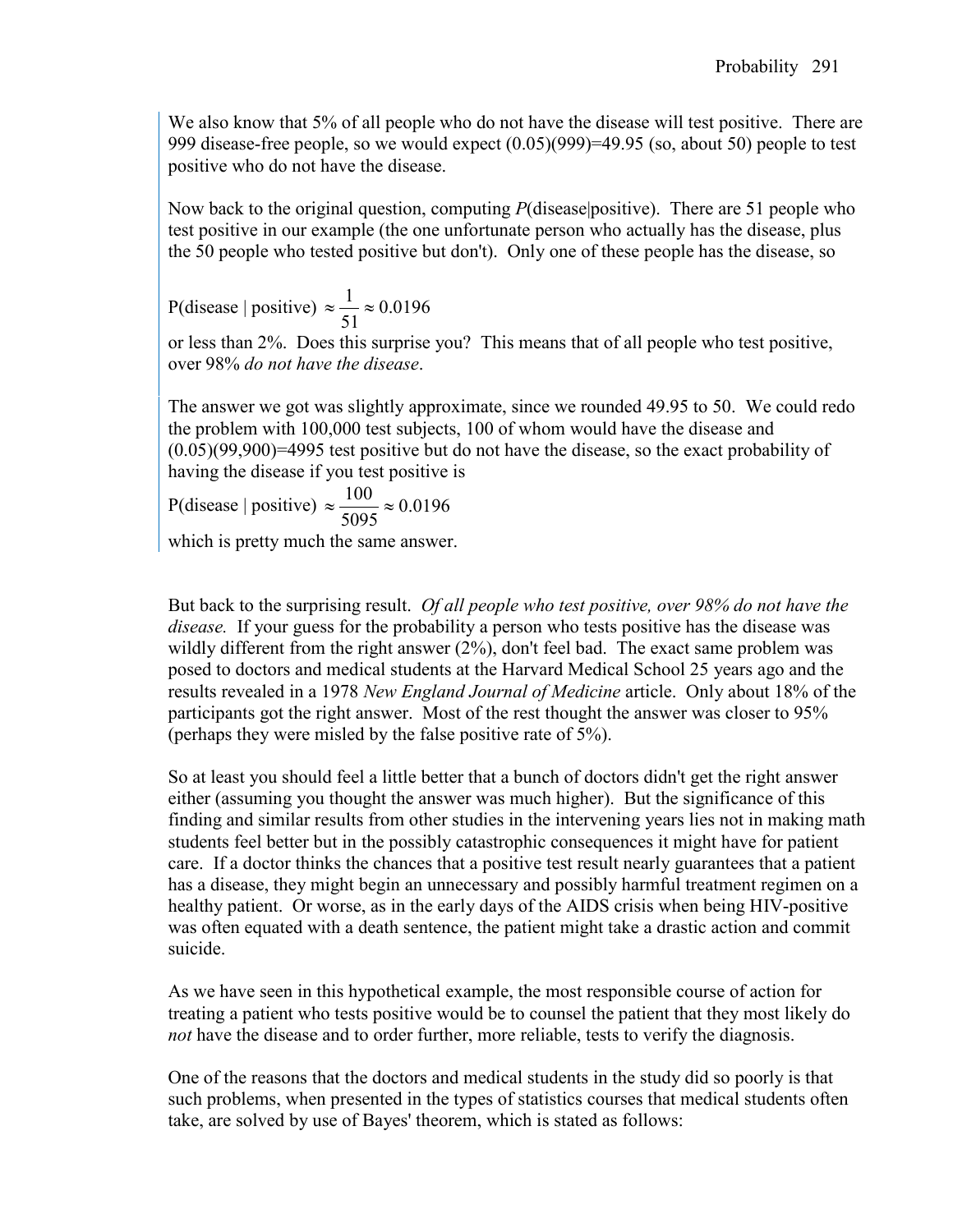We also know that 5% of all people who do not have the disease will test positive. There are 999 disease-free people, so we would expect (0.05)(999)=49.95 (so, about 50) people to test positive who do not have the disease.

Now back to the original question, computing *P*(disease positive). There are 51 people who test positive in our example (the one unfortunate person who actually has the disease, plus the 50 people who tested positive but don't). Only one of these people has the disease, so

P(disease | positive)  $\approx \frac{1}{5.1} \approx 0.0196$ 51  $\approx \frac{1}{\cdot \cdot \cdot} \approx$ 

or less than 2%. Does this surprise you? This means that of all people who test positive, over 98% *do not have the disease*.

The answer we got was slightly approximate, since we rounded 49.95 to 50. We could redo the problem with 100,000 test subjects, 100 of whom would have the disease and  $(0.05)(99,900)=4995$  test positive but do not have the disease, so the exact probability of having the disease if you test positive is

P(disease | positive) 
$$
\approx \frac{100}{5095} \approx 0.0196
$$

which is pretty much the same answer.

But back to the surprising result. *Of all people who test positive, over 98% do not have the disease.* If your guess for the probability a person who tests positive has the disease was wildly different from the right answer (2%), don't feel bad. The exact same problem was posed to doctors and medical students at the Harvard Medical School 25 years ago and the results revealed in a 1978 *New England Journal of Medicine* article. Only about 18% of the participants got the right answer. Most of the rest thought the answer was closer to 95% (perhaps they were misled by the false positive rate of 5%).

So at least you should feel a little better that a bunch of doctors didn't get the right answer either (assuming you thought the answer was much higher). But the significance of this finding and similar results from other studies in the intervening years lies not in making math students feel better but in the possibly catastrophic consequences it might have for patient care. If a doctor thinks the chances that a positive test result nearly guarantees that a patient has a disease, they might begin an unnecessary and possibly harmful treatment regimen on a healthy patient. Or worse, as in the early days of the AIDS crisis when being HIV-positive was often equated with a death sentence, the patient might take a drastic action and commit suicide.

As we have seen in this hypothetical example, the most responsible course of action for treating a patient who tests positive would be to counsel the patient that they most likely do *not* have the disease and to order further, more reliable, tests to verify the diagnosis.

One of the reasons that the doctors and medical students in the study did so poorly is that such problems, when presented in the types of statistics courses that medical students often take, are solved by use of Bayes' theorem, which is stated as follows: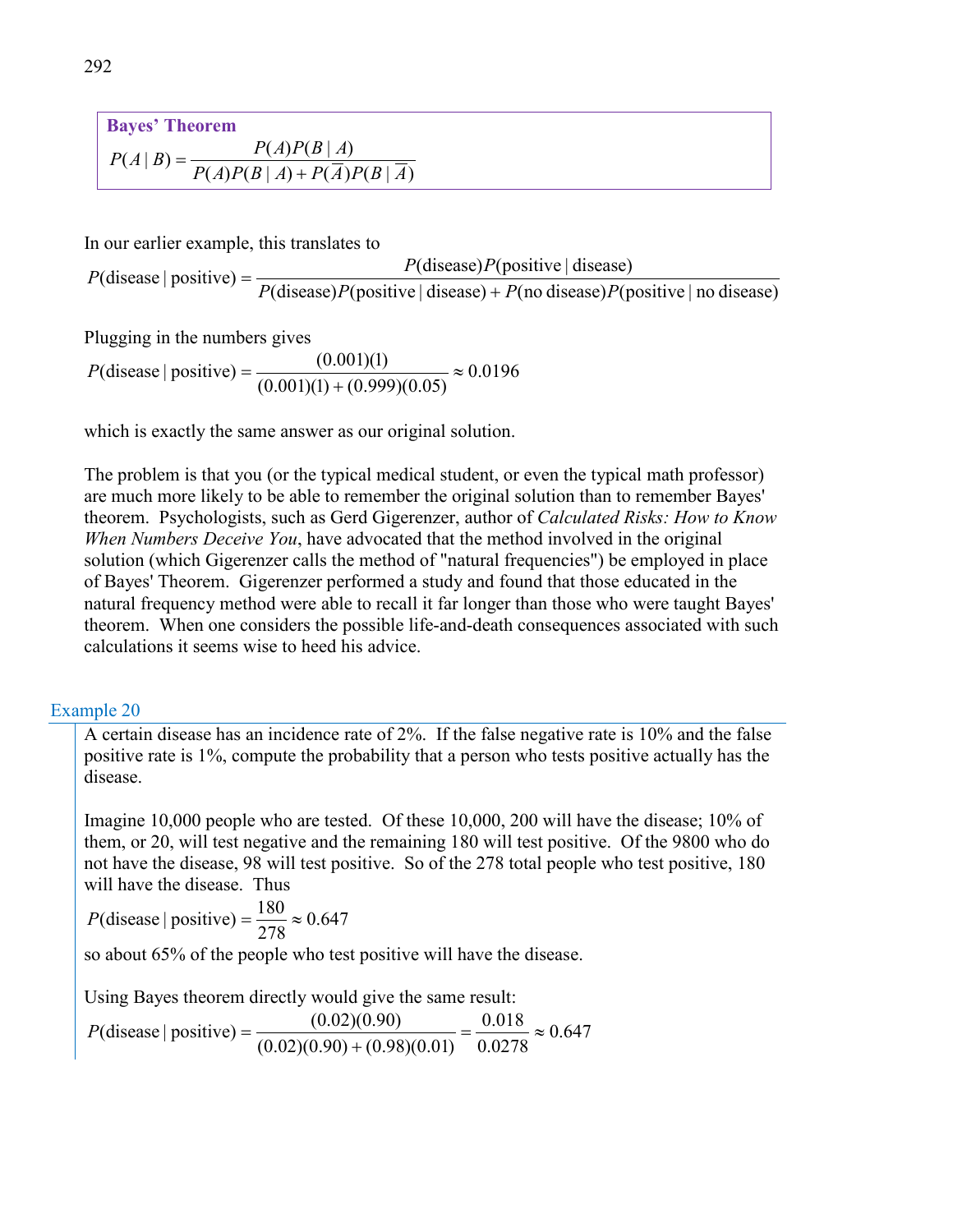$P(A | B) = \frac{P(A)P(B | A)}{P(A)P(B | A) + P(\overline{A})P(B | \overline{A})}$ 

In our earlier example, this translates to

 $P(\text{disease} | \text{positive}) = \frac{P(\text{disease})P(\text{positive} | \text{disease})}{P(\text{disease}) + P(\text{no disease})P(\text{positive} | \text{no disease})}$ 

Plugging in the numbers gives

**Bayes' Theorem**

0.0196  $P(\text{disease} \mid \text{positive}) = \frac{(0.001)(1)}{(0.001)(1) + (0.999)(0.05)} \approx$ 

which is exactly the same answer as our original solution.

The problem is that you (or the typical medical student, or even the typical math professor) are much more likely to be able to remember the original solution than to remember Bayes' theorem. Psychologists, such as Gerd Gigerenzer, author of *Calculated Risks: How to Know When Numbers Deceive You*, have advocated that the method involved in the original solution (which Gigerenzer calls the method of "natural frequencies") be employed in place of Bayes' Theorem. Gigerenzer performed a study and found that those educated in the natural frequency method were able to recall it far longer than those who were taught Bayes' theorem. When one considers the possible life-and-death consequences associated with such calculations it seems wise to heed his advice.

#### Example 20

A certain disease has an incidence rate of 2%. If the false negative rate is 10% and the false positive rate is 1%, compute the probability that a person who tests positive actually has the disease.

Imagine 10,000 people who are tested. Of these 10,000, 200 will have the disease; 10% of them, or 20, will test negative and the remaining 180 will test positive. Of the 9800 who do not have the disease, 98 will test positive. So of the 278 total people who test positive, 180 will have the disease. Thus

0.647 278  $P$ (disease | positive) =  $\frac{180}{250}$   $\approx$ 

so about 65% of the people who test positive will have the disease.

Using Bayes theorem directly would give the same result: 0.647 0.0278 0.018  $P(\text{disease} \mid \text{positive}) = \frac{(0.02)(0.90)}{(0.02)(0.90) + (0.98)(0.01)} = \frac{0.018}{0.0278} \approx$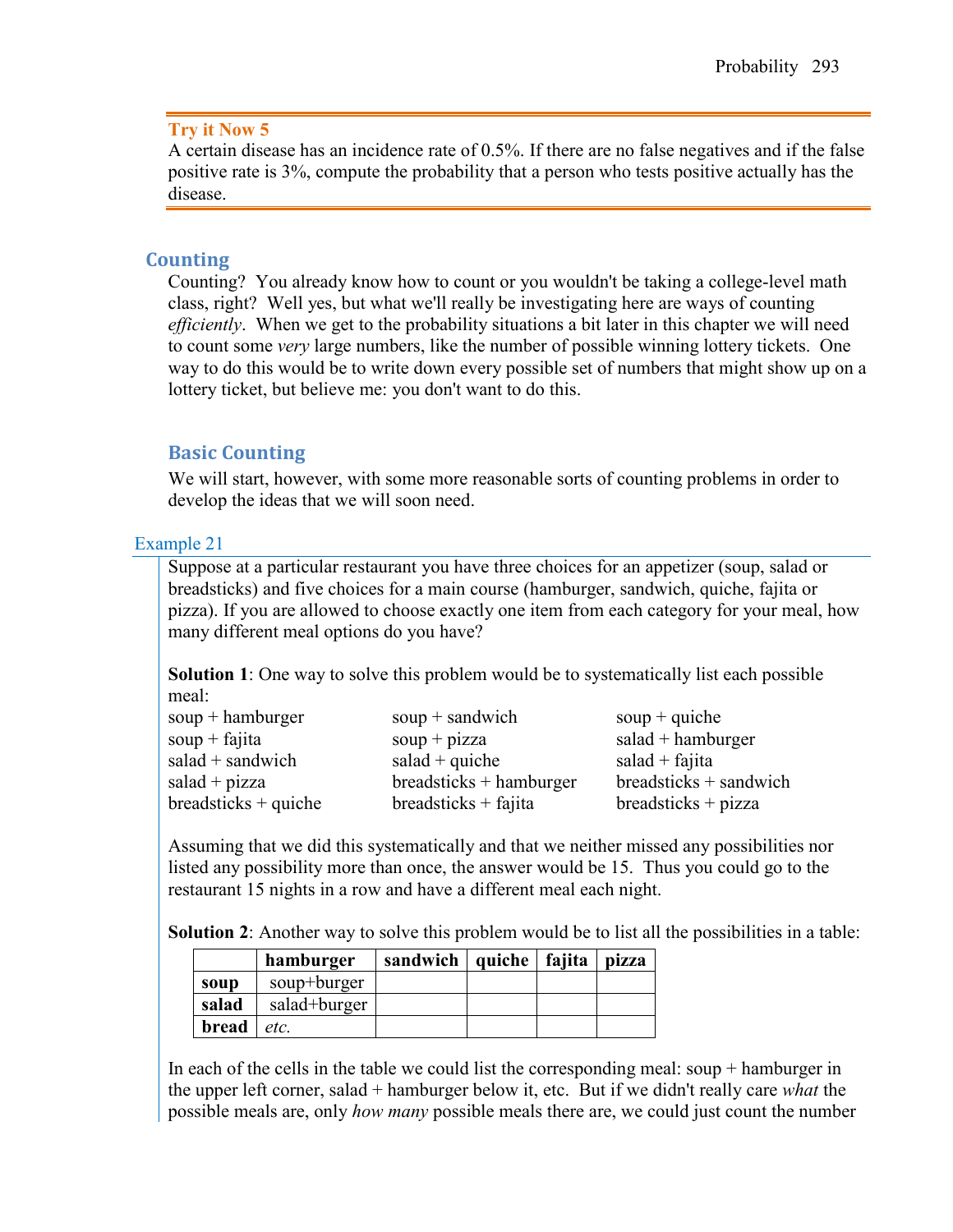#### **Try it Now 5**

A certain disease has an incidence rate of 0.5%. If there are no false negatives and if the false positive rate is 3%, compute the probability that a person who tests positive actually has the disease.

#### **Counting**

Counting? You already know how to count or you wouldn't be taking a college-level math class, right? Well yes, but what we'll really be investigating here are ways of counting *efficiently*. When we get to the probability situations a bit later in this chapter we will need to count some *very* large numbers, like the number of possible winning lottery tickets. One way to do this would be to write down every possible set of numbers that might show up on a lottery ticket, but believe me: you don't want to do this.

### **Basic Counting**

We will start, however, with some more reasonable sorts of counting problems in order to develop the ideas that we will soon need.

#### Example 21

Suppose at a particular restaurant you have three choices for an appetizer (soup, salad or breadsticks) and five choices for a main course (hamburger, sandwich, quiche, fajita or pizza). If you are allowed to choose exactly one item from each category for your meal, how many different meal options do you have?

**Solution 1**: One way to solve this problem would be to systematically list each possible meal:

| $soup + sandwich$    | $soup + quick$      |
|----------------------|---------------------|
| $soup + pizza$       | salad + hamburger   |
| salad + quiche       | salad + fajita      |
| $breaks + hamburger$ | $breaks + sandwich$ |
| $breaks + fajita$    | $breaks + pizza$    |
|                      |                     |

Assuming that we did this systematically and that we neither missed any possibilities nor listed any possibility more than once, the answer would be 15. Thus you could go to the restaurant 15 nights in a row and have a different meal each night.

**Solution 2**: Another way to solve this problem would be to list all the possibilities in a table:

|       | hamburger    | sandwich | quiche   fajita | pizza |
|-------|--------------|----------|-----------------|-------|
| soup  | soup+burger  |          |                 |       |
| salad | salad+burger |          |                 |       |
| bread | etc.         |          |                 |       |

In each of the cells in the table we could list the corresponding meal: soup  $+$  hamburger in the upper left corner, salad + hamburger below it, etc. But if we didn't really care *what* the possible meals are, only *how many* possible meals there are, we could just count the number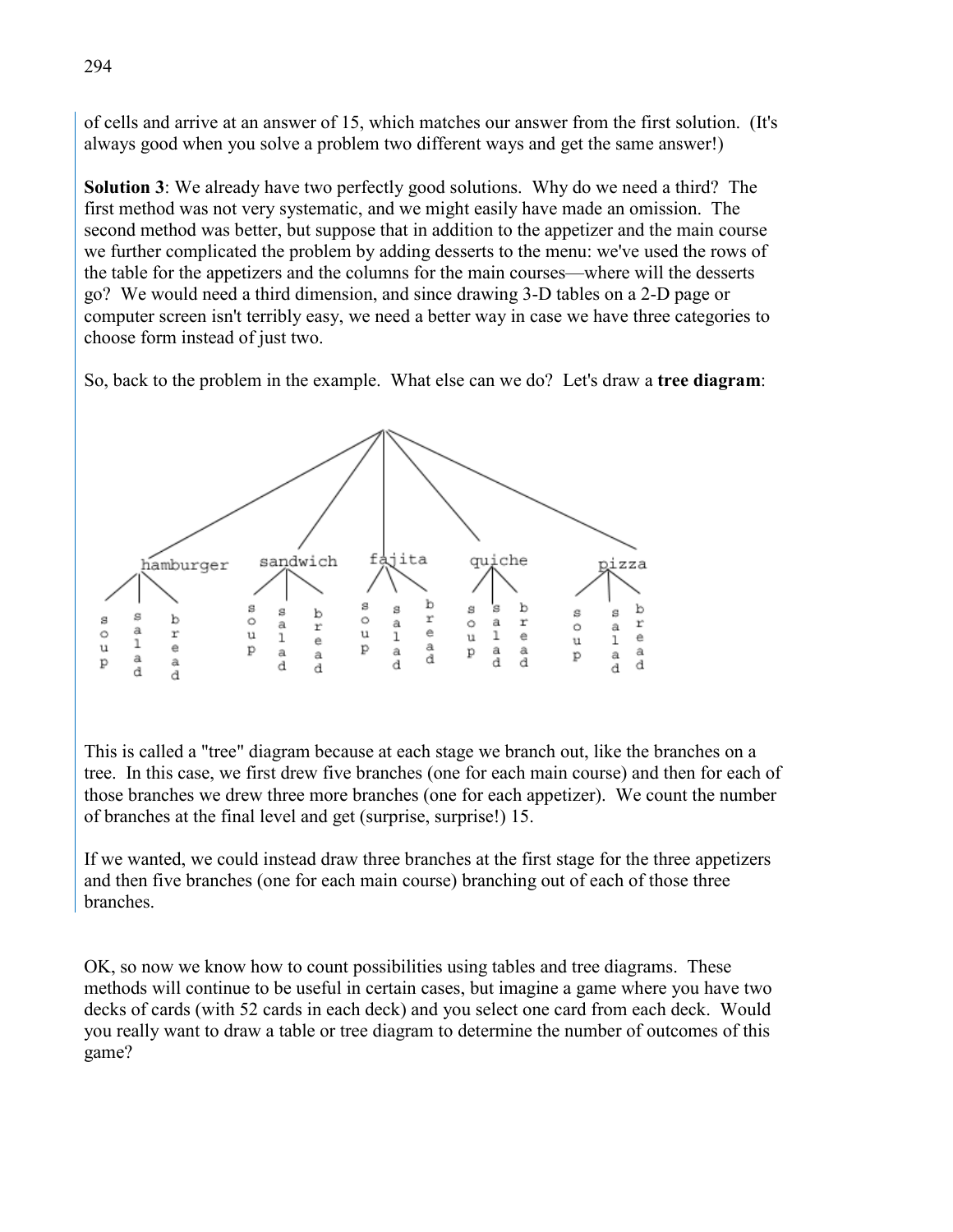of cells and arrive at an answer of 15, which matches our answer from the first solution. (It's always good when you solve a problem two different ways and get the same answer!)

**Solution 3**: We already have two perfectly good solutions. Why do we need a third? The first method was not very systematic, and we might easily have made an omission. The second method was better, but suppose that in addition to the appetizer and the main course we further complicated the problem by adding desserts to the menu: we've used the rows of the table for the appetizers and the columns for the main courses—where will the desserts go? We would need a third dimension, and since drawing 3-D tables on a 2-D page or computer screen isn't terribly easy, we need a better way in case we have three categories to choose form instead of just two.

So, back to the problem in the example. What else can we do? Let's draw a **tree diagram**:



This is called a "tree" diagram because at each stage we branch out, like the branches on a tree. In this case, we first drew five branches (one for each main course) and then for each of those branches we drew three more branches (one for each appetizer). We count the number of branches at the final level and get (surprise, surprise!) 15.

If we wanted, we could instead draw three branches at the first stage for the three appetizers and then five branches (one for each main course) branching out of each of those three branches.

OK, so now we know how to count possibilities using tables and tree diagrams. These methods will continue to be useful in certain cases, but imagine a game where you have two decks of cards (with 52 cards in each deck) and you select one card from each deck. Would you really want to draw a table or tree diagram to determine the number of outcomes of this game?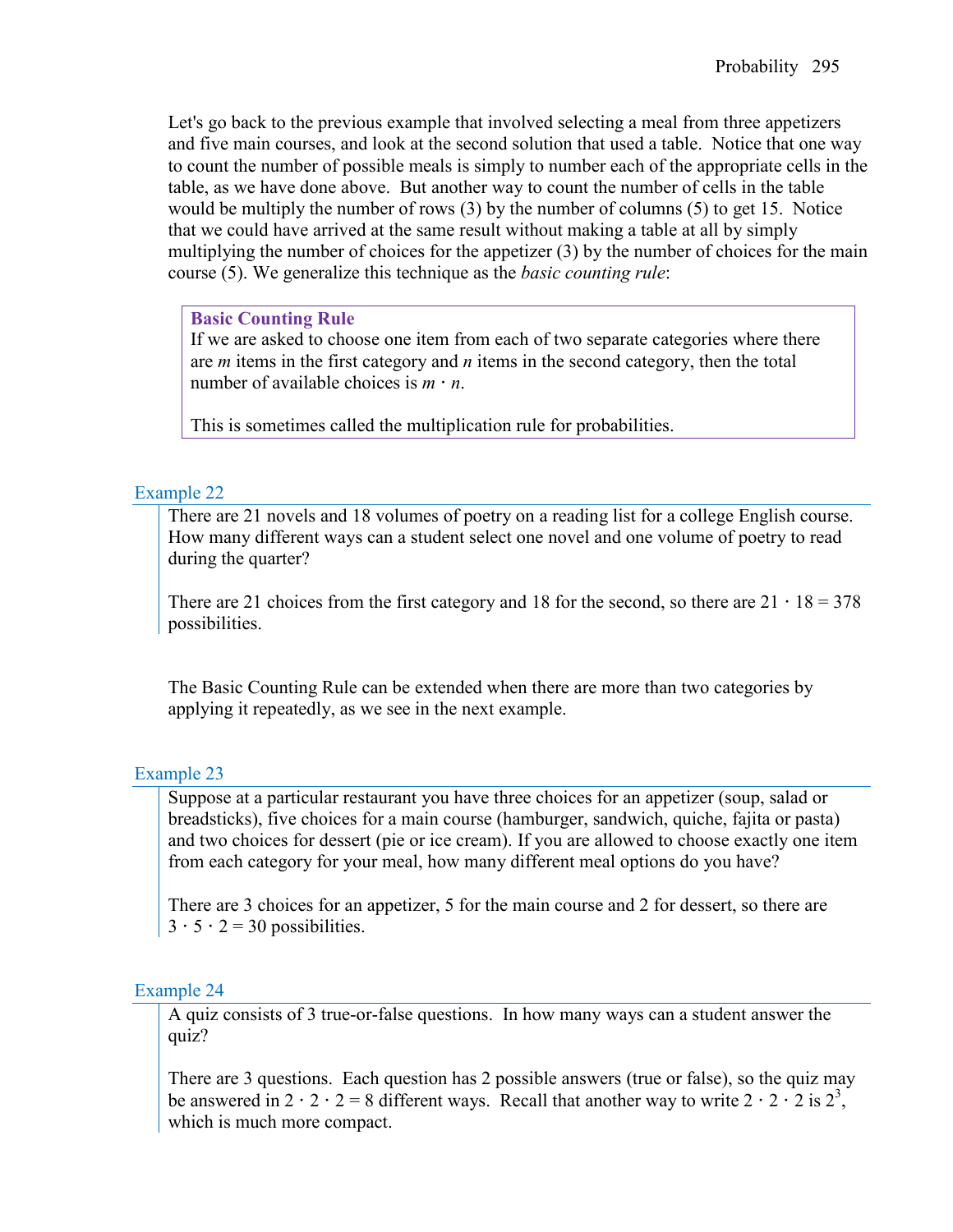Let's go back to the previous example that involved selecting a meal from three appetizers and five main courses, and look at the second solution that used a table. Notice that one way to count the number of possible meals is simply to number each of the appropriate cells in the table, as we have done above. But another way to count the number of cells in the table would be multiply the number of rows (3) by the number of columns (5) to get 15. Notice that we could have arrived at the same result without making a table at all by simply multiplying the number of choices for the appetizer (3) by the number of choices for the main course (5). We generalize this technique as the *basic counting rule*:

### **Basic Counting Rule**

If we are asked to choose one item from each of two separate categories where there are *m* items in the first category and *n* items in the second category, then the total number of available choices is  $m \cdot n$ 

This is sometimes called the multiplication rule for probabilities.

#### Example 22

There are 21 novels and 18 volumes of poetry on a reading list for a college English course. How many different ways can a student select one novel and one volume of poetry to read during the quarter?

There are 21 choices from the first category and 18 for the second, so there are  $21 \cdot 18 = 378$ possibilities.

The Basic Counting Rule can be extended when there are more than two categories by applying it repeatedly, as we see in the next example.

### Example 23

Suppose at a particular restaurant you have three choices for an appetizer (soup, salad or breadsticks), five choices for a main course (hamburger, sandwich, quiche, fajita or pasta) and two choices for dessert (pie or ice cream). If you are allowed to choose exactly one item from each category for your meal, how many different meal options do you have?

There are 3 choices for an appetizer, 5 for the main course and 2 for dessert, so there are  $3 \cdot 5 \cdot 2 = 30$  possibilities.

### Example 24

A quiz consists of 3 true-or-false questions. In how many ways can a student answer the quiz?

There are 3 questions. Each question has 2 possible answers (true or false), so the quiz may be answered in  $2 \cdot 2 \cdot 2 = 8$  different ways. Recall that another way to write  $2 \cdot 2 \cdot 2$  is  $2^3$ , which is much more compact.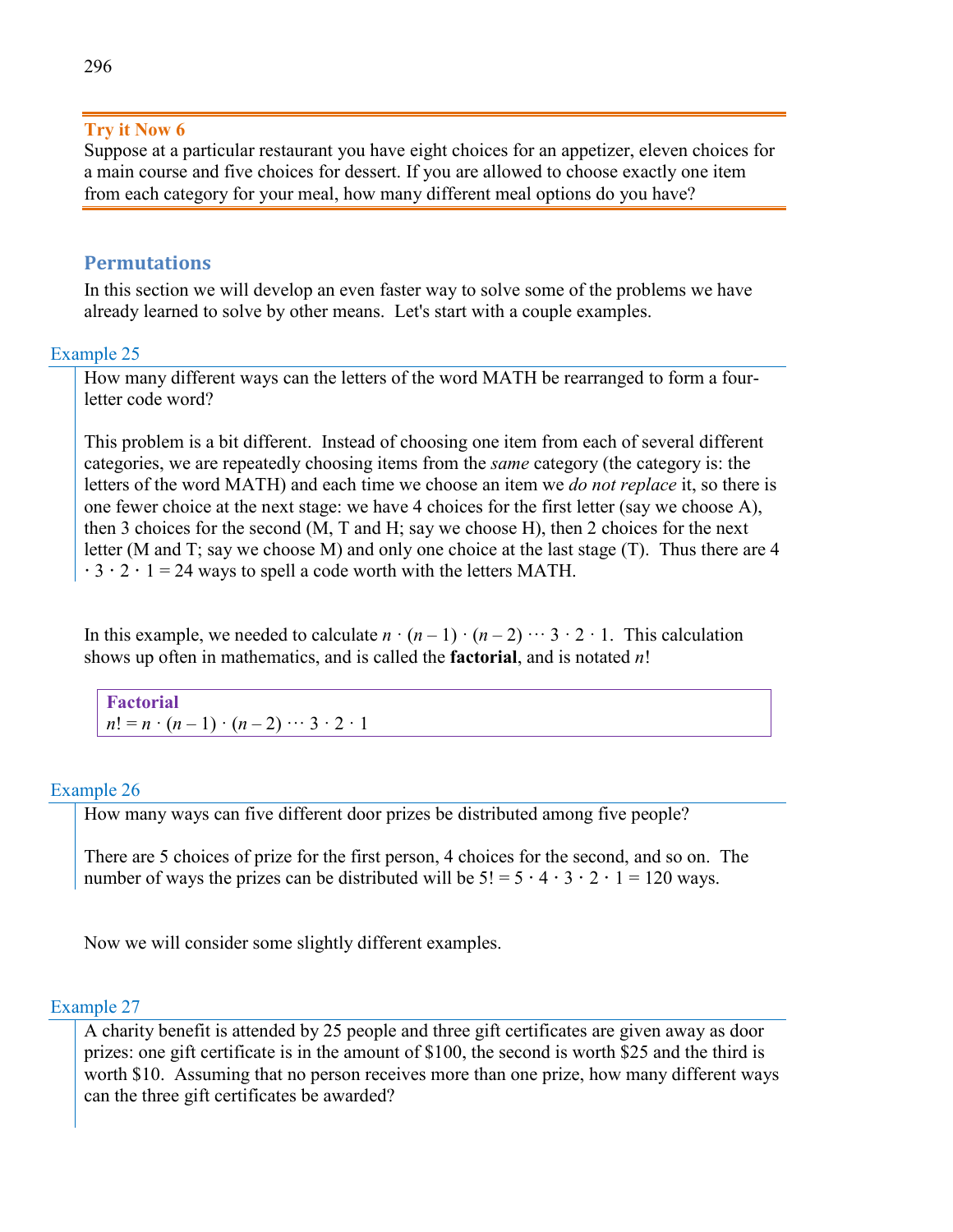#### **Try it Now 6**

Suppose at a particular restaurant you have eight choices for an appetizer, eleven choices for a main course and five choices for dessert. If you are allowed to choose exactly one item from each category for your meal, how many different meal options do you have?

### **Permutations**

In this section we will develop an even faster way to solve some of the problems we have already learned to solve by other means. Let's start with a couple examples.

#### Example 25

How many different ways can the letters of the word MATH be rearranged to form a fourletter code word?

This problem is a bit different. Instead of choosing one item from each of several different categories, we are repeatedly choosing items from the *same* category (the category is: the letters of the word MATH) and each time we choose an item we *do not replace* it, so there is one fewer choice at the next stage: we have 4 choices for the first letter (say we choose A), then 3 choices for the second (M, T and H; say we choose H), then 2 choices for the next letter (M and T; say we choose M) and only one choice at the last stage (T). Thus there are 4  $\cdot$  3  $\cdot$  2  $\cdot$  1 = 24 ways to spell a code worth with the letters MATH.

In this example, we needed to calculate  $n \cdot (n-1) \cdot (n-2) \cdot \cdot \cdot 3 \cdot 2 \cdot 1$ . This calculation shows up often in mathematics, and is called the **factorial**, and is notated *n*!

**Factorial**  $n! = n \cdot (n-1) \cdot (n-2) \cdot \cdot \cdot 3 \cdot 2 \cdot 1$ 

#### Example 26

How many ways can five different door prizes be distributed among five people?

There are 5 choices of prize for the first person, 4 choices for the second, and so on. The number of ways the prizes can be distributed will be  $5! = 5 \cdot 4 \cdot 3 \cdot 2 \cdot 1 = 120$  ways.

Now we will consider some slightly different examples.

#### Example 27

A charity benefit is attended by 25 people and three gift certificates are given away as door prizes: one gift certificate is in the amount of \$100, the second is worth \$25 and the third is worth \$10. Assuming that no person receives more than one prize, how many different ways can the three gift certificates be awarded?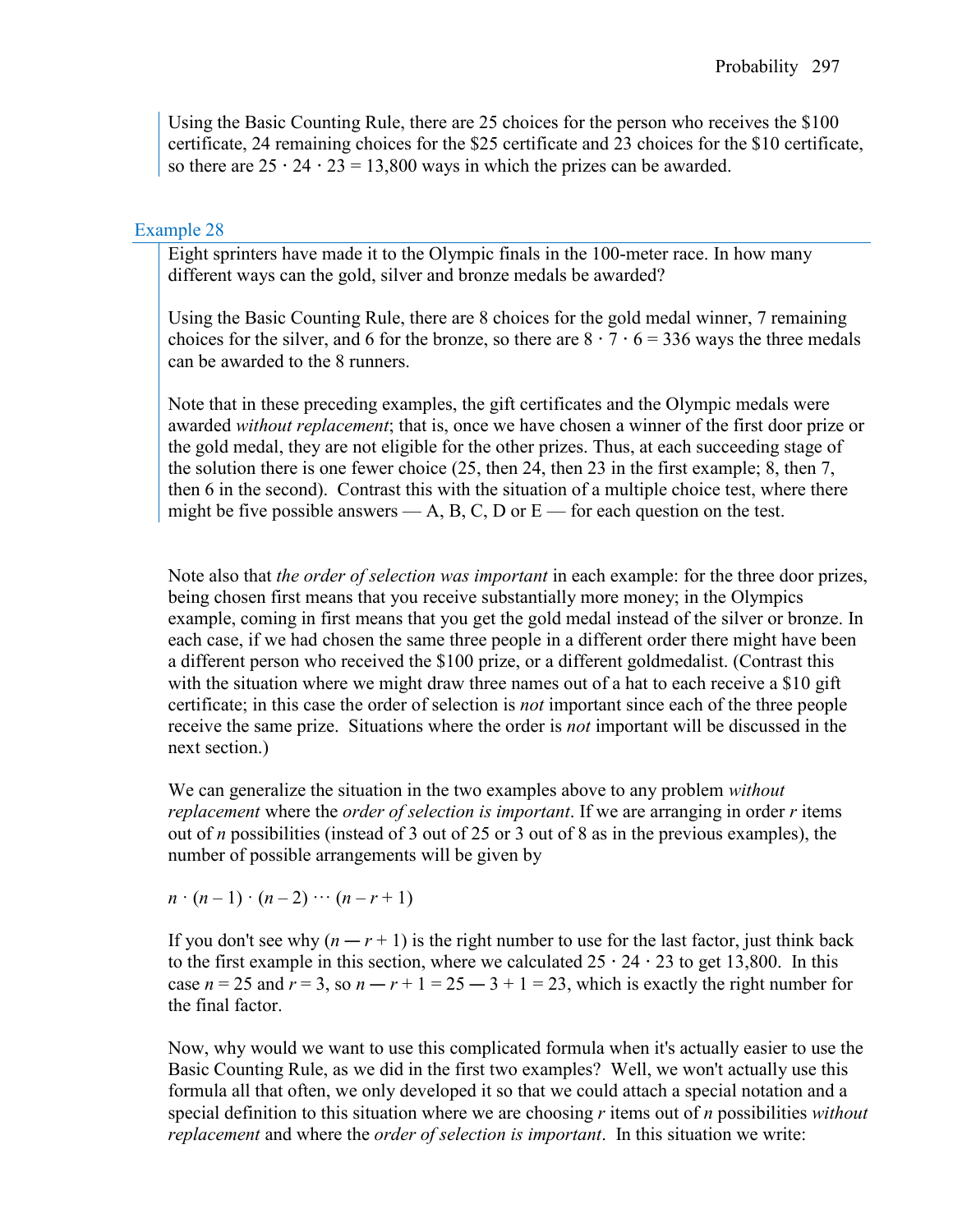Using the Basic Counting Rule, there are 25 choices for the person who receives the \$100 certificate, 24 remaining choices for the \$25 certificate and 23 choices for the \$10 certificate, so there are  $25 \cdot 24 \cdot 23 = 13,800$  ways in which the prizes can be awarded.

#### Example 28

Eight sprinters have made it to the Olympic finals in the 100-meter race. In how many different ways can the gold, silver and bronze medals be awarded?

Using the Basic Counting Rule, there are 8 choices for the gold medal winner, 7 remaining choices for the silver, and 6 for the bronze, so there are  $8 \cdot 7 \cdot 6 = 336$  ways the three medals can be awarded to the 8 runners.

Note that in these preceding examples, the gift certificates and the Olympic medals were awarded *without replacement*; that is, once we have chosen a winner of the first door prize or the gold medal, they are not eligible for the other prizes. Thus, at each succeeding stage of the solution there is one fewer choice (25, then 24, then 23 in the first example; 8, then 7, then 6 in the second). Contrast this with the situation of a multiple choice test, where there might be five possible answers — A, B, C, D or  $E$  — for each question on the test.

Note also that *the order of selection was important* in each example: for the three door prizes, being chosen first means that you receive substantially more money; in the Olympics example, coming in first means that you get the gold medal instead of the silver or bronze. In each case, if we had chosen the same three people in a different order there might have been a different person who received the \$100 prize, or a different goldmedalist. (Contrast this with the situation where we might draw three names out of a hat to each receive a \$10 gift certificate; in this case the order of selection is *not* important since each of the three people receive the same prize. Situations where the order is *not* important will be discussed in the next section.)

We can generalize the situation in the two examples above to any problem *without replacement* where the *order of selection is important*. If we are arranging in order *r* items out of *n* possibilities (instead of 3 out of 25 or 3 out of 8 as in the previous examples), the number of possible arrangements will be given by

 $n \cdot (n-1) \cdot (n-2) \cdot \cdot \cdot (n-r+1)$ 

If you don't see why  $(n - r + 1)$  is the right number to use for the last factor, just think back to the first example in this section, where we calculated  $25 \cdot 24 \cdot 23$  to get 13,800. In this case  $n = 25$  and  $r = 3$ , so  $n - r + 1 = 25 - 3 + 1 = 23$ , which is exactly the right number for the final factor.

Now, why would we want to use this complicated formula when it's actually easier to use the Basic Counting Rule, as we did in the first two examples? Well, we won't actually use this formula all that often, we only developed it so that we could attach a special notation and a special definition to this situation where we are choosing *r* items out of *n* possibilities *without replacement* and where the *order of selection is important*. In this situation we write: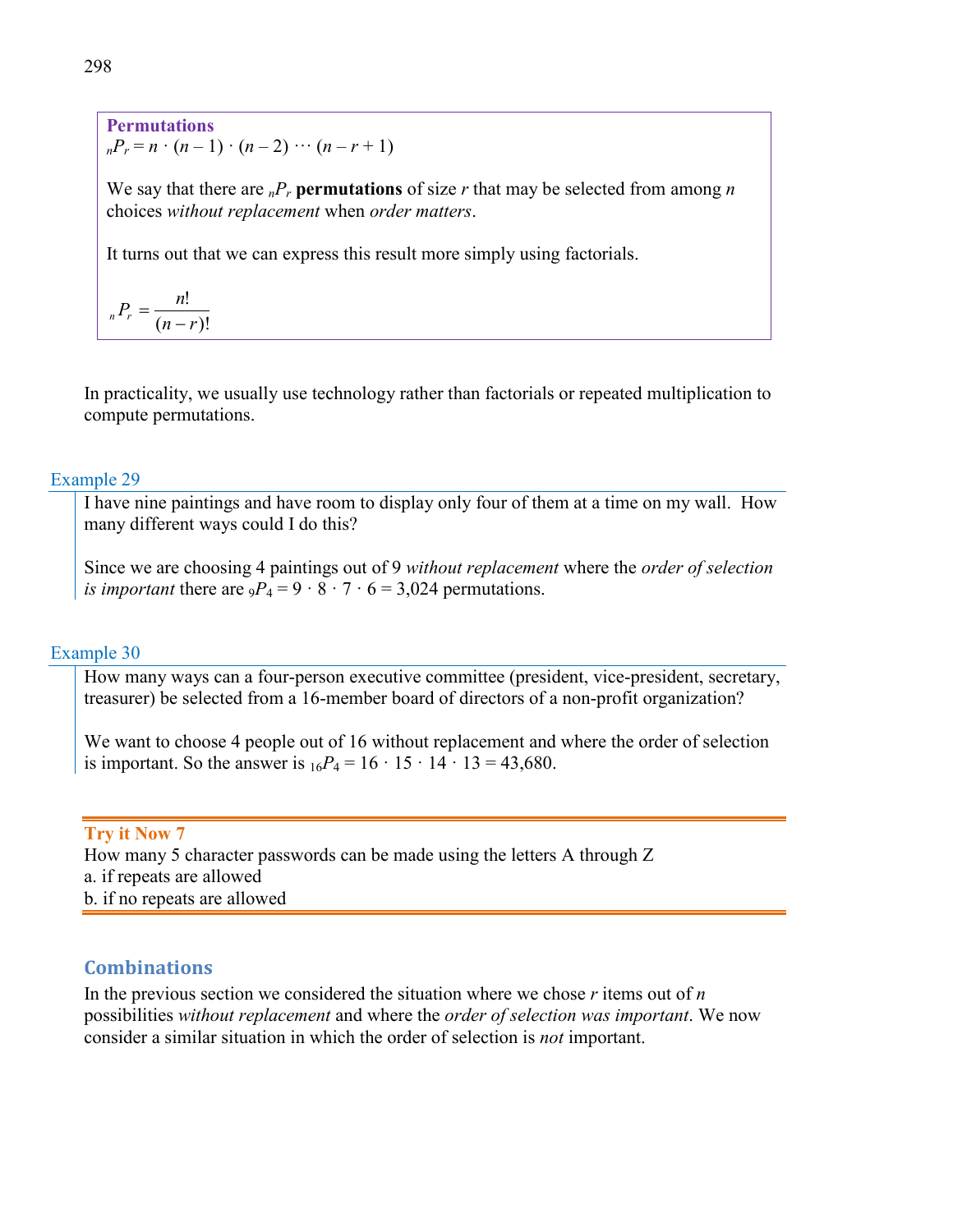**Permutations**  $n_{n}P_{r} = n \cdot (n-1) \cdot (n-2) \cdot \cdot \cdot (n-r+1)$ 

We say that there are  $nP_r$  **permutations** of size r that may be selected from among *n* choices *without replacement* when *order matters*.

It turns out that we can express this result more simply using factorials.

 $(n-r)!$ !  $n - r$  $_n P_r = \frac{n}{(n-p)}$ 

In practicality, we usually use technology rather than factorials or repeated multiplication to compute permutations.

#### Example 29

I have nine paintings and have room to display only four of them at a time on my wall. How many different ways could I do this?

Since we are choosing 4 paintings out of 9 *without replacement* where the *order of selection is important* there are  $_9P_4 = 9 \cdot 8 \cdot 7 \cdot 6 = 3,024$  permutations.

#### Example 30

How many ways can a four-person executive committee (president, vice-president, secretary, treasurer) be selected from a 16-member board of directors of a non-profit organization?

We want to choose 4 people out of 16 without replacement and where the order of selection is important. So the answer is  $_{16}P_4 = 16 \cdot 15 \cdot 14 \cdot 13 = 43,680$ .

#### **Try it Now 7**

How many 5 character passwords can be made using the letters A through Z a. if repeats are allowed b. if no repeats are allowed

#### **Combinations**

In the previous section we considered the situation where we chose *r* items out of *n* possibilities *without replacement* and where the *order of selection was important*. We now consider a similar situation in which the order of selection is *not* important.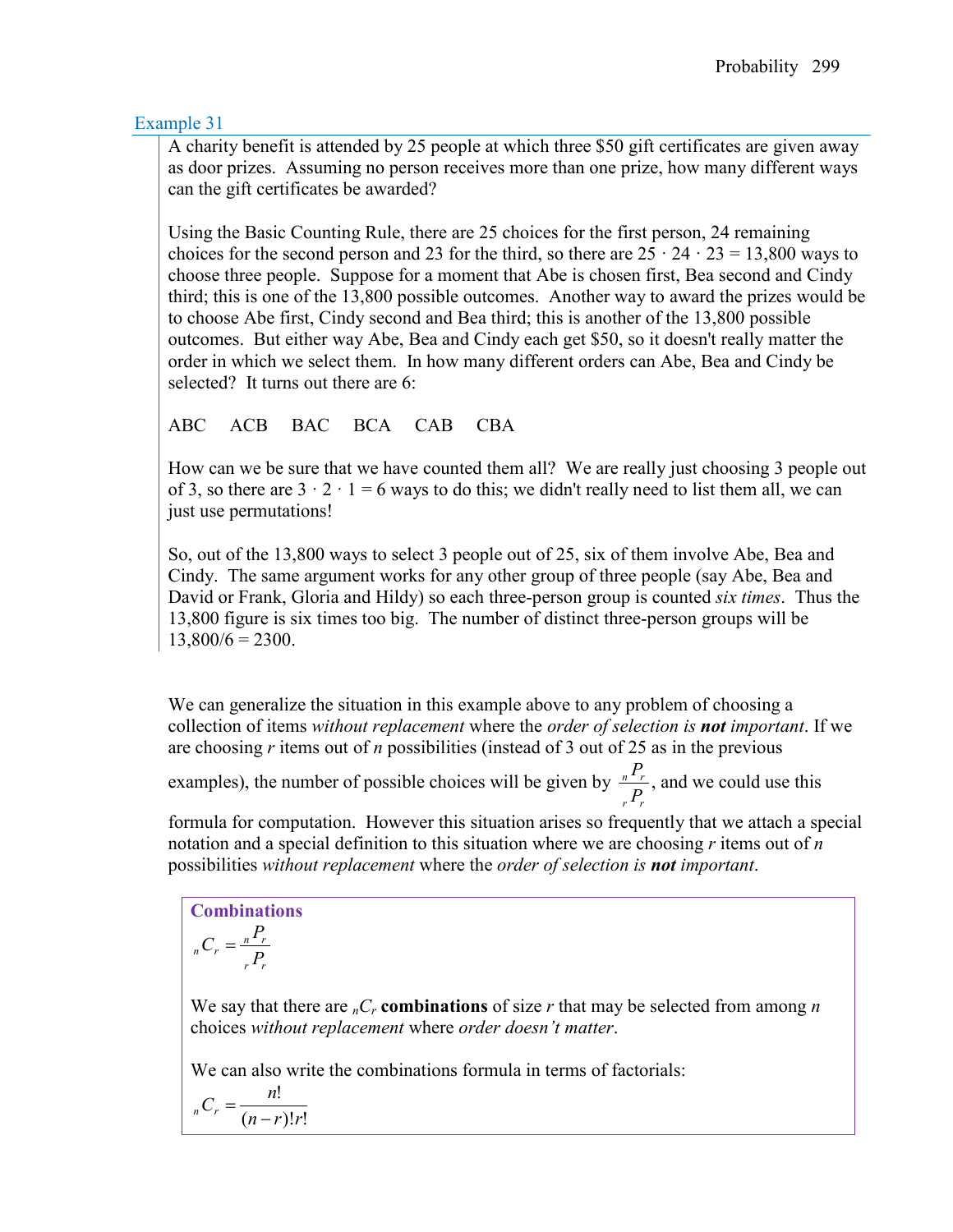#### Example 31

A charity benefit is attended by 25 people at which three \$50 gift certificates are given away as door prizes. Assuming no person receives more than one prize, how many different ways can the gift certificates be awarded?

Using the Basic Counting Rule, there are 25 choices for the first person, 24 remaining choices for the second person and 23 for the third, so there are  $25 \cdot 24 \cdot 23 = 13{,}800$  ways to choose three people. Suppose for a moment that Abe is chosen first, Bea second and Cindy third; this is one of the 13,800 possible outcomes. Another way to award the prizes would be to choose Abe first, Cindy second and Bea third; this is another of the 13,800 possible outcomes. But either way Abe, Bea and Cindy each get \$50, so it doesn't really matter the order in which we select them. In how many different orders can Abe, Bea and Cindy be selected? It turns out there are 6:

## ABC ACB BAC BCA CAB CBA

How can we be sure that we have counted them all? We are really just choosing 3 people out of 3, so there are  $3 \cdot 2 \cdot 1 = 6$  ways to do this; we didn't really need to list them all, we can just use permutations!

So, out of the 13,800 ways to select 3 people out of 25, six of them involve Abe, Bea and Cindy. The same argument works for any other group of three people (say Abe, Bea and David or Frank, Gloria and Hildy) so each three-person group is counted *six times*. Thus the 13,800 figure is six times too big. The number of distinct three-person groups will be  $13,800/6 = 2300$ .

We can generalize the situation in this example above to any problem of choosing a collection of items *without replacement* where the *order of selection is not important*. If we are choosing *r* items out of *n* possibilities (instead of 3 out of 25 as in the previous

examples), the number of possible choices will be given by *r r n r P*  $\frac{P_r}{P}$ , and we could use this

formula for computation. However this situation arises so frequently that we attach a special notation and a special definition to this situation where we are choosing *r* items out of *n* possibilities *without replacement* where the *order of selection is not important*.

#### **Combinations** *r r*  $_nC_r = \frac{n^T r}{r^T r}$  $C_r = \frac{{}^{n}P_r}{R}$

We say that there are  $nC_r$  **combinations** of size r that may be selected from among *n* choices *without replacement* where *order doesn't matter*.

We can also write the combinations formula in terms of factorials:

$$
{}_{n}C_{r}=\frac{n!}{(n-r)!r!}
$$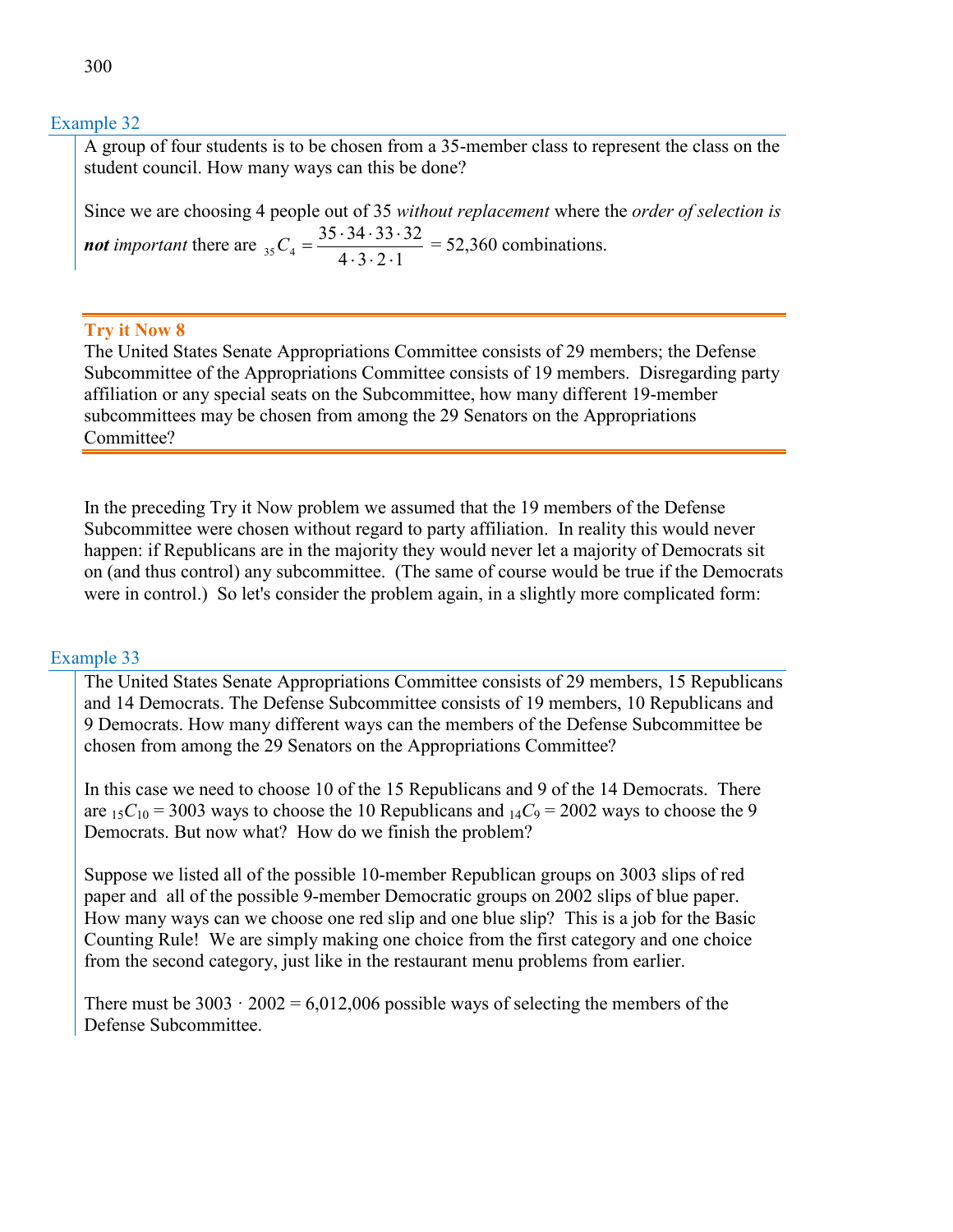#### Example 32

A group of four students is to be chosen from a 35-member class to represent the class on the student council. How many ways can this be done?

Since we are choosing 4 people out of 35 *without replacement* where the *order of selection is not important* there are  $4 \cdot 3 \cdot 2 \cdot 1$  $35 \cdot 34 \cdot 33 \cdot 32$  $35 - 4 - 4 \cdot 3 \cdot 2$  $C_4 = \frac{35 \cdot 34 \cdot 33 \cdot 32}{4 \cdot 3 \cdot 3 \cdot 32} = 52,360$  combinations.

#### **Try it Now 8**

The United States Senate Appropriations Committee consists of 29 members; the Defense Subcommittee of the Appropriations Committee consists of 19 members. Disregarding party affiliation or any special seats on the Subcommittee, how many different 19-member subcommittees may be chosen from among the 29 Senators on the Appropriations Committee?

In the preceding Try it Now problem we assumed that the 19 members of the Defense Subcommittee were chosen without regard to party affiliation. In reality this would never happen: if Republicans are in the majority they would never let a majority of Democrats sit on (and thus control) any subcommittee. (The same of course would be true if the Democrats were in control.) So let's consider the problem again, in a slightly more complicated form:

### Example 33

The United States Senate Appropriations Committee consists of 29 members, 15 Republicans and 14 Democrats. The Defense Subcommittee consists of 19 members, 10 Republicans and 9 Democrats. How many different ways can the members of the Defense Subcommittee be chosen from among the 29 Senators on the Appropriations Committee?

In this case we need to choose 10 of the 15 Republicans and 9 of the 14 Democrats. There are  $_{15}C_{10}$  = 3003 ways to choose the 10 Republicans and  $_{14}C_9$  = 2002 ways to choose the 9 Democrats. But now what? How do we finish the problem?

Suppose we listed all of the possible 10-member Republican groups on 3003 slips of red paper and all of the possible 9-member Democratic groups on 2002 slips of blue paper. How many ways can we choose one red slip and one blue slip? This is a job for the Basic Counting Rule! We are simply making one choice from the first category and one choice from the second category, just like in the restaurant menu problems from earlier.

There must be  $3003 \cdot 2002 = 6,012,006$  possible ways of selecting the members of the Defense Subcommittee.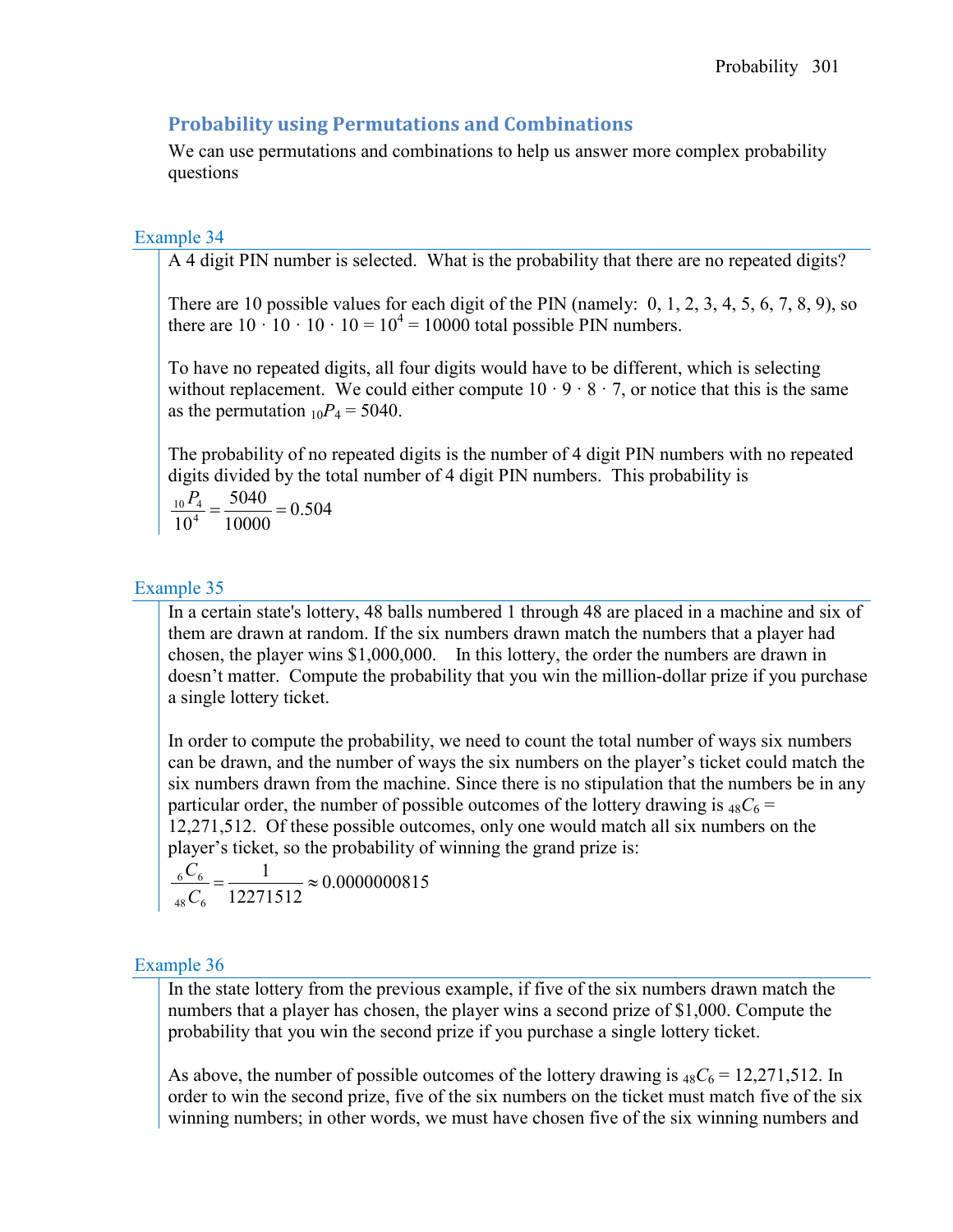# **Probability using Permutations and Combinations**

We can use permutations and combinations to help us answer more complex probability questions

#### Example 34

A 4 digit PIN number is selected. What is the probability that there are no repeated digits?

There are 10 possible values for each digit of the PIN (namely: 0, 1, 2, 3, 4, 5, 6, 7, 8, 9), so there are  $10 \cdot 10 \cdot 10 \cdot 10 = 10^4 = 10000$  total possible PIN numbers.

To have no repeated digits, all four digits would have to be different, which is selecting without replacement. We could either compute  $10 \cdot 9 \cdot 8 \cdot 7$ , or notice that this is the same as the permutation  $_{10}P_4 = 5040$ .

The probability of no repeated digits is the number of 4 digit PIN numbers with no repeated digits divided by the total number of 4 digit PIN numbers. This probability is

$$
\frac{{}_{10}P_4}{10^4} = \frac{5040}{10000} = 0.504
$$

#### Example 35

In a certain state's lottery, 48 balls numbered 1 through 48 are placed in a machine and six of them are drawn at random. If the six numbers drawn match the numbers that a player had chosen, the player wins \$1,000,000. In this lottery, the order the numbers are drawn in doesn't matter. Compute the probability that you win the million-dollar prize if you purchase a single lottery ticket.

In order to compute the probability, we need to count the total number of ways six numbers can be drawn, and the number of ways the six numbers on the player's ticket could match the six numbers drawn from the machine. Since there is no stipulation that the numbers be in any particular order, the number of possible outcomes of the lottery drawing is  $_{48}C_6$  = 12,271,512. Of these possible outcomes, only one would match all six numbers on the player's ticket, so the probability of winning the grand prize is:

$$
\frac{{}_{6}C_{6}}{{}_{48}C_{6}}=\frac{1}{12271512}\approx 0.0000000815
$$

### Example 36

In the state lottery from the previous example, if five of the six numbers drawn match the numbers that a player has chosen, the player wins a second prize of \$1,000. Compute the probability that you win the second prize if you purchase a single lottery ticket.

As above, the number of possible outcomes of the lottery drawing is  $_{48}C_6 = 12,271,512$ . In order to win the second prize, five of the six numbers on the ticket must match five of the six winning numbers; in other words, we must have chosen five of the six winning numbers and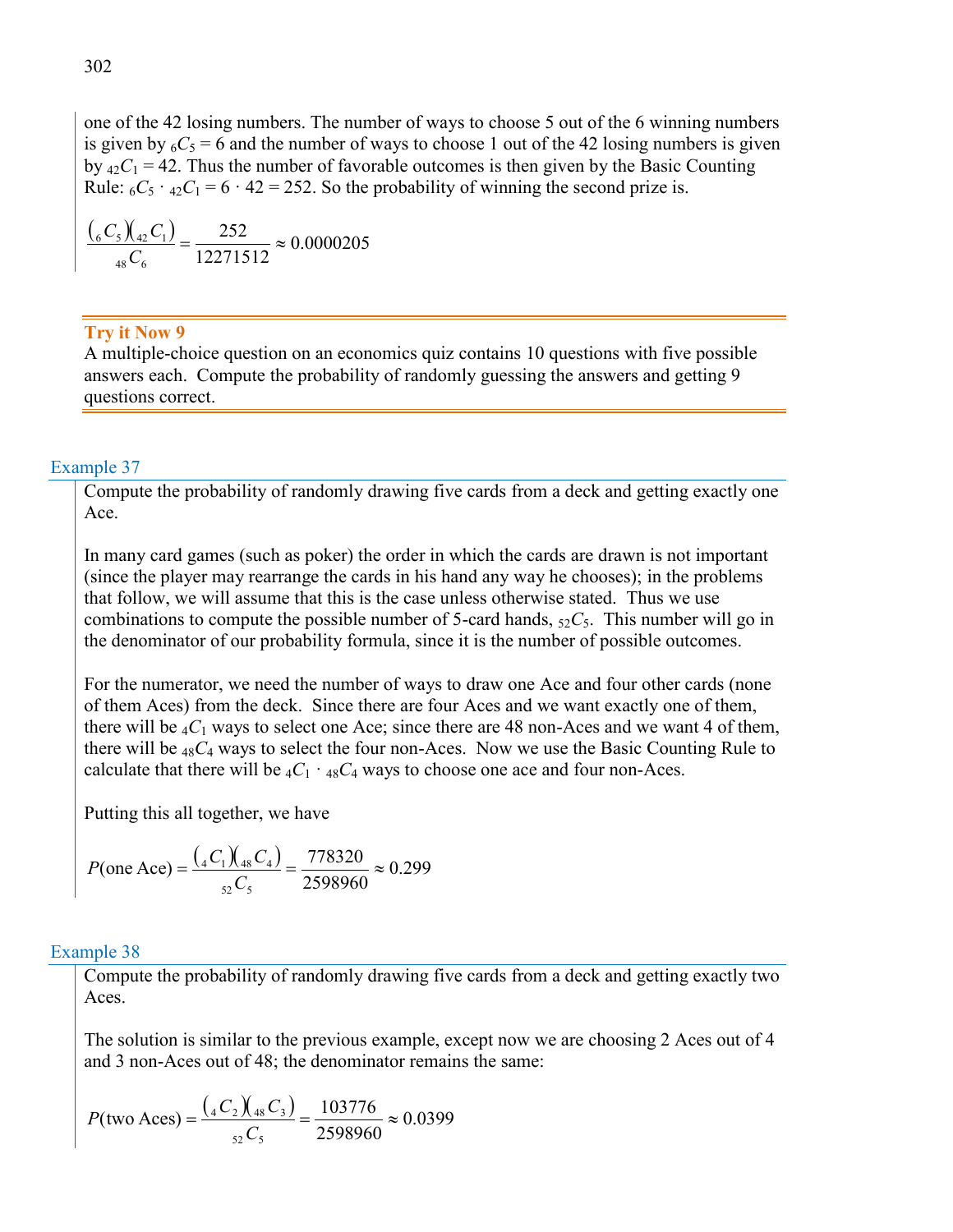one of the 42 losing numbers. The number of ways to choose 5 out of the 6 winning numbers is given by  ${}_{6}C_{5}$  = 6 and the number of ways to choose 1 out of the 42 losing numbers is given by  $_{42}C_1 = 42$ . Thus the number of favorable outcomes is then given by the Basic Counting Rule:  ${}_{6}C_{5}$  ·  ${}_{42}C_{1}$  = 6 · 42 = 252. So the probability of winning the second prize is.

$$
\frac{{6 \choose 6} C_5 {42 \choose 42} C_1}{48 C_6} = \frac{252}{12271512} \approx 0.0000205
$$

#### **Try it Now 9**

A multiple-choice question on an economics quiz contains 10 questions with five possible answers each. Compute the probability of randomly guessing the answers and getting 9 questions correct.

#### Example 37

Compute the probability of randomly drawing five cards from a deck and getting exactly one Ace.

In many card games (such as poker) the order in which the cards are drawn is not important (since the player may rearrange the cards in his hand any way he chooses); in the problems that follow, we will assume that this is the case unless otherwise stated. Thus we use combinations to compute the possible number of 5-card hands, 52*C*5. This number will go in the denominator of our probability formula, since it is the number of possible outcomes.

For the numerator, we need the number of ways to draw one Ace and four other cards (none of them Aces) from the deck. Since there are four Aces and we want exactly one of them, there will be  ${}_{4}C_{1}$  ways to select one Ace; since there are 48 non-Aces and we want 4 of them, there will be  $_{48}C_4$  ways to select the four non-Aces. Now we use the Basic Counting Rule to calculate that there will be  ${}_{4}C_{1}$   ${}_{48}C_{4}$  ways to choose one ace and four non-Aces.

Putting this all together, we have

$$
P(\text{one Ace}) = \frac{\left(\frac{1}{4}C_1\right)\left(\frac{1}{48}C_4\right)}{52} = \frac{778320}{2598960} \approx 0.299
$$

#### Example 38

Compute the probability of randomly drawing five cards from a deck and getting exactly two Aces.

The solution is similar to the previous example, except now we are choosing 2 Aces out of 4 and 3 non-Aces out of 48; the denominator remains the same:

$$
P(\text{two Aces}) = \frac{\left(\frac{4}{2}\right) \left(\frac{4}{48}C_3\right)}{52} = \frac{103776}{2598960} \approx 0.0399
$$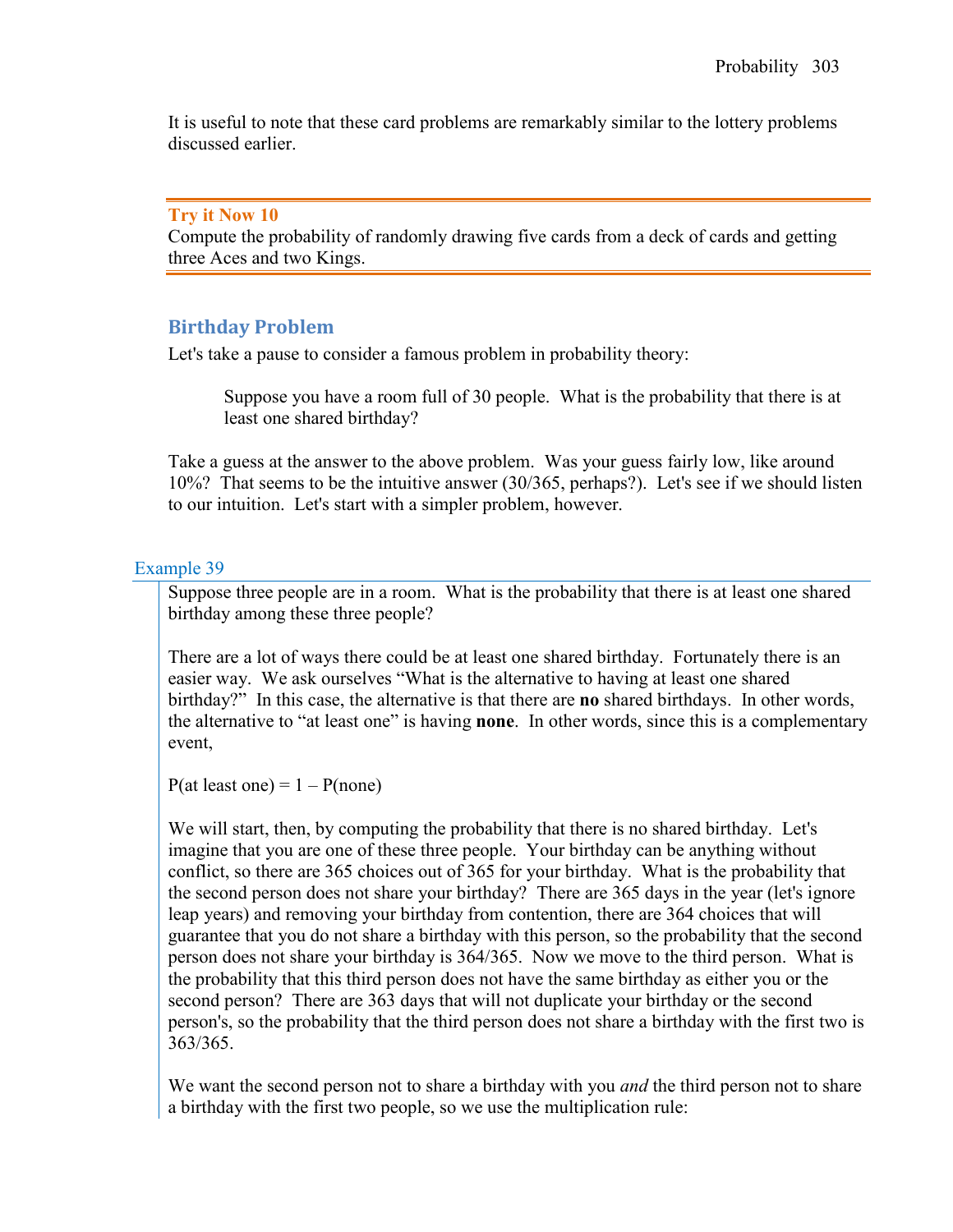It is useful to note that these card problems are remarkably similar to the lottery problems discussed earlier.

#### **Try it Now 10**

Compute the probability of randomly drawing five cards from a deck of cards and getting three Aces and two Kings.

## **Birthday Problem**

Let's take a pause to consider a famous problem in probability theory:

Suppose you have a room full of 30 people. What is the probability that there is at least one shared birthday?

Take a guess at the answer to the above problem. Was your guess fairly low, like around 10%? That seems to be the intuitive answer (30/365, perhaps?). Let's see if we should listen to our intuition. Let's start with a simpler problem, however.

#### Example 39

Suppose three people are in a room. What is the probability that there is at least one shared birthday among these three people?

There are a lot of ways there could be at least one shared birthday. Fortunately there is an easier way. We ask ourselves "What is the alternative to having at least one shared birthday?" In this case, the alternative is that there are **no** shared birthdays. In other words, the alternative to "at least one" is having **none**. In other words, since this is a complementary event,

 $P(at least one) = 1 - P(none)$ 

We will start, then, by computing the probability that there is no shared birthday. Let's imagine that you are one of these three people. Your birthday can be anything without conflict, so there are 365 choices out of 365 for your birthday. What is the probability that the second person does not share your birthday? There are 365 days in the year (let's ignore leap years) and removing your birthday from contention, there are 364 choices that will guarantee that you do not share a birthday with this person, so the probability that the second person does not share your birthday is 364/365. Now we move to the third person. What is the probability that this third person does not have the same birthday as either you or the second person? There are 363 days that will not duplicate your birthday or the second person's, so the probability that the third person does not share a birthday with the first two is 363/365.

We want the second person not to share a birthday with you *and* the third person not to share a birthday with the first two people, so we use the multiplication rule: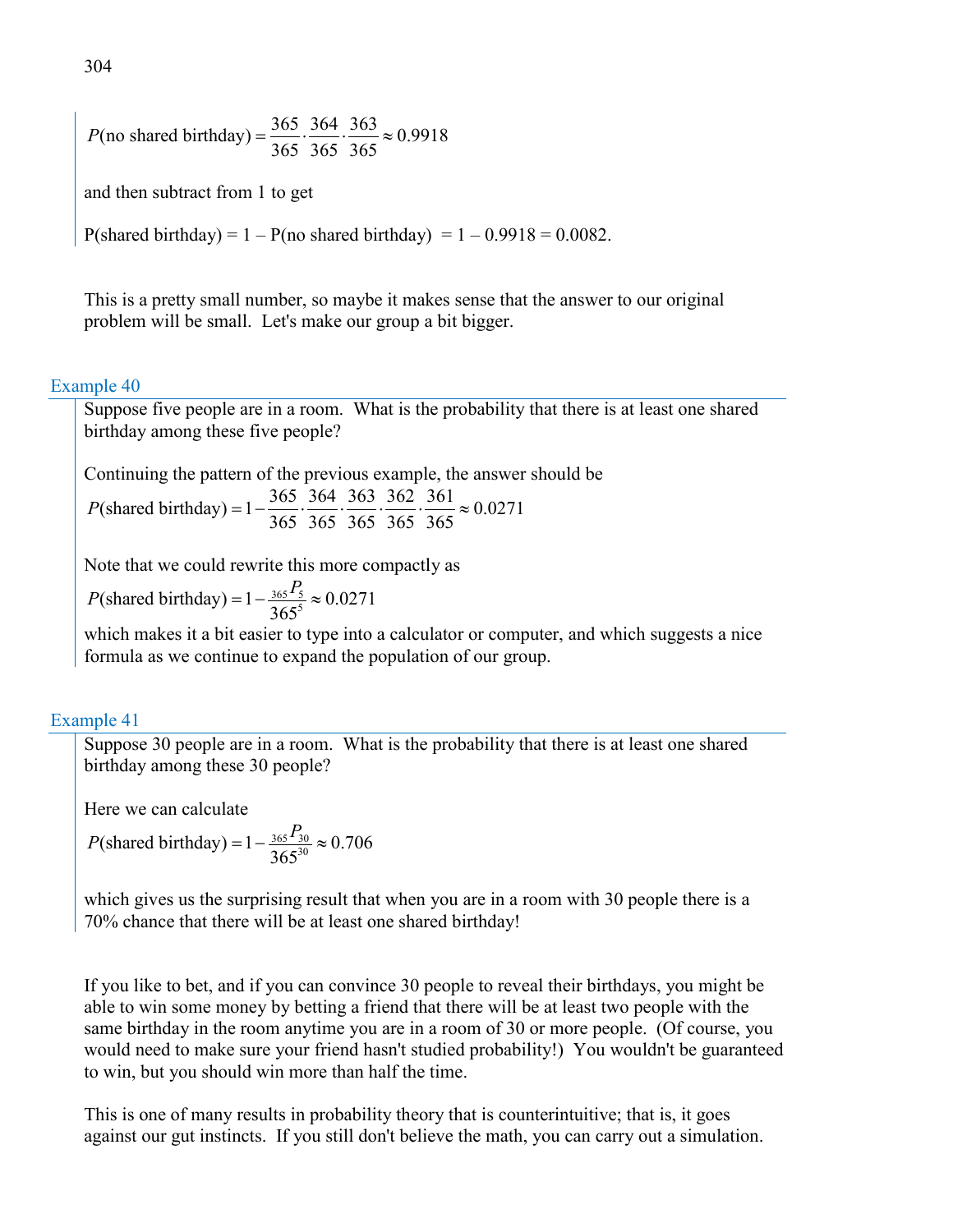(no shared birthday) =  $\frac{365}{255} \cdot \frac{364}{255} \cdot \frac{363}{255} \approx 0.9918$ 365 365 365 *P*(no shared birthday) =  $\frac{565}{265}$ .  $\frac{364}{265}$ .

and then subtract from 1 to get

P(shared birthday) =  $1 - P($ no shared birthday) =  $1 - 0.9918 = 0.0082$ .

This is a pretty small number, so maybe it makes sense that the answer to our original problem will be small. Let's make our group a bit bigger.

#### Example 40

Suppose five people are in a room. What is the probability that there is at least one shared birthday among these five people?

Continuing the pattern of the previous example, the answer should be

(shared birthday) =  $1 - \frac{365}{255} \cdot \frac{364}{255} \cdot \frac{363}{255} \cdot \frac{362}{255} \cdot \frac{361}{255} \approx 0.0271$ 365 365 365 365 365 *P*(shared birthday) =  $1 - \frac{363}{265} \cdot \frac{364}{265} \cdot \frac{362}{265} \cdot \frac{362}{265} \approx$ 

Note that we could rewrite this more compactly as

 $P(\text{shared birthday}) = 1 - \frac{365 P_S}{365^5} \approx 0.0271$ 

which makes it a bit easier to type into a calculator or computer, and which suggests a nice formula as we continue to expand the population of our group.

### Example 41

Suppose 30 people are in a room. What is the probability that there is at least one shared birthday among these 30 people?

Here we can calculate

 $P(\text{shared birthday}) = 1 - \frac{365 P_{30}}{365^{30}} \approx 0.706$ 

which gives us the surprising result that when you are in a room with 30 people there is a 70% chance that there will be at least one shared birthday!

If you like to bet, and if you can convince 30 people to reveal their birthdays, you might be able to win some money by betting a friend that there will be at least two people with the same birthday in the room anytime you are in a room of 30 or more people. (Of course, you would need to make sure your friend hasn't studied probability!) You wouldn't be guaranteed to win, but you should win more than half the time.

This is one of many results in probability theory that is counterintuitive; that is, it goes against our gut instincts. If you still don't believe the math, you can carry out a simulation.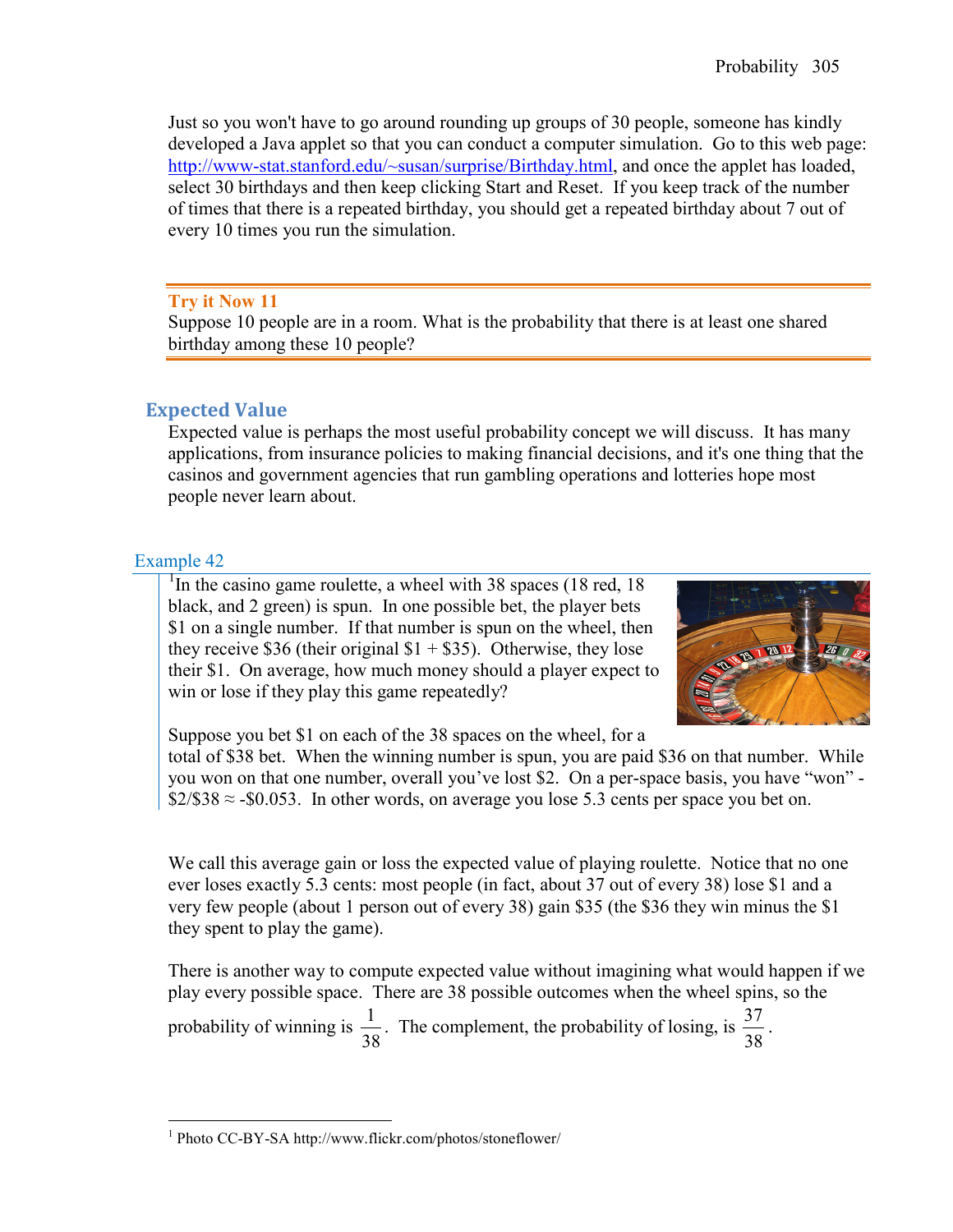Just so you won't have to go around rounding up groups of 30 people, someone has kindly developed a Java applet so that you can conduct a computer simulation. Go to this web page: [http://www-stat.stanford.edu/~susan/surprise/Birthday.html,](http://www-stat.stanford.edu/~susan/surprise/Birthday.html) and once the applet has loaded, select 30 birthdays and then keep clicking Start and Reset. If you keep track of the number of times that there is a repeated birthday, you should get a repeated birthday about 7 out of every 10 times you run the simulation.

#### **Try it Now 11**

Suppose 10 people are in a room. What is the probability that there is at least one shared birthday among these 10 people?

## **Expected Value**

Expected value is perhaps the most useful probability concept we will discuss. It has many applications, from insurance policies to making financial decisions, and it's one thing that the casinos and government agencies that run gambling operations and lotteries hope most people never learn about.

### Example 42

<sup>[1](#page-26-0)</sup>In the casino game roulette, a wheel with 38 spaces (18 red, 18) black, and 2 green) is spun. In one possible bet, the player bets \$1 on a single number. If that number is spun on the wheel, then they receive \$36 (their original  $$1 + $35$ ). Otherwise, they lose their \$1. On average, how much money should a player expect to win or lose if they play this game repeatedly?



Suppose you bet \$1 on each of the 38 spaces on the wheel, for a

total of \$38 bet. When the winning number is spun, you are paid \$36 on that number. While you won on that one number, overall you've lost \$2. On a per-space basis, you have "won" -  $$2/\$38 \approx -\$0.053$ . In other words, on average you lose 5.3 cents per space you bet on.

We call this average gain or loss the expected value of playing roulette. Notice that no one ever loses exactly 5.3 cents: most people (in fact, about 37 out of every 38) lose \$1 and a very few people (about 1 person out of every 38) gain \$35 (the \$36 they win minus the \$1 they spent to play the game).

There is another way to compute expected value without imagining what would happen if we play every possible space. There are 38 possible outcomes when the wheel spins, so the probability of winning is  $\frac{1}{38}$ . The complement, the probability of losing, is  $\frac{37}{38}$ .

<span id="page-26-0"></span> <sup>1</sup> Photo CC-BY-SA http://www.flickr.com/photos/stoneflower/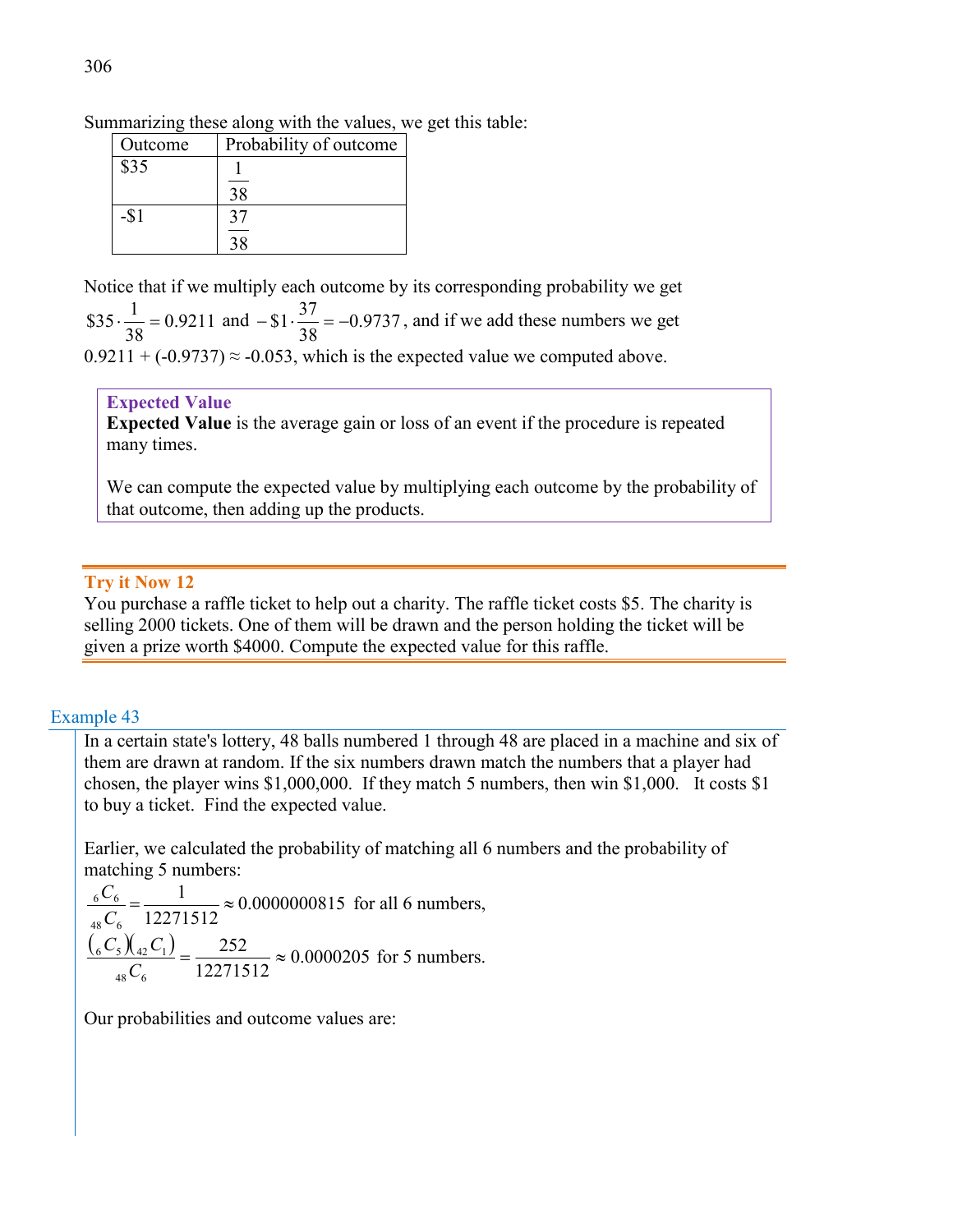Summarizing these along with the values, we get this table:

| Outcome | Probability of outcome |
|---------|------------------------|
| \$35    |                        |
|         | 38                     |
|         | 37                     |
|         |                        |

Notice that if we multiply each outcome by its corresponding probability we get

0.9211 38  $$35 \cdot \frac{1}{20} = 0.9211$  and  $- $1 \cdot \frac{37}{20} = -0.9737$ 38  $- $1 \cdot \frac{37}{20} = -0.9737$ , and if we add these numbers we get  $0.9211 + (-0.9737) \approx -0.053$ , which is the expected value we computed above.

#### **Expected Value**

**Expected Value** is the average gain or loss of an event if the procedure is repeated many times.

We can compute the expected value by multiplying each outcome by the probability of that outcome, then adding up the products.

#### **Try it Now 12**

You purchase a raffle ticket to help out a charity. The raffle ticket costs \$5. The charity is selling 2000 tickets. One of them will be drawn and the person holding the ticket will be given a prize worth \$4000. Compute the expected value for this raffle.

#### Example 43

In a certain state's lottery, 48 balls numbered 1 through 48 are placed in a machine and six of them are drawn at random. If the six numbers drawn match the numbers that a player had chosen, the player wins \$1,000,000. If they match 5 numbers, then win \$1,000. It costs \$1 to buy a ticket. Find the expected value.

Earlier, we calculated the probability of matching all 6 numbers and the probability of matching 5 numbers:

0.0000000815 12271512 1  $\frac{{}_{6}C_{6}}{{}_{48}C_{6}} = \frac{1}{12271512} \approx 0.0000000815$  for all 6 numbers,  $\frac{{\binom{6}{6}} {\binom{6}{5}} {\binom{42}{1}}}{6} = \frac{252}{12251512} \approx 0.0000205$ 12271512 252  $\frac{{}_{6}C_{5}({}_{42}C_{1})}{{}_{48}C_{6}} = \frac{252}{12271512} \approx 0.0000205$  for 5 numbers.

Our probabilities and outcome values are: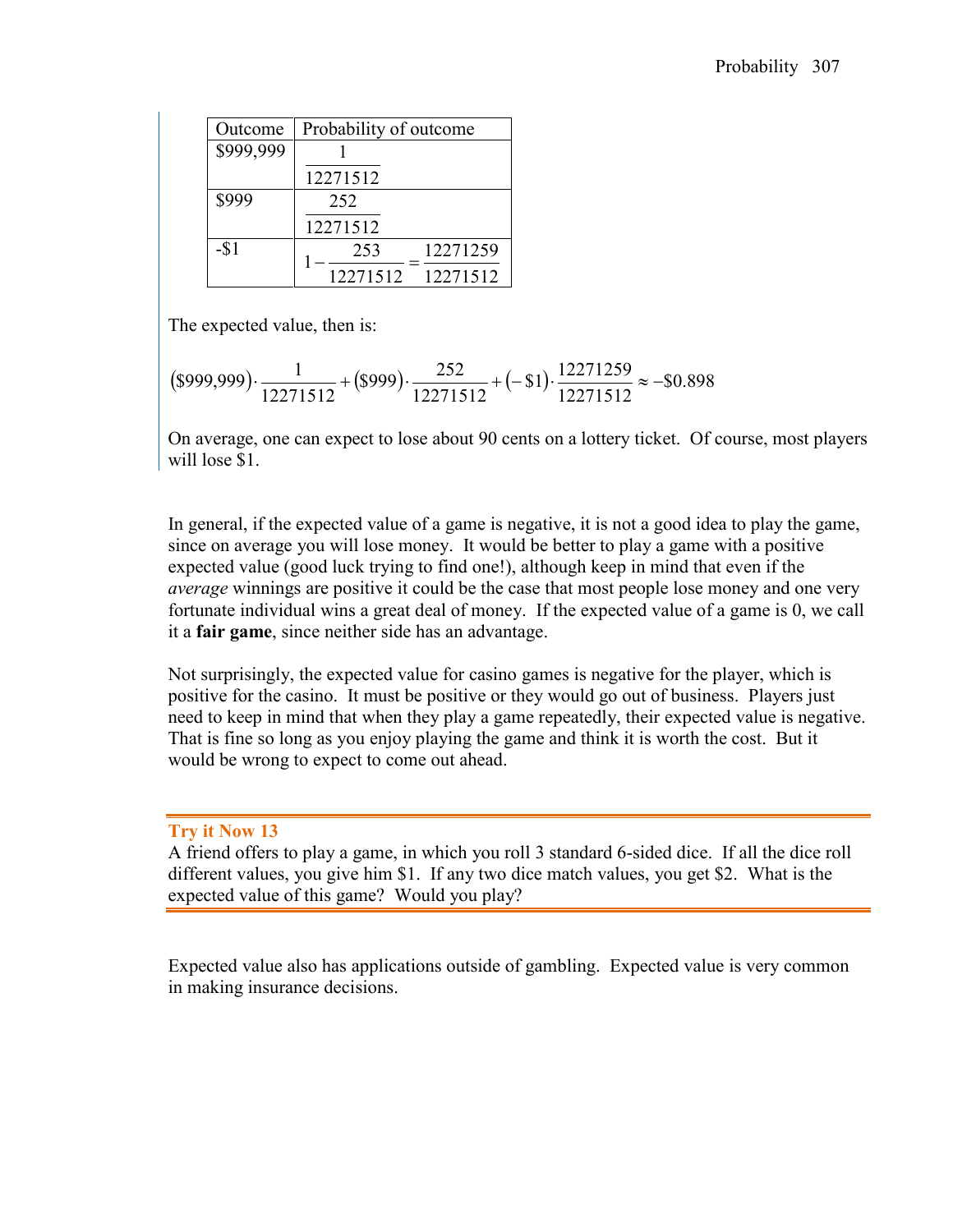| Outcome   | Probability of outcome |  |  |  |
|-----------|------------------------|--|--|--|
| \$999,999 |                        |  |  |  |
|           | 12271512               |  |  |  |
| \$999     | 252                    |  |  |  |
|           | 12271512               |  |  |  |
| -\$1      | 12271259<br>253        |  |  |  |
|           | 12271512<br>12271512   |  |  |  |

The expected value, then is:

$$
(\$999,999) \cdot \frac{1}{12271512} + (\$999) \cdot \frac{252}{12271512} + (-\$1) \cdot \frac{12271259}{12271512} \approx -\$0.898
$$

On average, one can expect to lose about 90 cents on a lottery ticket. Of course, most players will lose \$1.

In general, if the expected value of a game is negative, it is not a good idea to play the game, since on average you will lose money. It would be better to play a game with a positive expected value (good luck trying to find one!), although keep in mind that even if the *average* winnings are positive it could be the case that most people lose money and one very fortunate individual wins a great deal of money. If the expected value of a game is 0, we call it a **fair game**, since neither side has an advantage.

Not surprisingly, the expected value for casino games is negative for the player, which is positive for the casino. It must be positive or they would go out of business. Players just need to keep in mind that when they play a game repeatedly, their expected value is negative. That is fine so long as you enjoy playing the game and think it is worth the cost. But it would be wrong to expect to come out ahead.

## **Try it Now 13**

A friend offers to play a game, in which you roll 3 standard 6-sided dice. If all the dice roll different values, you give him \$1. If any two dice match values, you get \$2. What is the expected value of this game? Would you play?

Expected value also has applications outside of gambling. Expected value is very common in making insurance decisions.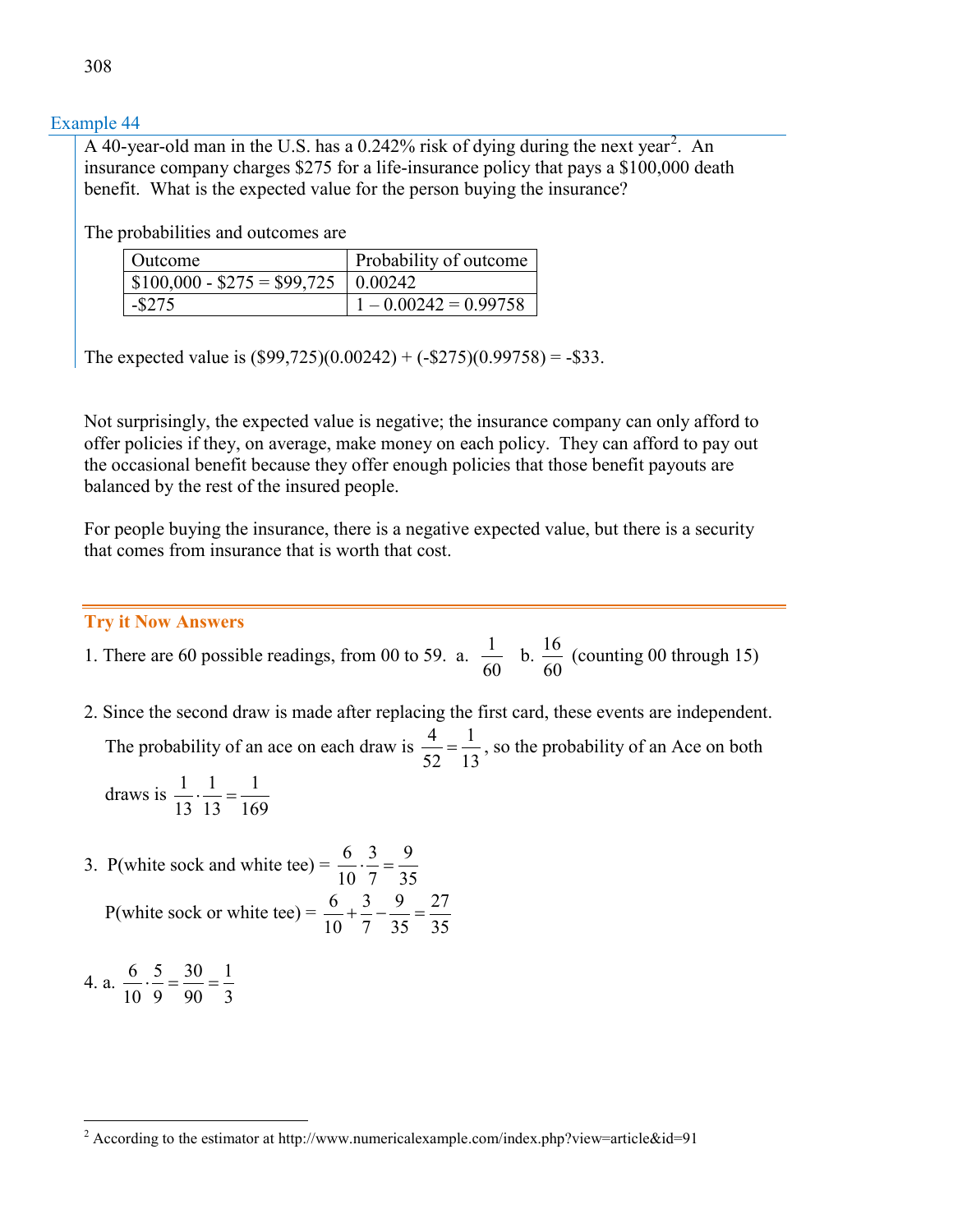#### Example 44

A 40-year-old man in the U.S. has a  $0.242\%$  $0.242\%$  $0.242\%$  risk of dying during the next year<sup>2</sup>. An insurance company charges \$275 for a life-insurance policy that pays a \$100,000 death benefit. What is the expected value for the person buying the insurance?

The probabilities and outcomes are

| Outcome                                  | Probability of outcome  |
|------------------------------------------|-------------------------|
| $$100,000 - $275 = $99,725 \mid 0.00242$ |                         |
| $-$ \$275                                | $1 - 0.00242 = 0.99758$ |

The expected value is  $(\$99,725)(0.00242) + (-\$275)(0.99758) = -\$33$ .

Not surprisingly, the expected value is negative; the insurance company can only afford to offer policies if they, on average, make money on each policy. They can afford to pay out the occasional benefit because they offer enough policies that those benefit payouts are balanced by the rest of the insured people.

For people buying the insurance, there is a negative expected value, but there is a security that comes from insurance that is worth that cost.

#### **Try it Now Answers**

- 1. There are 60 possible readings, from 00 to 59. a.  $\frac{1}{60}$  b. 60  $\frac{16}{6}$  (counting 00 through 15)
- 2. Since the second draw is made after replacing the first card, these events are independent. The probability of an ace on each draw is  $\frac{4}{52} = \frac{1}{13}$ 52  $\frac{4}{52} = \frac{1}{12}$ , so the probability of an Ace on both

draws is 169 1 13 1 13  $\frac{1}{2} \cdot \frac{1}{2}$ 

3. P(white sock and white tee) =  $\frac{6}{10} \cdot \frac{3}{7} = \frac{9}{35}$ 7 3 10  $\frac{6}{1} \cdot \frac{3}{1} =$ P(white sock or white tee) =  $\frac{6}{10} + \frac{3}{7} - \frac{9}{35} = \frac{27}{35}$ 35 9 7 3 10  $\frac{6}{2} + \frac{3}{2} - \frac{9}{3} =$ 

4. a. 3 1 90 30 9 5 10  $\frac{6}{10} \cdot \frac{5}{0} = \frac{30}{20} =$ 

<span id="page-29-0"></span><sup>&</sup>lt;sup>2</sup> According to the estimator at http://www.numericalexample.com/index.php?view=article&id=91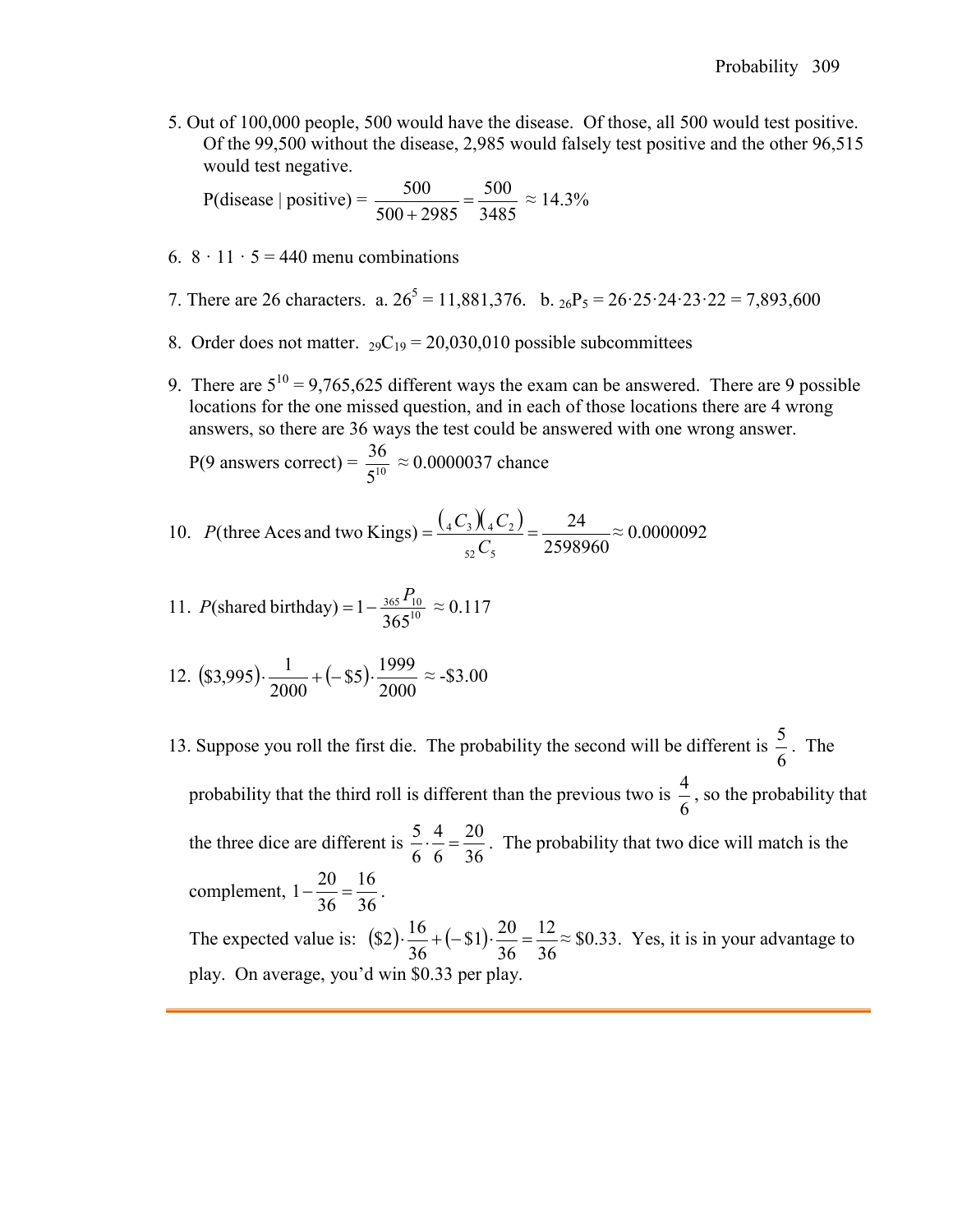5. Out of 100,000 people, 500 would have the disease. Of those, all 500 would test positive. Of the 99,500 without the disease, 2,985 would falsely test positive and the other 96,515 would test negative.

P(disease | positive) = 
$$
\frac{500}{500 + 2985} = \frac{500}{3485} \approx 14.3\%
$$

- 6.  $8 \cdot 11 \cdot 5 = 440$  menu combinations
- 7. There are 26 characters. a.  $26^5 = 11,881,376$ . b.  $_{26}P_5 = 26.25.24.23.22 = 7,893,600$
- 8. Order does not matter.  $_{29}C_{19} = 20,030,010$  possible subcommittees
- 9. There are  $5^{10} = 9,765,625$  different ways the exam can be answered. There are 9 possible locations for the one missed question, and in each of those locations there are 4 wrong answers, so there are 36 ways the test could be answered with one wrong answer.

P(9 answers correct) =  $\frac{36}{5^{10}} \approx 0.0000037$  chance

10. P(three Aces and two Kings) = 
$$
\frac{\left( {}_{4}C_{3} \right) \left( {}_{4}C_{2} \right)}{ {}_{52}C_{5}} = \frac{24}{2598960} \approx 0.0000092
$$

11. *P*(shared birthday) = 
$$
1 - \frac{365 P_{10}}{365^{10}} \approx 0.117
$$

12. 
$$
(\$3,995) \cdot \frac{1}{2000} + (-\$5) \cdot \frac{1999}{2000} \approx -\$3.00
$$

- 13. Suppose you roll the first die. The probability the second will be different is  $\frac{5}{6}$ . The probability that the third roll is different than the previous two is  $\frac{4}{6}$ , so the probability that the three dice are different is 36 20 6 4 6  $\frac{5}{6} \cdot \frac{4}{6} = \frac{20}{36}$ . The probability that two dice will match is the complement,  $1 - \frac{20}{36} = \frac{16}{36}$ 36  $1-\frac{20}{36}=\frac{16}{36}$ . The expected value is:  $(\$2) \cdot \frac{16}{36} + (-\$1) \cdot \frac{20}{36} = \frac{12}{36}$ 36  $\frac{20}{26}$ 36  $(32) \cdot \frac{16}{26} + (-31) \cdot \frac{20}{26} = \frac{12}{26} \approx $0.33$ . Yes, it is in your advantage to
	- play. On average, you'd win \$0.33 per play.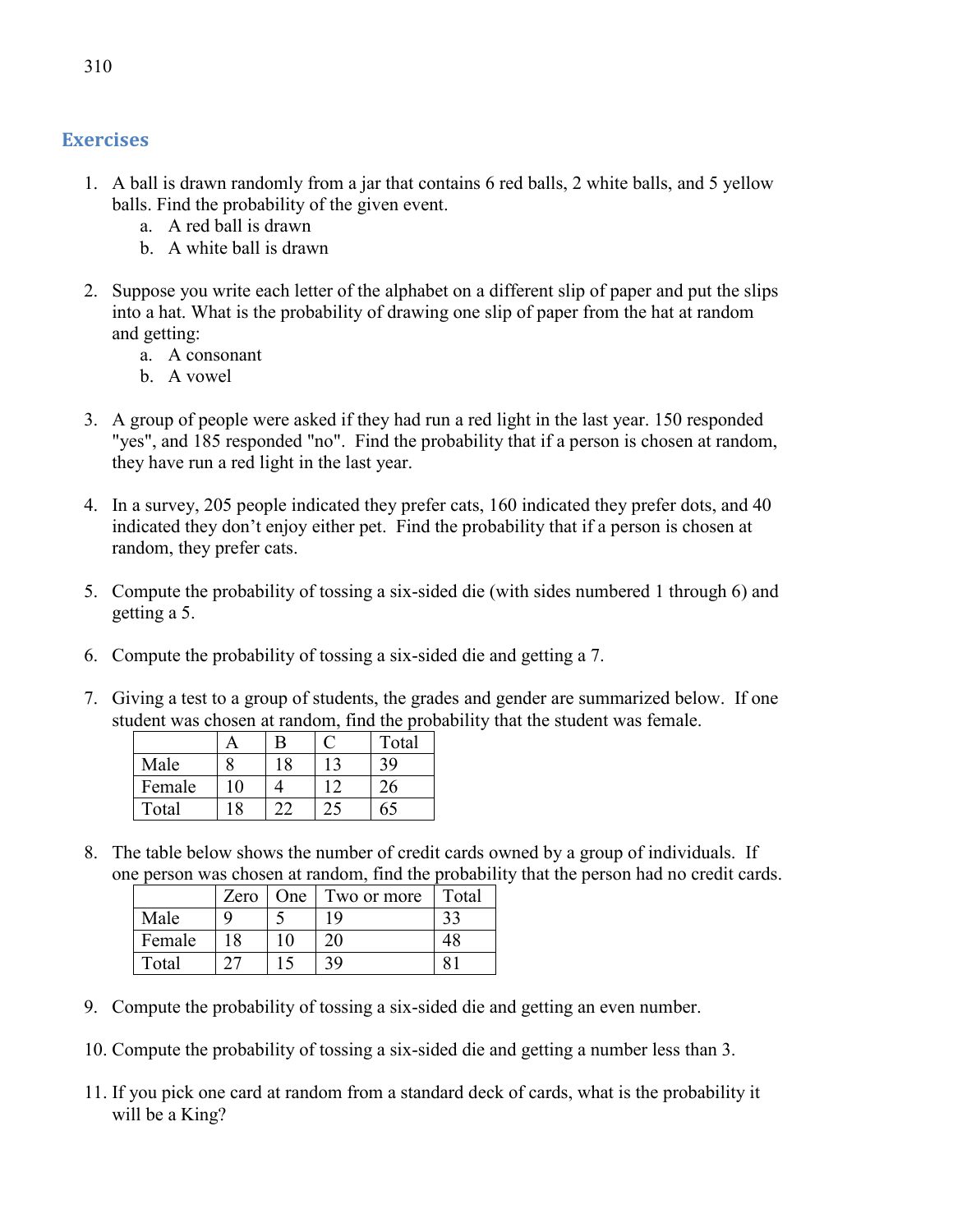## **Exercises**

- 1. A ball is drawn randomly from a jar that contains 6 red balls, 2 white balls, and 5 yellow balls. Find the probability of the given event.
	- a. A red ball is drawn
	- b. A white ball is drawn
- 2. Suppose you write each letter of the alphabet on a different slip of paper and put the slips into a hat. What is the probability of drawing one slip of paper from the hat at random and getting:
	- a. A consonant
	- b. A vowel
- 3. A group of people were asked if they had run a red light in the last year. 150 responded "yes", and 185 responded "no". Find the probability that if a person is chosen at random, they have run a red light in the last year.
- 4. In a survey, 205 people indicated they prefer cats, 160 indicated they prefer dots, and 40 indicated they don't enjoy either pet. Find the probability that if a person is chosen at random, they prefer cats.
- 5. Compute the probability of tossing a six-sided die (with sides numbered 1 through 6) and getting a 5.
- 6. Compute the probability of tossing a six-sided die and getting a 7.
- 7. Giving a test to a group of students, the grades and gender are summarized below. If one student was chosen at random, find the probability that the student was female.

|        |   | В |   | Total |
|--------|---|---|---|-------|
| Male   |   | 8 | 3 | 39    |
| Female | 0 |   |   | 26    |
| Total  | 8 |   |   |       |

8. The table below shows the number of credit cards owned by a group of individuals. If one person was chosen at random, find the probability that the person had no credit cards.

|        |    | Zero   One   Two or more | Total |
|--------|----|--------------------------|-------|
| Male   |    | 19                       |       |
| Female | 18 | 20                       |       |
| Total  |    | 39                       |       |

- 9. Compute the probability of tossing a six-sided die and getting an even number.
- 10. Compute the probability of tossing a six-sided die and getting a number less than 3.
- 11. If you pick one card at random from a standard deck of cards, what is the probability it will be a King?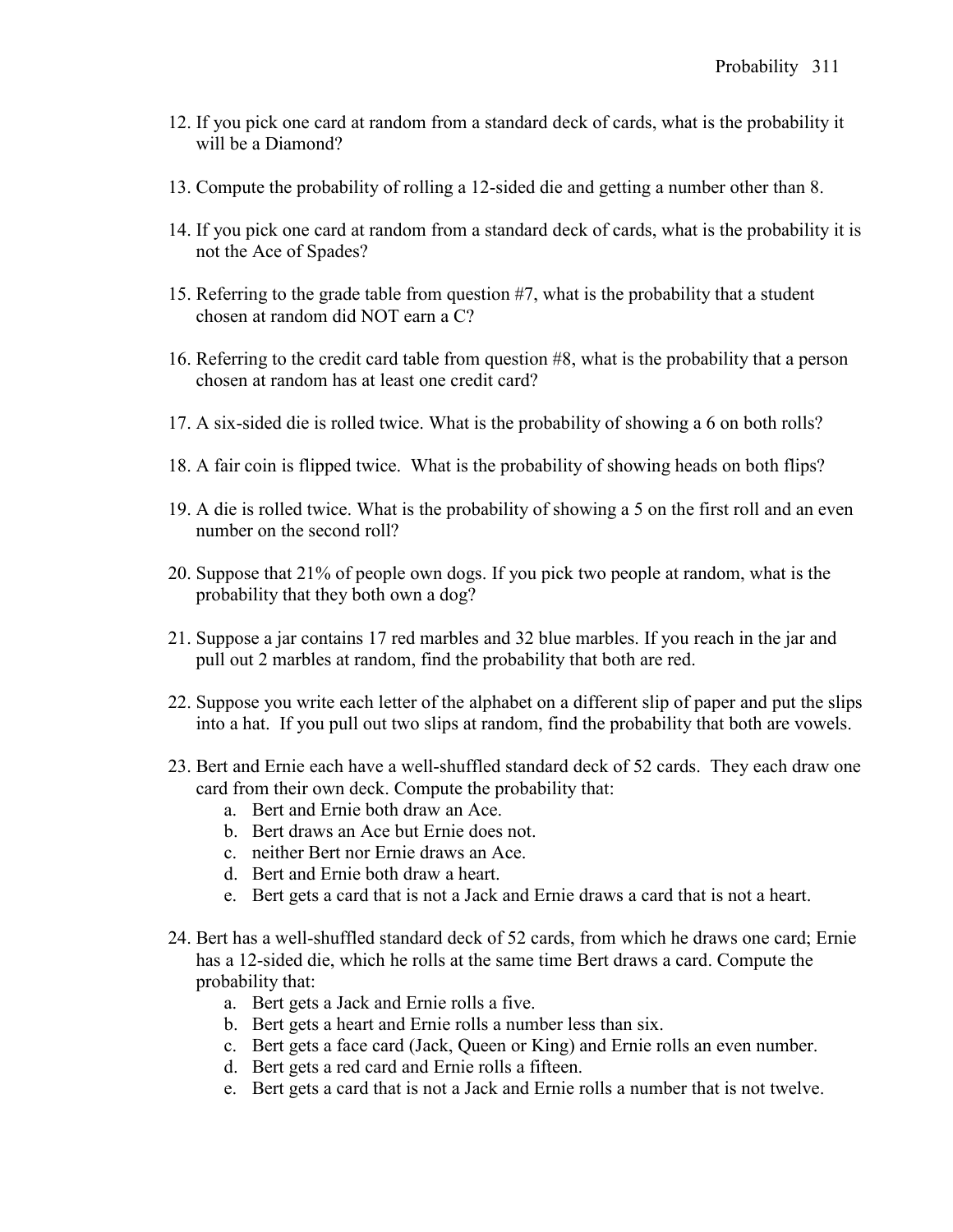- 12. If you pick one card at random from a standard deck of cards, what is the probability it will be a Diamond?
- 13. Compute the probability of rolling a 12-sided die and getting a number other than 8.
- 14. If you pick one card at random from a standard deck of cards, what is the probability it is not the Ace of Spades?
- 15. Referring to the grade table from question #7, what is the probability that a student chosen at random did NOT earn a C?
- 16. Referring to the credit card table from question #8, what is the probability that a person chosen at random has at least one credit card?
- 17. A six-sided die is rolled twice. What is the probability of showing a 6 on both rolls?
- 18. A fair coin is flipped twice. What is the probability of showing heads on both flips?
- 19. A die is rolled twice. What is the probability of showing a 5 on the first roll and an even number on the second roll?
- 20. Suppose that 21% of people own dogs. If you pick two people at random, what is the probability that they both own a dog?
- 21. Suppose a jar contains 17 red marbles and 32 blue marbles. If you reach in the jar and pull out 2 marbles at random, find the probability that both are red.
- 22. Suppose you write each letter of the alphabet on a different slip of paper and put the slips into a hat. If you pull out two slips at random, find the probability that both are vowels.
- 23. Bert and Ernie each have a well-shuffled standard deck of 52 cards. They each draw one card from their own deck. Compute the probability that:
	- a. Bert and Ernie both draw an Ace.
	- b. Bert draws an Ace but Ernie does not.
	- c. neither Bert nor Ernie draws an Ace.
	- d. Bert and Ernie both draw a heart.
	- e. Bert gets a card that is not a Jack and Ernie draws a card that is not a heart.
- 24. Bert has a well-shuffled standard deck of 52 cards, from which he draws one card; Ernie has a 12-sided die, which he rolls at the same time Bert draws a card. Compute the probability that:
	- a. Bert gets a Jack and Ernie rolls a five.
	- b. Bert gets a heart and Ernie rolls a number less than six.
	- c. Bert gets a face card (Jack, Queen or King) and Ernie rolls an even number.
	- d. Bert gets a red card and Ernie rolls a fifteen.
	- e. Bert gets a card that is not a Jack and Ernie rolls a number that is not twelve.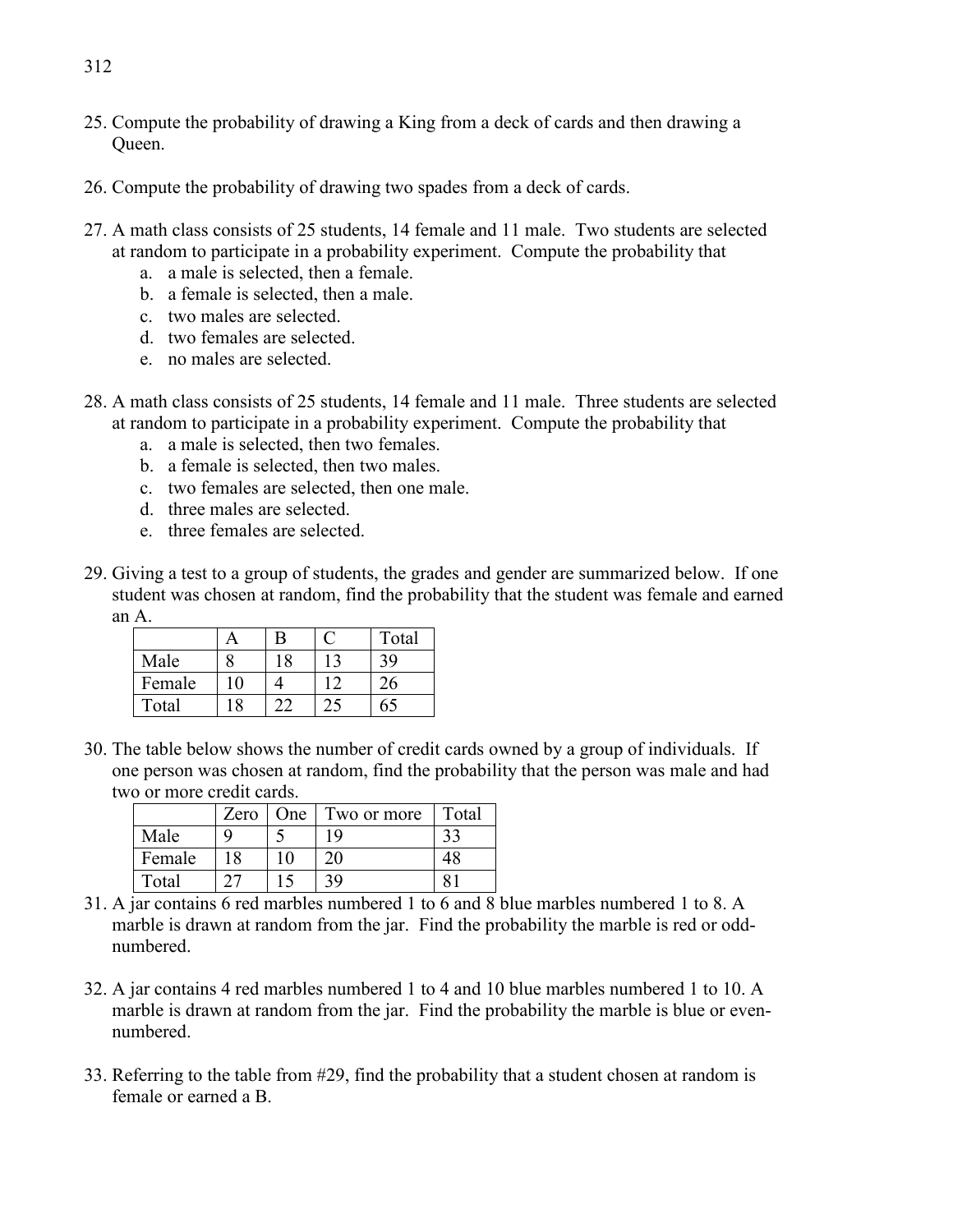- 25. Compute the probability of drawing a King from a deck of cards and then drawing a Queen.
- 26. Compute the probability of drawing two spades from a deck of cards.
- 27. A math class consists of 25 students, 14 female and 11 male. Two students are selected at random to participate in a probability experiment. Compute the probability that
	- a. a male is selected, then a female.
	- b. a female is selected, then a male.
	- c. two males are selected.
	- d. two females are selected.
	- e. no males are selected.
- 28. A math class consists of 25 students, 14 female and 11 male. Three students are selected at random to participate in a probability experiment. Compute the probability that
	- a. a male is selected, then two females.
	- b. a female is selected, then two males.
	- c. two females are selected, then one male.
	- d. three males are selected.
	- e. three females are selected.
- 29. Giving a test to a group of students, the grades and gender are summarized below. If one student was chosen at random, find the probability that the student was female and earned an A.

|        |  | Total |
|--------|--|-------|
| Male   |  | 39    |
| Female |  | 26    |
| Total  |  | b.    |

30. The table below shows the number of credit cards owned by a group of individuals. If one person was chosen at random, find the probability that the person was male and had two or more credit cards.

|        | Zero | One | Two or more | Total |
|--------|------|-----|-------------|-------|
| Male   |      |     | 1 Q         |       |
| Female | 18   |     | 20          |       |
| Total  |      |     | 39          |       |

- 31. A jar contains 6 red marbles numbered 1 to 6 and 8 blue marbles numbered 1 to 8. A marble is drawn at random from the jar. Find the probability the marble is red or oddnumbered.
- 32. A jar contains 4 red marbles numbered 1 to 4 and 10 blue marbles numbered 1 to 10. A marble is drawn at random from the jar. Find the probability the marble is blue or evennumbered.
- 33. Referring to the table from #29, find the probability that a student chosen at random is female or earned a B.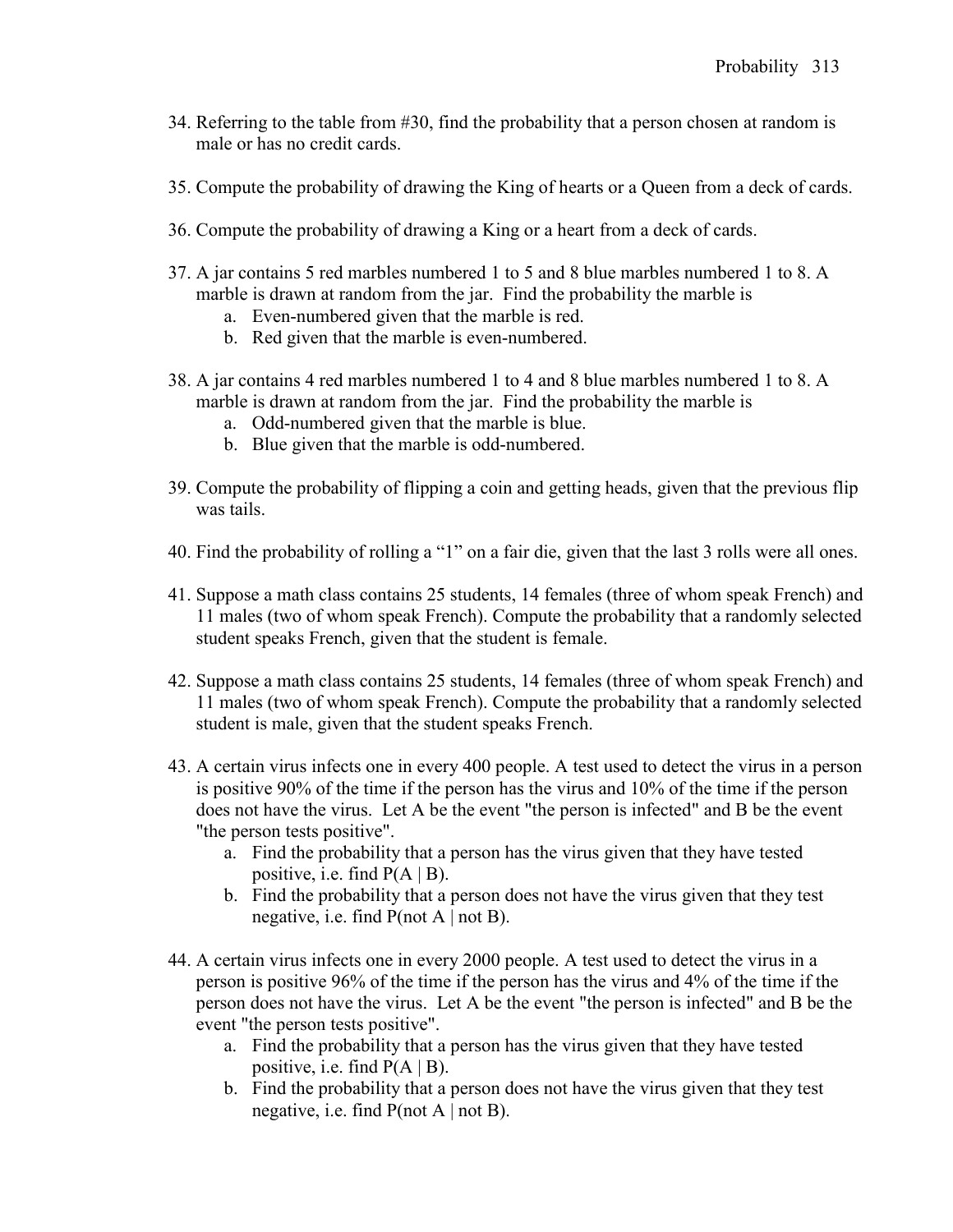- 34. Referring to the table from #30, find the probability that a person chosen at random is male or has no credit cards.
- 35. Compute the probability of drawing the King of hearts or a Queen from a deck of cards.
- 36. Compute the probability of drawing a King or a heart from a deck of cards.
- 37. A jar contains 5 red marbles numbered 1 to 5 and 8 blue marbles numbered 1 to 8. A marble is drawn at random from the jar. Find the probability the marble is
	- a. Even-numbered given that the marble is red.
	- b. Red given that the marble is even-numbered.
- 38. A jar contains 4 red marbles numbered 1 to 4 and 8 blue marbles numbered 1 to 8. A marble is drawn at random from the jar. Find the probability the marble is
	- a. Odd-numbered given that the marble is blue.
	- b. Blue given that the marble is odd-numbered.
- 39. Compute the probability of flipping a coin and getting heads, given that the previous flip was tails.
- 40. Find the probability of rolling a "1" on a fair die, given that the last 3 rolls were all ones.
- 41. Suppose a math class contains 25 students, 14 females (three of whom speak French) and 11 males (two of whom speak French). Compute the probability that a randomly selected student speaks French, given that the student is female.
- 42. Suppose a math class contains 25 students, 14 females (three of whom speak French) and 11 males (two of whom speak French). Compute the probability that a randomly selected student is male, given that the student speaks French.
- 43. A certain virus infects one in every 400 people. A test used to detect the virus in a person is positive 90% of the time if the person has the virus and 10% of the time if the person does not have the virus. Let A be the event "the person is infected" and B be the event "the person tests positive".
	- a. Find the probability that a person has the virus given that they have tested positive, i.e. find  $P(A | B)$ .
	- b. Find the probability that a person does not have the virus given that they test negative, i.e. find  $P($ not A | not B).
- 44. A certain virus infects one in every 2000 people. A test used to detect the virus in a person is positive 96% of the time if the person has the virus and 4% of the time if the person does not have the virus. Let A be the event "the person is infected" and B be the event "the person tests positive".
	- a. Find the probability that a person has the virus given that they have tested positive, i.e. find  $P(A | B)$ .
	- b. Find the probability that a person does not have the virus given that they test negative, i.e. find P(not A | not B).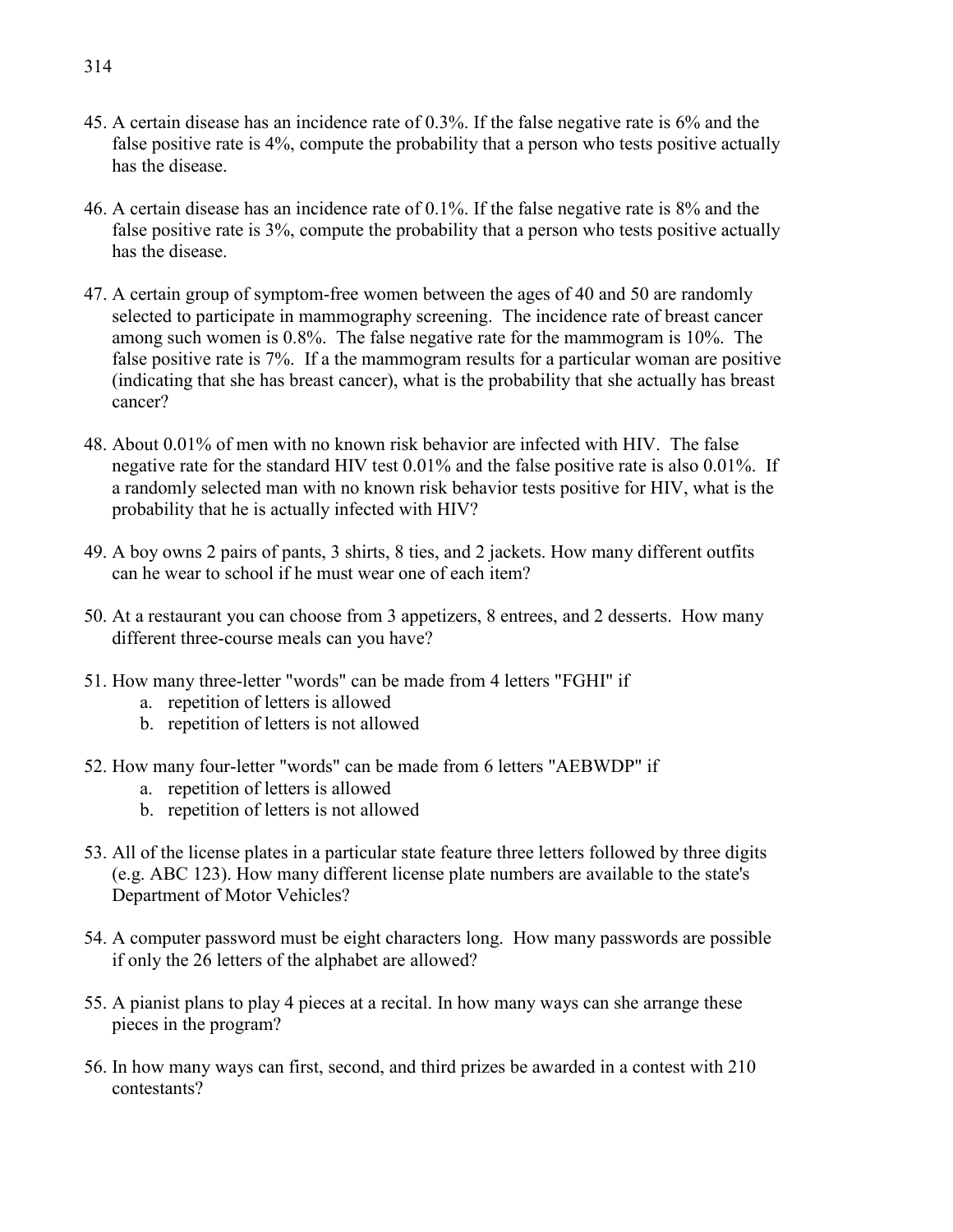- 45. A certain disease has an incidence rate of 0.3%. If the false negative rate is 6% and the false positive rate is 4%, compute the probability that a person who tests positive actually has the disease.
- 46. A certain disease has an incidence rate of 0.1%. If the false negative rate is 8% and the false positive rate is 3%, compute the probability that a person who tests positive actually has the disease.
- 47. A certain group of symptom-free women between the ages of 40 and 50 are randomly selected to participate in mammography screening. The incidence rate of breast cancer among such women is 0.8%. The false negative rate for the mammogram is 10%. The false positive rate is 7%. If a the mammogram results for a particular woman are positive (indicating that she has breast cancer), what is the probability that she actually has breast cancer?
- 48. About 0.01% of men with no known risk behavior are infected with HIV. The false negative rate for the standard HIV test 0.01% and the false positive rate is also 0.01%. If a randomly selected man with no known risk behavior tests positive for HIV, what is the probability that he is actually infected with HIV?
- 49. A boy owns 2 pairs of pants, 3 shirts, 8 ties, and 2 jackets. How many different outfits can he wear to school if he must wear one of each item?
- 50. At a restaurant you can choose from 3 appetizers, 8 entrees, and 2 desserts. How many different three-course meals can you have?
- 51. How many three-letter "words" can be made from 4 letters "FGHI" if
	- a. repetition of letters is allowed
	- b. repetition of letters is not allowed
- 52. How many four-letter "words" can be made from 6 letters "AEBWDP" if
	- a. repetition of letters is allowed
	- b. repetition of letters is not allowed
- 53. All of the license plates in a particular state feature three letters followed by three digits (e.g. ABC 123). How many different license plate numbers are available to the state's Department of Motor Vehicles?
- 54. A computer password must be eight characters long. How many passwords are possible if only the 26 letters of the alphabet are allowed?
- 55. A pianist plans to play 4 pieces at a recital. In how many ways can she arrange these pieces in the program?
- 56. In how many ways can first, second, and third prizes be awarded in a contest with 210 contestants?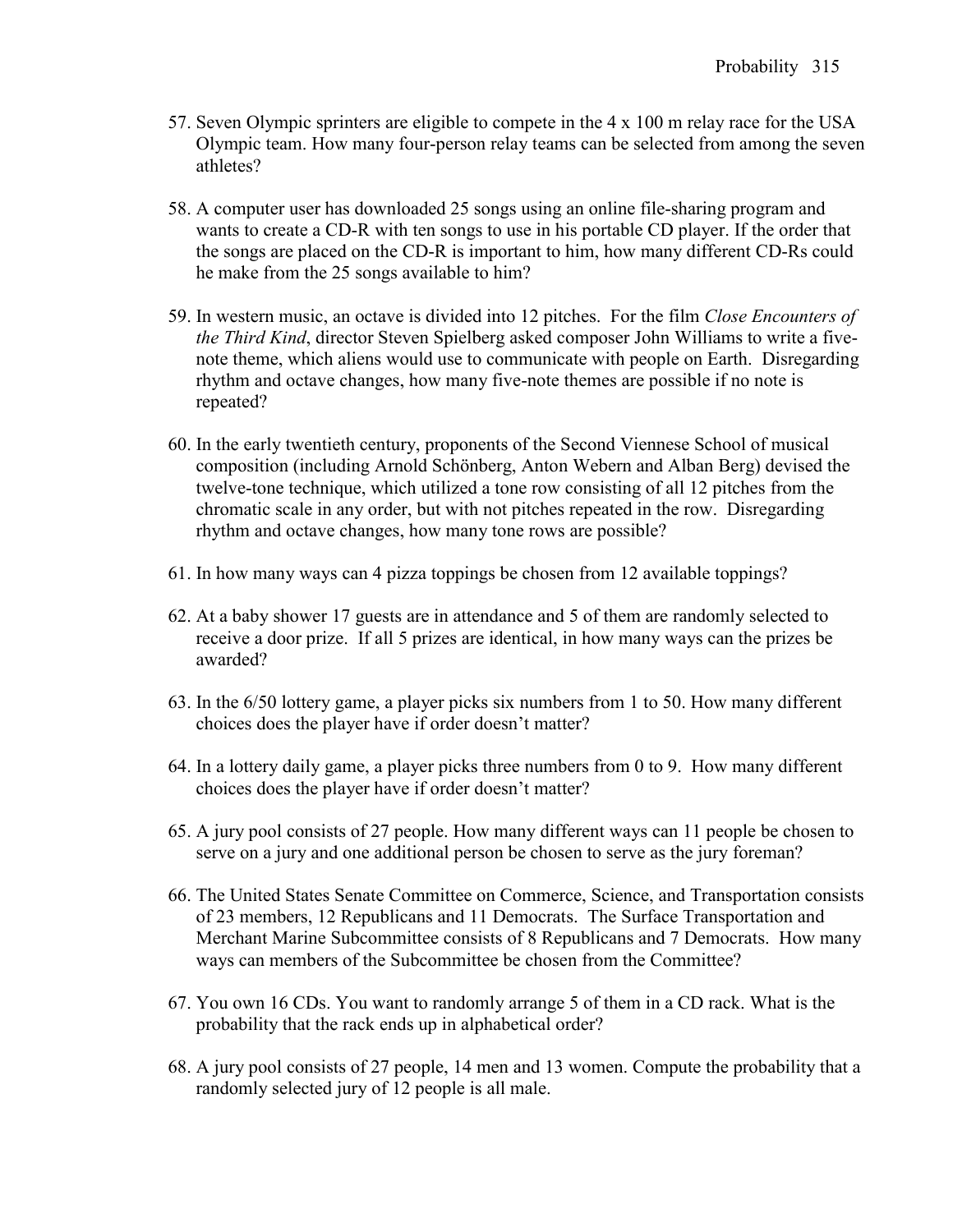- 57. Seven Olympic sprinters are eligible to compete in the 4 x 100 m relay race for the USA Olympic team. How many four-person relay teams can be selected from among the seven athletes?
- 58. A computer user has downloaded 25 songs using an online file-sharing program and wants to create a CD-R with ten songs to use in his portable CD player. If the order that the songs are placed on the CD-R is important to him, how many different CD-Rs could he make from the 25 songs available to him?
- 59. In western music, an octave is divided into 12 pitches. For the film *Close Encounters of the Third Kind*, director Steven Spielberg asked composer John Williams to write a fivenote theme, which aliens would use to communicate with people on Earth. Disregarding rhythm and octave changes, how many five-note themes are possible if no note is repeated?
- 60. In the early twentieth century, proponents of the Second Viennese School of musical composition (including Arnold Schönberg, Anton Webern and Alban Berg) devised the twelve-tone technique, which utilized a tone row consisting of all 12 pitches from the chromatic scale in any order, but with not pitches repeated in the row. Disregarding rhythm and octave changes, how many tone rows are possible?
- 61. In how many ways can 4 pizza toppings be chosen from 12 available toppings?
- 62. At a baby shower 17 guests are in attendance and 5 of them are randomly selected to receive a door prize. If all 5 prizes are identical, in how many ways can the prizes be awarded?
- 63. In the 6/50 lottery game, a player picks six numbers from 1 to 50. How many different choices does the player have if order doesn't matter?
- 64. In a lottery daily game, a player picks three numbers from 0 to 9. How many different choices does the player have if order doesn't matter?
- 65. A jury pool consists of 27 people. How many different ways can 11 people be chosen to serve on a jury and one additional person be chosen to serve as the jury foreman?
- 66. The United States Senate Committee on Commerce, Science, and Transportation consists of 23 members, 12 Republicans and 11 Democrats. The Surface Transportation and Merchant Marine Subcommittee consists of 8 Republicans and 7 Democrats. How many ways can members of the Subcommittee be chosen from the Committee?
- 67. You own 16 CDs. You want to randomly arrange 5 of them in a CD rack. What is the probability that the rack ends up in alphabetical order?
- 68. A jury pool consists of 27 people, 14 men and 13 women. Compute the probability that a randomly selected jury of 12 people is all male.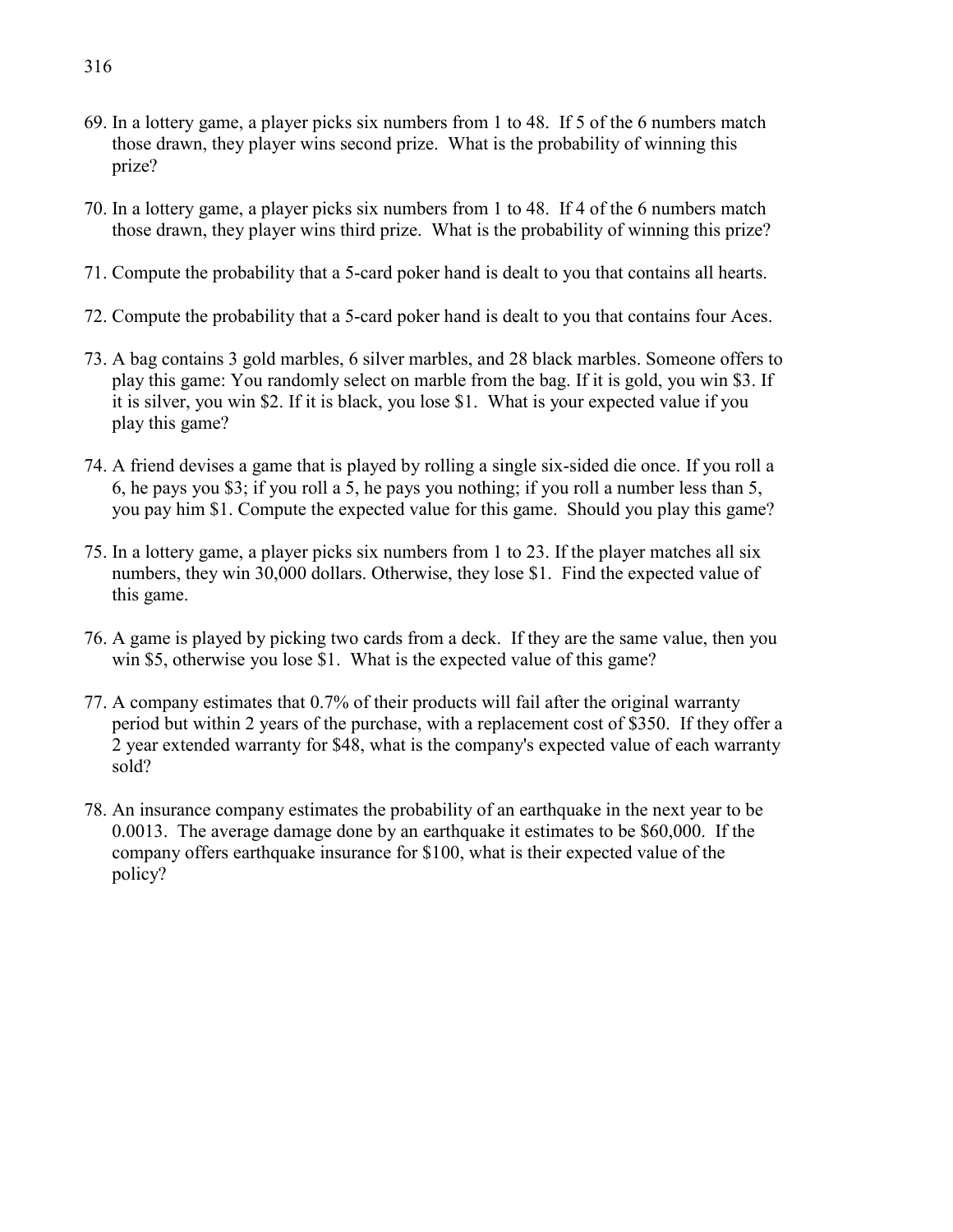- 69. In a lottery game, a player picks six numbers from 1 to 48. If 5 of the 6 numbers match those drawn, they player wins second prize. What is the probability of winning this prize?
- 70. In a lottery game, a player picks six numbers from 1 to 48. If 4 of the 6 numbers match those drawn, they player wins third prize. What is the probability of winning this prize?
- 71. Compute the probability that a 5-card poker hand is dealt to you that contains all hearts.
- 72. Compute the probability that a 5-card poker hand is dealt to you that contains four Aces.
- 73. A bag contains 3 gold marbles, 6 silver marbles, and 28 black marbles. Someone offers to play this game: You randomly select on marble from the bag. If it is gold, you win \$3. If it is silver, you win \$2. If it is black, you lose \$1. What is your expected value if you play this game?
- 74. A friend devises a game that is played by rolling a single six-sided die once. If you roll a 6, he pays you \$3; if you roll a 5, he pays you nothing; if you roll a number less than 5, you pay him \$1. Compute the expected value for this game. Should you play this game?
- 75. In a lottery game, a player picks six numbers from 1 to 23. If the player matches all six numbers, they win 30,000 dollars. Otherwise, they lose \$1. Find the expected value of this game.
- 76. A game is played by picking two cards from a deck. If they are the same value, then you win \$5, otherwise you lose \$1. What is the expected value of this game?
- 77. A company estimates that 0.7% of their products will fail after the original warranty period but within 2 years of the purchase, with a replacement cost of \$350. If they offer a 2 year extended warranty for \$48, what is the company's expected value of each warranty sold?
- 78. An insurance company estimates the probability of an earthquake in the next year to be 0.0013. The average damage done by an earthquake it estimates to be \$60,000. If the company offers earthquake insurance for \$100, what is their expected value of the policy?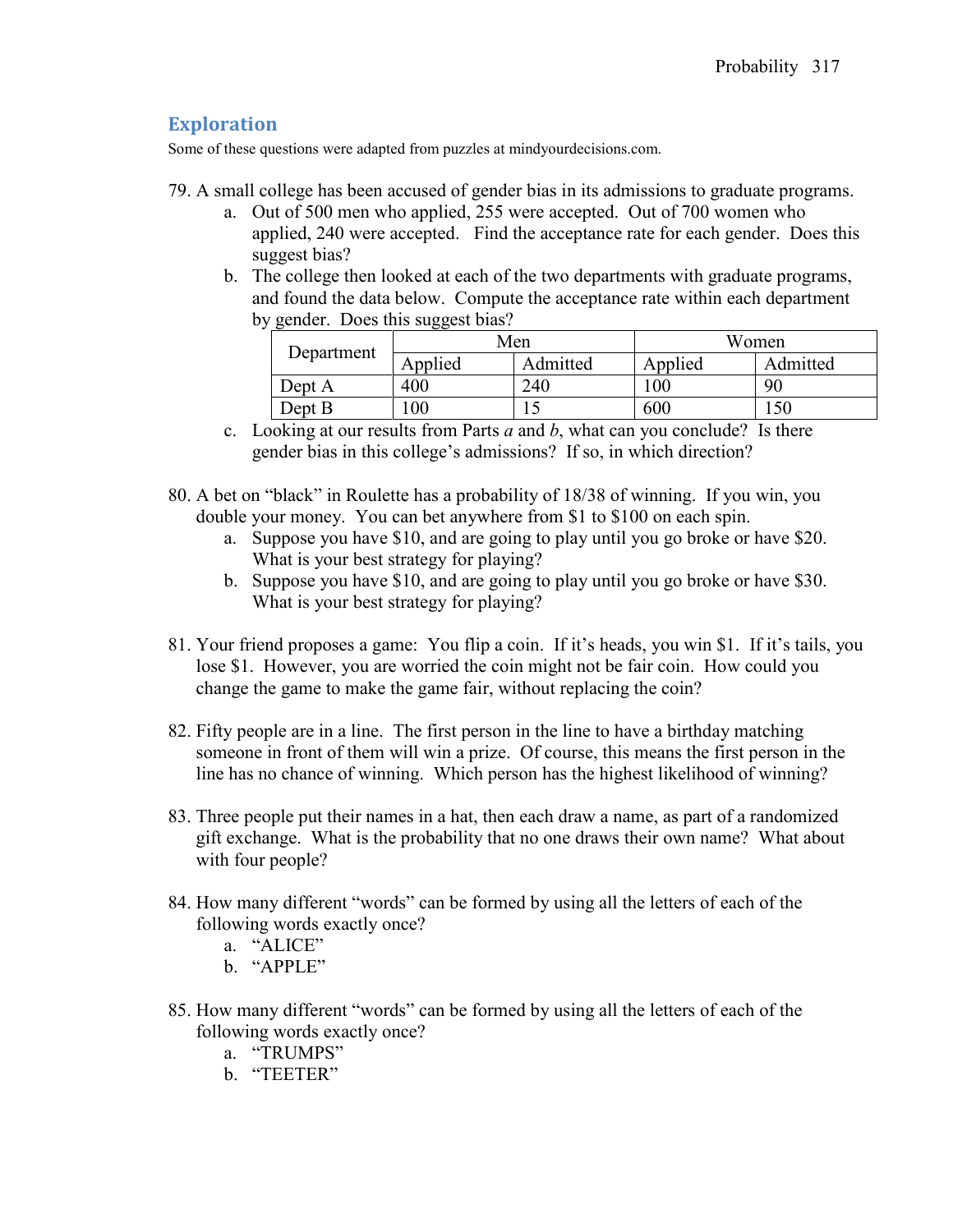## **Exploration**

Some of these questions were adapted from puzzles at mindyourdecisions.com.

- 79. A small college has been accused of gender bias in its admissions to graduate programs.
	- a. Out of 500 men who applied, 255 were accepted. Out of 700 women who applied, 240 were accepted. Find the acceptance rate for each gender. Does this suggest bias?
	- b. The college then looked at each of the two departments with graduate programs, and found the data below. Compute the acceptance rate within each department by gender. Does this suggest bias?

| Department | Men     |          | Women   |          |
|------------|---------|----------|---------|----------|
|            | Applied | Admitted | Applied | Admitted |
| Dept A     | 400     | 240      | 100     | 90       |
| Dept B     | $_{00}$ |          | 600     | 150      |

- c. Looking at our results from Parts *a* and *b*, what can you conclude? Is there gender bias in this college's admissions? If so, in which direction?
- 80. A bet on "black" in Roulette has a probability of 18/38 of winning. If you win, you double your money. You can bet anywhere from \$1 to \$100 on each spin.
	- a. Suppose you have \$10, and are going to play until you go broke or have \$20. What is your best strategy for playing?
	- b. Suppose you have \$10, and are going to play until you go broke or have \$30. What is your best strategy for playing?
- 81. Your friend proposes a game: You flip a coin. If it's heads, you win \$1. If it's tails, you lose \$1. However, you are worried the coin might not be fair coin. How could you change the game to make the game fair, without replacing the coin?
- 82. Fifty people are in a line. The first person in the line to have a birthday matching someone in front of them will win a prize. Of course, this means the first person in the line has no chance of winning. Which person has the highest likelihood of winning?
- 83. Three people put their names in a hat, then each draw a name, as part of a randomized gift exchange. What is the probability that no one draws their own name? What about with four people?
- 84. How many different "words" can be formed by using all the letters of each of the following words exactly once?
	- a. "ALICE"
	- b. "APPLE"
- 85. How many different "words" can be formed by using all the letters of each of the following words exactly once?
	- a. "TRUMPS"
	- b. "TEETER"